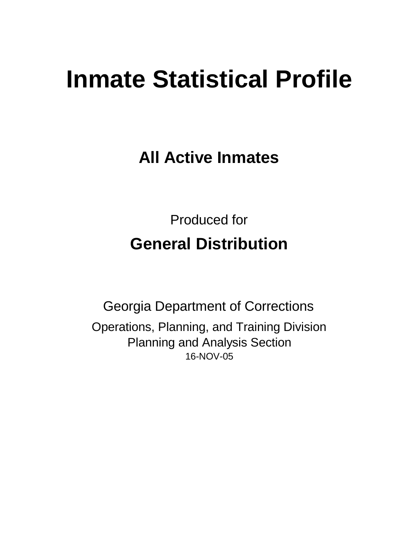# **Inmate Statistical Profile**

**All Active Inmates**

Produced for **General Distribution**

16-NOV-05 Georgia Department of Corrections Operations, Planning, and Training Division Planning and Analysis Section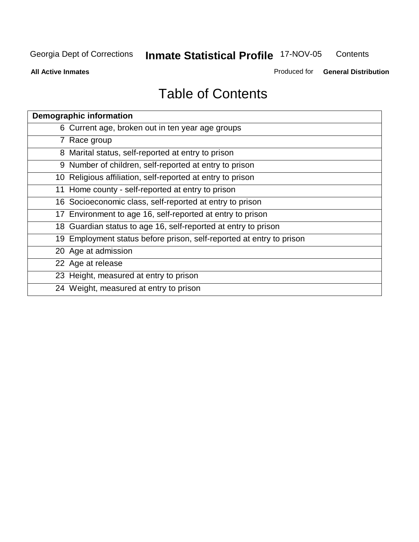#### Georgia Dept of Corrections **Inmate Statistical Profile** 17-NOV-05 **Contents**

**All Active Inmates**

Produced for **General Distribution**

| <b>Demographic information</b>                                       |
|----------------------------------------------------------------------|
| 6 Current age, broken out in ten year age groups                     |
| 7 Race group                                                         |
| 8 Marital status, self-reported at entry to prison                   |
| 9 Number of children, self-reported at entry to prison               |
| 10 Religious affiliation, self-reported at entry to prison           |
| 11 Home county - self-reported at entry to prison                    |
| 16 Socioeconomic class, self-reported at entry to prison             |
| 17 Environment to age 16, self-reported at entry to prison           |
| 18 Guardian status to age 16, self-reported at entry to prison       |
| 19 Employment status before prison, self-reported at entry to prison |
| 20 Age at admission                                                  |
| 22 Age at release                                                    |
| 23 Height, measured at entry to prison                               |
| 24 Weight, measured at entry to prison                               |
|                                                                      |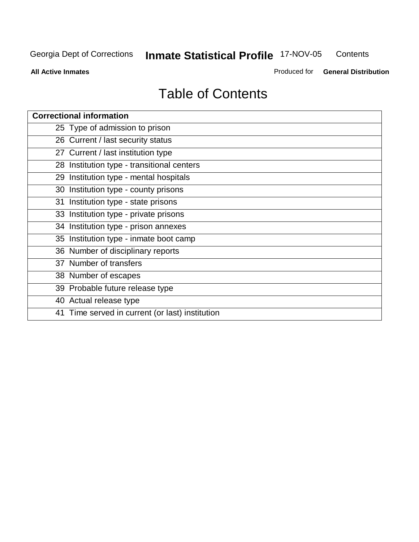#### Georgia Dept of Corrections **Inmate Statistical Profile** 17-NOV-05 **Contents**

**All Active Inmates**

Produced for **General Distribution**

| <b>Correctional information</b>                 |
|-------------------------------------------------|
| 25 Type of admission to prison                  |
| 26 Current / last security status               |
| 27 Current / last institution type              |
| 28 Institution type - transitional centers      |
| 29 Institution type - mental hospitals          |
| 30 Institution type - county prisons            |
| 31 Institution type - state prisons             |
| 33 Institution type - private prisons           |
| 34 Institution type - prison annexes            |
| 35 Institution type - inmate boot camp          |
| 36 Number of disciplinary reports               |
| 37 Number of transfers                          |
| 38 Number of escapes                            |
| 39 Probable future release type                 |
| 40 Actual release type                          |
| 41 Time served in current (or last) institution |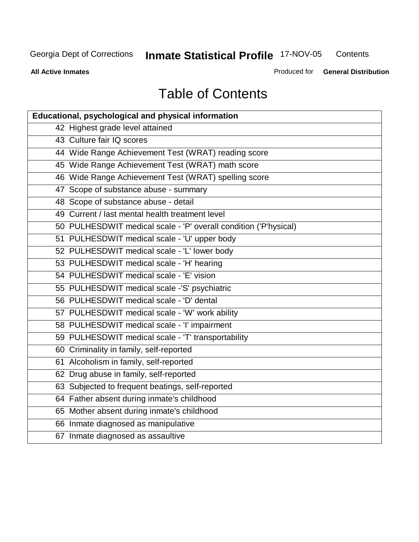**Contents** 

**All Active Inmates**

Produced for **General Distribution**

| Educational, psychological and physical information              |
|------------------------------------------------------------------|
| 42 Highest grade level attained                                  |
| 43 Culture fair IQ scores                                        |
| 44 Wide Range Achievement Test (WRAT) reading score              |
| 45 Wide Range Achievement Test (WRAT) math score                 |
| 46 Wide Range Achievement Test (WRAT) spelling score             |
| 47 Scope of substance abuse - summary                            |
| 48 Scope of substance abuse - detail                             |
| 49 Current / last mental health treatment level                  |
| 50 PULHESDWIT medical scale - 'P' overall condition ('P'hysical) |
| 51 PULHESDWIT medical scale - 'U' upper body                     |
| 52 PULHESDWIT medical scale - 'L' lower body                     |
| 53 PULHESDWIT medical scale - 'H' hearing                        |
| 54 PULHESDWIT medical scale - 'E' vision                         |
| 55 PULHESDWIT medical scale -'S' psychiatric                     |
| 56 PULHESDWIT medical scale - 'D' dental                         |
| 57 PULHESDWIT medical scale - 'W' work ability                   |
| 58 PULHESDWIT medical scale - 'I' impairment                     |
| 59 PULHESDWIT medical scale - 'T' transportability               |
| 60 Criminality in family, self-reported                          |
| 61 Alcoholism in family, self-reported                           |
| 62 Drug abuse in family, self-reported                           |
| 63 Subjected to frequent beatings, self-reported                 |
| 64 Father absent during inmate's childhood                       |
| 65 Mother absent during inmate's childhood                       |
| 66 Inmate diagnosed as manipulative                              |
| 67 Inmate diagnosed as assaultive                                |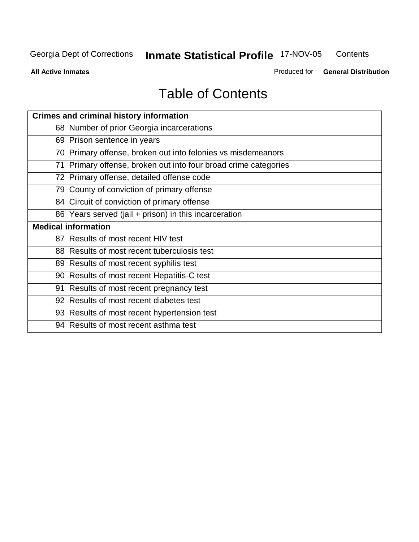**Contents** 

**All Active Inmates**

Produced for **General Distribution**

| <b>Crimes and criminal history information</b>                  |
|-----------------------------------------------------------------|
| 68 Number of prior Georgia incarcerations                       |
| 69 Prison sentence in years                                     |
| 70 Primary offense, broken out into felonies vs misdemeanors    |
| 71 Primary offense, broken out into four broad crime categories |
| 72 Primary offense, detailed offense code                       |
| 79 County of conviction of primary offense                      |
| 84 Circuit of conviction of primary offense                     |
| 86 Years served (jail + prison) in this incarceration           |
| <b>Medical information</b>                                      |
| 87 Results of most recent HIV test                              |
| 88 Results of most recent tuberculosis test                     |
| 89 Results of most recent syphilis test                         |
| 90 Results of most recent Hepatitis-C test                      |
| 91 Results of most recent pregnancy test                        |
| 92 Results of most recent diabetes test                         |
|                                                                 |
| 93 Results of most recent hypertension test                     |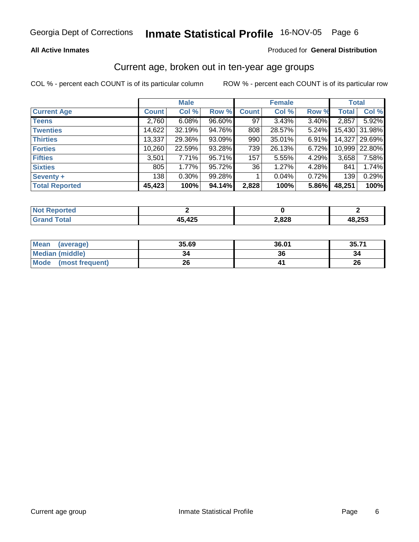### **All Active Inmates**

### Produced for **General Distribution**

### Current age, broken out in ten-year age groups

|                       |              | <b>Male</b> |        |              | <b>Female</b> |       | <b>Total</b> |        |
|-----------------------|--------------|-------------|--------|--------------|---------------|-------|--------------|--------|
| <b>Current Age</b>    | <b>Count</b> | Col %       | Row %  | <b>Count</b> | Col %         | Row % | <b>Total</b> | Col %  |
| <b>Teens</b>          | 2,760        | 6.08%       | 96.60% | 97           | 3.43%         | 3.40% | 2,857        | 5.92%  |
| <b>Twenties</b>       | 14,622       | 32.19%      | 94.76% | 808          | 28.57%        | 5.24% | 15,430       | 31.98% |
| <b>Thirties</b>       | 13,337       | 29.36%      | 93.09% | 990          | 35.01%        | 6.91% | 14,327       | 29.69% |
| <b>Forties</b>        | 10,260       | 22.59%      | 93.28% | 739          | 26.13%        | 6.72% | 10,999       | 22.80% |
| <b>Fifties</b>        | 3,501        | 7.71%       | 95.71% | 157          | 5.55%         | 4.29% | 3,658        | 7.58%  |
| <b>Sixties</b>        | 805          | 1.77%       | 95.72% | 36           | 1.27%         | 4.28% | 841          | 1.74%  |
| Seventy +             | 138          | $0.30\%$    | 99.28% |              | 0.04%         | 0.72% | 139          | 0.29%  |
| <b>Total Reported</b> | 45,423       | 100%        | 94.14% | 2,828        | 100%          | 5.86% | 48,251       | 100%   |

| <b>Not Reported</b>        |               |       |        |
|----------------------------|---------------|-------|--------|
| <b><i><u>Cotal</u></i></b> | <b>A5 A25</b> | 2,828 | 48,253 |

| <b>Mean</b><br>(average) | 35.69 | 36.01 | 35.71 |
|--------------------------|-------|-------|-------|
| Median (middle)          | 34    | 36    |       |
| Mode<br>(most frequent)  | 26    |       | 26    |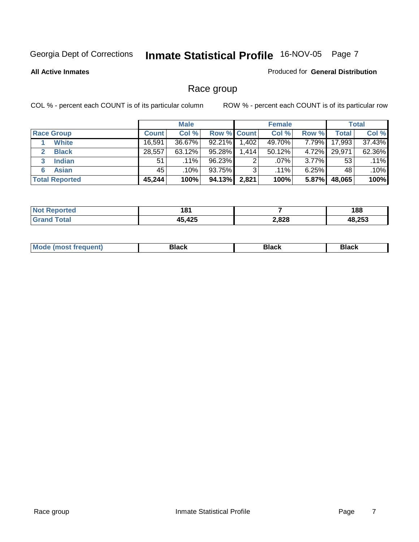### **All Active Inmates**

### Produced for **General Distribution**

# Race group

|                       |              | <b>Male</b> |                    |       | <b>Female</b> |          |        | <b>Total</b> |
|-----------------------|--------------|-------------|--------------------|-------|---------------|----------|--------|--------------|
| <b>Race Group</b>     | <b>Count</b> | Col %       | <b>Row % Count</b> |       | Col %         | Row %    | Total  | Col %        |
| White                 | 16,591       | 36.67%      | 92.21%             | 1,402 | 49.70%        | 7.79%    | 17,993 | 37.43%       |
| <b>Black</b>          | 28,557       | $63.12\%$   | 95.28%             | 1,414 | 50.12%        | 4.72%    | 29,971 | 62.36%       |
| <b>Indian</b><br>3    | 51           | $.11\%$     | 96.23%             | 2     | .07%          | $3.77\%$ | 53     | $.11\%$      |
| <b>Asian</b><br>6     | 45           | $.10\%$     | 93.75%             | 3     | $.11\%$       | 6.25%    | 48     | .10%         |
| <b>Total Reported</b> | 45,244       | 100%        | 94.13%             | 2,821 | 100%          | 5.87%    | 48,065 | 100%         |

| 181                 |       | 188    |
|---------------------|-------|--------|
| $A \Omega F$<br>1 F | 2,828 | 48.253 |

| Black<br><b>Black</b><br><b>οιαύκ</b><br>___ |
|----------------------------------------------|
|----------------------------------------------|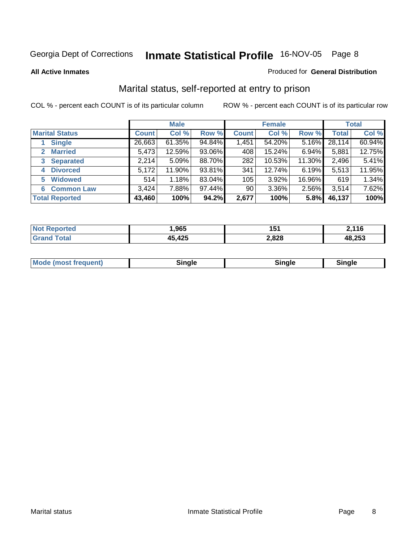### **All Active Inmates**

### Produced for **General Distribution**

# Marital status, self-reported at entry to prison

|                                |              | <b>Male</b> |        |              | <b>Female</b> |        |              | <b>Total</b> |
|--------------------------------|--------------|-------------|--------|--------------|---------------|--------|--------------|--------------|
| <b>Marital Status</b>          | <b>Count</b> | Col %       | Row %  | <b>Count</b> | Col %         | Row %  | <b>Total</b> | Col %        |
| <b>Single</b>                  | 26,663       | $61.35\%$   | 94.84% | 1,451        | 54.20%        | 5.16%  | 28,114       | 60.94%       |
| <b>Married</b><br>$\mathbf{2}$ | 5,473        | 12.59%      | 93.06% | 408          | 15.24%        | 6.94%  | 5,881        | 12.75%       |
| <b>Separated</b><br>3          | 2,214        | 5.09%       | 88.70% | 282          | 10.53%        | 11.30% | 2,496        | 5.41%        |
| <b>Divorced</b><br>4           | 5,172        | 11.90%      | 93.81% | 341          | 12.74%        | 6.19%  | 5,513        | 11.95%       |
| <b>Widowed</b><br>5            | 514          | 1.18%       | 83.04% | 105          | 3.92%         | 16.96% | 619          | 1.34%        |
| <b>Common Law</b><br>6         | 3,424        | 7.88%       | 97.44% | 90           | 3.36%         | 2.56%  | 3,514        | 7.62%        |
| <b>Total Reported</b>          | 43,460       | 100%        | 94.2%  | 2,677        | 100%          | 5.8%   | 46,137       | 100%         |

| ,965       | . EA<br>. .<br>1 J I | ,116   |
|------------|----------------------|--------|
| $A \cap E$ | 2,828                | 48,253 |

|  | <b>Mode</b><br>(most frequent) | .<br>luie | лане | ---- |
|--|--------------------------------|-----------|------|------|
|--|--------------------------------|-----------|------|------|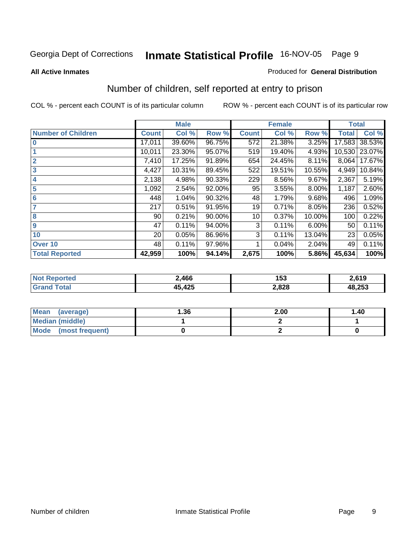### **All Active Inmates**

### Produced for **General Distribution**

# Number of children, self reported at entry to prison

|                           |              | <b>Male</b> |        |              | <b>Female</b> |          |              | <b>Total</b> |  |
|---------------------------|--------------|-------------|--------|--------------|---------------|----------|--------------|--------------|--|
| <b>Number of Children</b> | <b>Count</b> | Col %       | Row %  | <b>Count</b> | Col %         | Row %    | <b>Total</b> | Col %        |  |
| 10                        | 17,011       | 39.60%      | 96.75% | 572          | 21.38%        | 3.25%    | 17,583       | 38.53%       |  |
|                           | 10,011       | 23.30%      | 95.07% | 519          | 19.40%        | 4.93%    | 10,530       | 23.07%       |  |
| $\overline{2}$            | 7,410        | 17.25%      | 91.89% | 654          | 24.45%        | 8.11%    | 8,064        | 17.67%       |  |
| $\overline{\mathbf{3}}$   | 4,427        | 10.31%      | 89.45% | 522          | 19.51%        | 10.55%   | 4,949        | 10.84%       |  |
| 4                         | 2,138        | 4.98%       | 90.33% | 229          | 8.56%         | 9.67%    | 2,367        | 5.19%        |  |
| 5                         | 1,092        | 2.54%       | 92.00% | 95           | 3.55%         | $8.00\%$ | 1,187        | 2.60%        |  |
| $6\phantom{a}6$           | 448          | 1.04%       | 90.32% | 48           | 1.79%         | 9.68%    | 496          | 1.09%        |  |
| 7                         | 217          | 0.51%       | 91.95% | 19           | 0.71%         | 8.05%    | 236          | 0.52%        |  |
| 8                         | 90           | 0.21%       | 90.00% | 10           | 0.37%         | 10.00%   | 100          | 0.22%        |  |
| 9                         | 47           | 0.11%       | 94.00% | 3            | 0.11%         | $6.00\%$ | 50           | 0.11%        |  |
| 10                        | 20           | 0.05%       | 86.96% | 3            | 0.11%         | 13.04%   | 23           | 0.05%        |  |
| Over 10                   | 48           | 0.11%       | 97.96% |              | 0.04%         | 2.04%    | 49           | 0.11%        |  |
| <b>Total Reported</b>     | 42,959       | 100%        | 94.14% | 2,675        | 100%          | 5.86%    | 45,634       | 100%         |  |

| Tec.<br>N | .466       | 153   | 2.619         |
|-----------|------------|-------|---------------|
|           | AC<br>44 J | 2,828 | 48,253<br>AP. |

| Mean<br>(average)       | 1.36 | 2.00 | 1.40 |
|-------------------------|------|------|------|
| <b>Median (middle)</b>  |      |      |      |
| Mode<br>(most frequent) |      |      |      |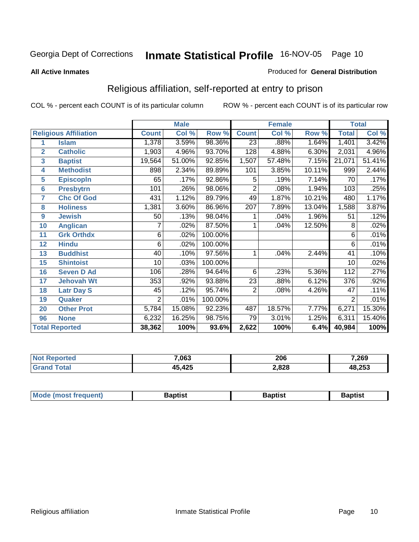### **All Active Inmates**

### Produced for **General Distribution**

# Religious affiliation, self-reported at entry to prison

|                 |                              |                | <b>Male</b> |         |                 | <b>Female</b> |        | <b>Total</b>    |        |  |
|-----------------|------------------------------|----------------|-------------|---------|-----------------|---------------|--------|-----------------|--------|--|
|                 | <b>Religious Affiliation</b> | <b>Count</b>   | Col %       | Row %   | <b>Count</b>    | Col %         | Row %  | <b>Total</b>    | Col %  |  |
| 1               | <b>Islam</b>                 | 1,378          | 3.59%       | 98.36%  | $\overline{23}$ | .88%          | 1.64%  | 1,401           | 3.42%  |  |
| $\overline{2}$  | <b>Catholic</b>              | 1,903          | 4.96%       | 93.70%  | 128             | 4.88%         | 6.30%  | 2,031           | 4.96%  |  |
| 3               | <b>Baptist</b>               | 19,564         | 51.00%      | 92.85%  | 1,507           | 57.48%        | 7.15%  | 21,071          | 51.41% |  |
| 4               | <b>Methodist</b>             | 898            | 2.34%       | 89.89%  | 101             | 3.85%         | 10.11% | 999             | 2.44%  |  |
| 5               | <b>EpiscopIn</b>             | 65             | .17%        | 92.86%  | 5               | .19%          | 7.14%  | 70              | .17%   |  |
| $6\phantom{1}6$ | <b>Presbytrn</b>             | 101            | .26%        | 98.06%  | $\overline{2}$  | .08%          | 1.94%  | 103             | .25%   |  |
| $\overline{7}$  | <b>Chc Of God</b>            | 431            | 1.12%       | 89.79%  | 49              | 1.87%         | 10.21% | 480             | 1.17%  |  |
| 8               | <b>Holiness</b>              | 1,381          | 3.60%       | 86.96%  | 207             | 7.89%         | 13.04% | 1,588           | 3.87%  |  |
| 9               | <b>Jewish</b>                | 50             | .13%        | 98.04%  | 1               | .04%          | 1.96%  | 51              | .12%   |  |
| 10              | <b>Anglican</b>              |                | .02%        | 87.50%  |                 | .04%          | 12.50% | 8               | .02%   |  |
| 11              | <b>Grk Orthdx</b>            | 6              | .02%        | 100.00% |                 |               |        | 6               | .01%   |  |
| 12              | <b>Hindu</b>                 | 6              | .02%        | 100.00% |                 |               |        | 6               | .01%   |  |
| 13              | <b>Buddhist</b>              | 40             | .10%        | 97.56%  | 1               | .04%          | 2.44%  | 41              | .10%   |  |
| 15              | <b>Shintoist</b>             | 10             | .03%        | 100.00% |                 |               |        | $\overline{10}$ | .02%   |  |
| 16              | <b>Seven D Ad</b>            | 106            | .28%        | 94.64%  | 6               | .23%          | 5.36%  | 112             | .27%   |  |
| 17              | <b>Jehovah Wt</b>            | 353            | .92%        | 93.88%  | 23              | .88%          | 6.12%  | 376             | .92%   |  |
| 18              | <b>Latr Day S</b>            | 45             | .12%        | 95.74%  | $\overline{2}$  | .08%          | 4.26%  | 47              | .11%   |  |
| 19              | Quaker                       | $\overline{2}$ | .01%        | 100.00% |                 |               |        | $\overline{2}$  | .01%   |  |
| 20              | <b>Other Prot</b>            | 5,784          | 15.08%      | 92.23%  | 487             | 18.57%        | 7.77%  | 6,271           | 15.30% |  |
| 96              | <b>None</b>                  | 6,232          | 16.25%      | 98.75%  | 79              | 3.01%         | 1.25%  | 6,311           | 15.40% |  |
|                 | <b>Total Reported</b>        | 38,362         | 100%        | 93.6%   | 2,622           | 100%          | 6.4%   | 40,984          | 100%   |  |

| 7,063  | 206   | 7,269  |
|--------|-------|--------|
| 45,425 | 2,828 | 48,253 |

| Mode (mo<br>ost freauent) | 3aptist | Baptist | 3aptist |
|---------------------------|---------|---------|---------|
|                           |         |         |         |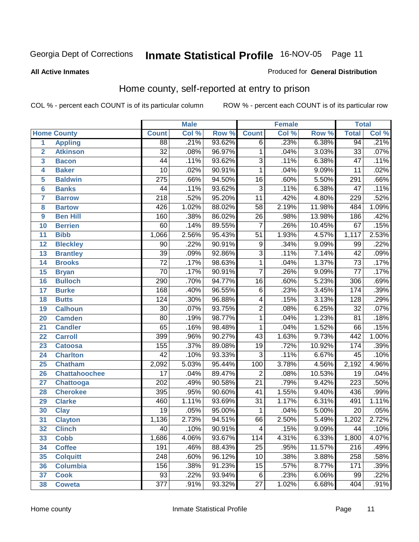### **All Active Inmates**

### Produced for **General Distribution**

# Home county, self-reported at entry to prison

|                 |                      |                  | <b>Male</b> |        |                  | <b>Female</b> |        | <b>Total</b>     |       |
|-----------------|----------------------|------------------|-------------|--------|------------------|---------------|--------|------------------|-------|
|                 | <b>Home County</b>   | <b>Count</b>     | Col %       | Row %  | <b>Count</b>     | Col %         | Row %  | <b>Total</b>     | Col % |
| 1               | <b>Appling</b>       | 88               | .21%        | 93.62% | $\overline{6}$   | .23%          | 6.38%  | 94               | .21%  |
| $\overline{2}$  | <b>Atkinson</b>      | $\overline{32}$  | .08%        | 96.97% | 1                | .04%          | 3.03%  | $\overline{33}$  | .07%  |
| 3               | <b>Bacon</b>         | 44               | .11%        | 93.62% | $\overline{3}$   | .11%          | 6.38%  | $\overline{47}$  | .11%  |
| 4               | <b>Baker</b>         | $\overline{10}$  | .02%        | 90.91% | 1                | .04%          | 9.09%  | $\overline{11}$  | .02%  |
| 5               | <b>Baldwin</b>       | $\overline{275}$ | .66%        | 94.50% | $\overline{16}$  | .60%          | 5.50%  | 291              | .66%  |
| $6\phantom{a}$  | <b>Banks</b>         | 44               | .11%        | 93.62% | $\overline{3}$   | .11%          | 6.38%  | 47               | .11%  |
| $\overline{7}$  | <b>Barrow</b>        | $\overline{218}$ | .52%        | 95.20% | $\overline{11}$  | .42%          | 4.80%  | 229              | .52%  |
| 8               | <b>Bartow</b>        | 426              | 1.02%       | 88.02% | 58               | 2.19%         | 11.98% | 484              | 1.09% |
| 9               | <b>Ben Hill</b>      | 160              | .38%        | 86.02% | $\overline{26}$  | .98%          | 13.98% | 186              | .42%  |
| 10              | <b>Berrien</b>       | 60               | .14%        | 89.55% | 7                | .26%          | 10.45% | 67               | .15%  |
| 11              | <b>Bibb</b>          | 1,066            | 2.56%       | 95.43% | $\overline{51}$  | 1.93%         | 4.57%  | 1,117            | 2.53% |
| 12              | <b>Bleckley</b>      | $\overline{90}$  | .22%        | 90.91% | 9                | .34%          | 9.09%  | 99               | .22%  |
| $\overline{13}$ | <b>Brantley</b>      | $\overline{39}$  | .09%        | 92.86% | $\overline{3}$   | .11%          | 7.14%  | $\overline{42}$  | .09%  |
| 14              | <b>Brooks</b>        | $\overline{72}$  | .17%        | 98.63% | 1                | .04%          | 1.37%  | $\overline{73}$  | .17%  |
| 15              | <b>Bryan</b>         | $\overline{70}$  | .17%        | 90.91% | 7                | .26%          | 9.09%  | $\overline{77}$  | .17%  |
| 16              | <b>Bulloch</b>       | 290              | .70%        | 94.77% | 16               | .60%          | 5.23%  | 306              | .69%  |
| $\overline{17}$ | <b>Burke</b>         | 168              | .40%        | 96.55% | $\overline{6}$   | .23%          | 3.45%  | 174              | .39%  |
| 18              | <b>Butts</b>         | 124              | .30%        | 96.88% | 4                | .15%          | 3.13%  | 128              | .29%  |
| 19              | <b>Calhoun</b>       | $\overline{30}$  | .07%        | 93.75% | $\overline{2}$   | .08%          | 6.25%  | $\overline{32}$  | .07%  |
| 20              | <b>Camden</b>        | 80               | .19%        | 98.77% | 1                | .04%          | 1.23%  | $\overline{81}$  | .18%  |
| 21              | <b>Candler</b>       | 65               | .16%        | 98.48% | $\overline{1}$   | .04%          | 1.52%  | 66               | .15%  |
| 22              | <b>Carroll</b>       | 399              | .96%        | 90.27% | $\overline{43}$  | 1.63%         | 9.73%  | 442              | 1.00% |
| 23              | <b>Catoosa</b>       | 155              | .37%        | 89.08% | $\overline{19}$  | .72%          | 10.92% | 174              | .39%  |
| 24              | <b>Charlton</b>      | $\overline{42}$  | .10%        | 93.33% | $\overline{3}$   | .11%          | 6.67%  | 45               | .10%  |
| 25              | <b>Chatham</b>       | 2,092            | 5.03%       | 95.44% | $\overline{100}$ | 3.78%         | 4.56%  | 2,192            | 4.96% |
| 26              | <b>Chattahoochee</b> | $\overline{17}$  | .04%        | 89.47% | 2                | .08%          | 10.53% | 19               | .04%  |
| 27              | Chattooga            | $\overline{202}$ | .49%        | 90.58% | $\overline{21}$  | .79%          | 9.42%  | $\overline{223}$ | .50%  |
| 28              | <b>Cherokee</b>      | 395              | .95%        | 90.60% | 41               | 1.55%         | 9.40%  | 436              | .99%  |
| 29              | <b>Clarke</b>        | 460              | 1.11%       | 93.69% | $\overline{31}$  | 1.17%         | 6.31%  | 491              | 1.11% |
| 30              | <b>Clay</b>          | $\overline{19}$  | .05%        | 95.00% | 1                | .04%          | 5.00%  | $\overline{20}$  | .05%  |
| $\overline{31}$ | <b>Clayton</b>       | 1,136            | 2.73%       | 94.51% | 66               | 2.50%         | 5.49%  | 1,202            | 2.72% |
| 32              | <b>Clinch</b>        | 40               | .10%        | 90.91% | 4                | .15%          | 9.09%  | 44               | .10%  |
| 33              | <b>Cobb</b>          | 1,686            | 4.06%       | 93.67% | $\overline{114}$ | 4.31%         | 6.33%  | 1,800            | 4.07% |
| 34              | <b>Coffee</b>        | 191              | .46%        | 88.43% | 25               | .95%          | 11.57% | 216              | .49%  |
| 35              | <b>Colquitt</b>      | $\overline{248}$ | .60%        | 96.12% | 10               | .38%          | 3.88%  | 258              | .58%  |
| 36              | <b>Columbia</b>      | 156              | .38%        | 91.23% | 15               | .57%          | 8.77%  | 171              | .39%  |
| 37              | <b>Cook</b>          | $\overline{93}$  | .22%        | 93.94% | $\overline{6}$   | .23%          | 6.06%  | 99               | .22%  |
| 38              | <b>Coweta</b>        | 377              | .91%        | 93.32% | $\overline{27}$  | 1.02%         | 6.68%  | 404              | .91%  |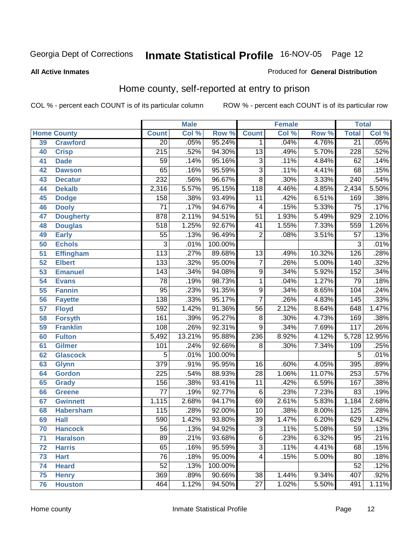### **All Active Inmates**

### Produced for **General Distribution**

# Home county, self-reported at entry to prison

|                 |                    |                  | <b>Male</b> |         |                 | <b>Female</b> |        | <b>Total</b>     |        |
|-----------------|--------------------|------------------|-------------|---------|-----------------|---------------|--------|------------------|--------|
|                 | <b>Home County</b> | <b>Count</b>     | Col %       | Row %   | <b>Count</b>    | Col %         | Row %  | <b>Total</b>     | Col %  |
| 39              | <b>Crawford</b>    | $\overline{20}$  | .05%        | 95.24%  | $\mathbf 1$     | .04%          | 4.76%  | $\overline{21}$  | .05%   |
| 40              | <b>Crisp</b>       | $\overline{215}$ | .52%        | 94.30%  | $\overline{13}$ | .49%          | 5.70%  | 228              | .52%   |
| 41              | <b>Dade</b>        | $\overline{59}$  | .14%        | 95.16%  | $\overline{3}$  | .11%          | 4.84%  | 62               | .14%   |
| 42              | <b>Dawson</b>      | 65               | .16%        | 95.59%  | $\overline{3}$  | .11%          | 4.41%  | 68               | .15%   |
| 43              | <b>Decatur</b>     | 232              | .56%        | 96.67%  | $\overline{8}$  | .30%          | 3.33%  | $\overline{240}$ | .54%   |
| 44              | <b>Dekalb</b>      | 2,316            | 5.57%       | 95.15%  | 118             | 4.46%         | 4.85%  | 2,434            | 5.50%  |
| 45              | <b>Dodge</b>       | 158              | .38%        | 93.49%  | $\overline{11}$ | .42%          | 6.51%  | 169              | .38%   |
| 46              | <b>Dooly</b>       | $\overline{71}$  | .17%        | 94.67%  | 4               | .15%          | 5.33%  | $\overline{75}$  | .17%   |
| 47              | <b>Dougherty</b>   | 878              | 2.11%       | 94.51%  | $\overline{51}$ | 1.93%         | 5.49%  | 929              | 2.10%  |
| 48              | <b>Douglas</b>     | 518              | 1.25%       | 92.67%  | 41              | 1.55%         | 7.33%  | 559              | 1.26%  |
| 49              | <b>Early</b>       | $\overline{55}$  | .13%        | 96.49%  | $\overline{2}$  | .08%          | 3.51%  | $\overline{57}$  | .13%   |
| 50              | <b>Echols</b>      | 3                | .01%        | 100.00% |                 |               |        | 3                | .01%   |
| $\overline{51}$ | <b>Effingham</b>   | $\overline{113}$ | .27%        | 89.68%  | $\overline{13}$ | .49%          | 10.32% | $\overline{126}$ | .28%   |
| 52              | <b>Elbert</b>      | 133              | .32%        | 95.00%  | $\overline{7}$  | .26%          | 5.00%  | 140              | .32%   |
| 53              | <b>Emanuel</b>     | 143              | .34%        | 94.08%  | $\overline{9}$  | .34%          | 5.92%  | $\overline{152}$ | .34%   |
| 54              | <b>Evans</b>       | $\overline{78}$  | .19%        | 98.73%  | 1               | .04%          | 1.27%  | $\overline{79}$  | .18%   |
| 55              | <b>Fannin</b>      | $\overline{95}$  | .23%        | 91.35%  | $\overline{9}$  | .34%          | 8.65%  | 104              | .24%   |
| 56              | <b>Fayette</b>     | 138              | .33%        | 95.17%  | $\overline{7}$  | .26%          | 4.83%  | 145              | .33%   |
| $\overline{57}$ | <b>Floyd</b>       | 592              | 1.42%       | 91.36%  | $\overline{56}$ | 2.12%         | 8.64%  | 648              | 1.47%  |
| 58              | <b>Forsyth</b>     | 161              | .39%        | 95.27%  | 8               | .30%          | 4.73%  | 169              | .38%   |
| 59              | <b>Franklin</b>    | $\overline{108}$ | .26%        | 92.31%  | $\overline{9}$  | .34%          | 7.69%  | $\overline{117}$ | .26%   |
| 60              | <b>Fulton</b>      | 5,492            | 13.21%      | 95.88%  | 236             | 8.92%         | 4.12%  | 5,728            | 12.95% |
| 61              | Gilmer             | 101              | .24%        | 92.66%  | $\overline{8}$  | .30%          | 7.34%  | 109              | .25%   |
| 62              | <b>Glascock</b>    | $\overline{5}$   | .01%        | 100.00% |                 |               |        | 5                | .01%   |
| 63              | <b>Glynn</b>       | $\overline{379}$ | .91%        | 95.95%  | $\overline{16}$ | .60%          | 4.05%  | 395              | .89%   |
| 64              | <b>Gordon</b>      | $\overline{225}$ | .54%        | 88.93%  | 28              | 1.06%         | 11.07% | 253              | .57%   |
| 65              | <b>Grady</b>       | 156              | .38%        | 93.41%  | $\overline{11}$ | .42%          | 6.59%  | 167              | .38%   |
| 66              | <b>Greene</b>      | $\overline{77}$  | .19%        | 92.77%  | $\,6$           | .23%          | 7.23%  | 83               | .19%   |
| 67              | <b>Gwinnett</b>    | 1,115            | 2.68%       | 94.17%  | 69              | 2.61%         | 5.83%  | 1,184            | 2.68%  |
| 68              | <b>Habersham</b>   | 115              | .28%        | 92.00%  | 10              | .38%          | 8.00%  | 125              | .28%   |
| 69              | <b>Hall</b>        | 590              | 1.42%       | 93.80%  | $\overline{39}$ | 1.47%         | 6.20%  | 629              | 1.42%  |
| 70              | <b>Hancock</b>     | 56               | .13%        | 94.92%  | 3               | .11%          | 5.08%  | 59               | .13%   |
| 71              | <b>Haralson</b>    | $\overline{89}$  | .21%        | 93.68%  | $\overline{6}$  | .23%          | 6.32%  | $\overline{95}$  | .21%   |
| 72              | <b>Harris</b>      | 65               | .16%        | 95.59%  | $\overline{3}$  | .11%          | 4.41%  | 68               | .15%   |
| 73              | <b>Hart</b>        | $\overline{76}$  | .18%        | 95.00%  | 4               | .15%          | 5.00%  | 80               | .18%   |
| 74              | <b>Heard</b>       | $\overline{52}$  | .13%        | 100.00% |                 |               |        | $\overline{52}$  | .12%   |
| 75              | <b>Henry</b>       | 369              | .89%        | 90.66%  | $\overline{38}$ | 1.44%         | 9.34%  | 407              | .92%   |
| 76              | <b>Houston</b>     | 464              | 1.12%       | 94.50%  | 27              | 1.02%         | 5.50%  | 491              | 1.11%  |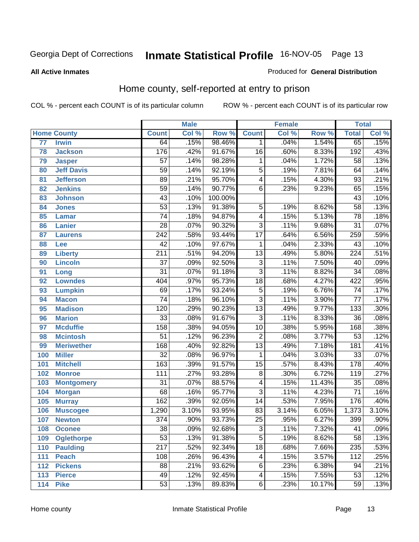### **All Active Inmates**

### Produced for **General Distribution**

# Home county, self-reported at entry to prison

|     |                    |                  | <b>Male</b> |         |                 | <b>Female</b> |        | <b>Total</b>     |       |
|-----|--------------------|------------------|-------------|---------|-----------------|---------------|--------|------------------|-------|
|     | <b>Home County</b> | <b>Count</b>     | Col %       | Row %   | <b>Count</b>    | Col %         | Row %  | <b>Total</b>     | Col % |
| 77  | <b>Irwin</b>       | 64               | .15%        | 98.46%  | $\mathbf{1}$    | .04%          | 1.54%  | 65               | .15%  |
| 78  | <b>Jackson</b>     | 176              | .42%        | 91.67%  | $\overline{16}$ | .60%          | 8.33%  | 192              | .43%  |
| 79  | <b>Jasper</b>      | $\overline{57}$  | .14%        | 98.28%  | $\mathbf{1}$    | .04%          | 1.72%  | $\overline{58}$  | .13%  |
| 80  | <b>Jeff Davis</b>  | $\overline{59}$  | .14%        | 92.19%  | $\overline{5}$  | .19%          | 7.81%  | 64               | .14%  |
| 81  | <b>Jefferson</b>   | $\overline{89}$  | .21%        | 95.70%  | 4               | .15%          | 4.30%  | $\overline{93}$  | .21%  |
| 82  | <b>Jenkins</b>     | $\overline{59}$  | .14%        | 90.77%  | $\overline{6}$  | .23%          | 9.23%  | 65               | .15%  |
| 83  | <b>Johnson</b>     | $\overline{43}$  | .10%        | 100.00% |                 |               |        | $\overline{43}$  | .10%  |
| 84  | <b>Jones</b>       | $\overline{53}$  | .13%        | 91.38%  | 5               | .19%          | 8.62%  | $\overline{58}$  | .13%  |
| 85  | <b>Lamar</b>       | $\overline{74}$  | .18%        | 94.87%  | 4               | .15%          | 5.13%  | $\overline{78}$  | .18%  |
| 86  | <b>Lanier</b>      | $\overline{28}$  | .07%        | 90.32%  | $\overline{3}$  | .11%          | 9.68%  | $\overline{31}$  | .07%  |
| 87  | <b>Laurens</b>     | 242              | .58%        | 93.44%  | $\overline{17}$ | .64%          | 6.56%  | 259              | .59%  |
| 88  | Lee                | $\overline{42}$  | .10%        | 97.67%  | $\mathbf{1}$    | .04%          | 2.33%  | $\overline{43}$  | .10%  |
| 89  | <b>Liberty</b>     | $\overline{211}$ | .51%        | 94.20%  | $\overline{13}$ | .49%          | 5.80%  | 224              | .51%  |
| 90  | <b>Lincoln</b>     | $\overline{37}$  | .09%        | 92.50%  | $\overline{3}$  | .11%          | 7.50%  | 40               | .09%  |
| 91  | Long               | $\overline{31}$  | .07%        | 91.18%  | $\overline{3}$  | .11%          | 8.82%  | $\overline{34}$  | .08%  |
| 92  | <b>Lowndes</b>     | 404              | .97%        | 95.73%  | $\overline{18}$ | .68%          | 4.27%  | 422              | .95%  |
| 93  | <b>Lumpkin</b>     | 69               | .17%        | 93.24%  | $\overline{5}$  | .19%          | 6.76%  | $\overline{74}$  | .17%  |
| 94  | <b>Macon</b>       | $\overline{74}$  | .18%        | 96.10%  | $\overline{3}$  | .11%          | 3.90%  | $\overline{77}$  | .17%  |
| 95  | <b>Madison</b>     | 120              | .29%        | 90.23%  | $\overline{13}$ | .49%          | 9.77%  | 133              | .30%  |
| 96  | <b>Marion</b>      | $\overline{33}$  | .08%        | 91.67%  | $\overline{3}$  | .11%          | 8.33%  | $\overline{36}$  | .08%  |
| 97  | <b>Mcduffie</b>    | 158              | .38%        | 94.05%  | $\overline{10}$ | .38%          | 5.95%  | 168              | .38%  |
| 98  | <b>Mcintosh</b>    | $\overline{51}$  | .12%        | 96.23%  | $\overline{2}$  | .08%          | 3.77%  | $\overline{53}$  | .12%  |
| 99  | <b>Meriwether</b>  | 168              | .40%        | 92.82%  | $\overline{13}$ | .49%          | 7.18%  | 181              | .41%  |
| 100 | <b>Miller</b>      | $\overline{32}$  | .08%        | 96.97%  | $\mathbf{1}$    | .04%          | 3.03%  | $\overline{33}$  | .07%  |
| 101 | <b>Mitchell</b>    | $\overline{163}$ | .39%        | 91.57%  | $\overline{15}$ | .57%          | 8.43%  | 178              | .40%  |
| 102 | <b>Monroe</b>      | 111              | .27%        | 93.28%  | $\overline{8}$  | .30%          | 6.72%  | $\overline{119}$ | .27%  |
| 103 | <b>Montgomery</b>  | $\overline{31}$  | .07%        | 88.57%  | 4               | .15%          | 11.43% | $\overline{35}$  | .08%  |
| 104 | <b>Morgan</b>      | $\overline{68}$  | .16%        | 95.77%  | $\overline{3}$  | .11%          | 4.23%  | $\overline{71}$  | .16%  |
| 105 | <b>Murray</b>      | $\overline{162}$ | .39%        | 92.05%  | $\overline{14}$ | .53%          | 7.95%  | 176              | .40%  |
| 106 | <b>Muscogee</b>    | 1,290            | 3.10%       | 93.95%  | 83              | 3.14%         | 6.05%  | 1,373            | 3.10% |
| 107 | <b>Newton</b>      | $\overline{374}$ | .90%        | 93.73%  | $\overline{25}$ | .95%          | 6.27%  | 399              | .90%  |
| 108 | <b>Oconee</b>      | 38               | .09%        | 92.68%  | 3               | .11%          | 7.32%  | 41               | .09%  |
| 109 | <b>Oglethorpe</b>  | $\overline{53}$  | .13%        | 91.38%  | $\overline{5}$  | .19%          | 8.62%  | $\overline{58}$  | .13%  |
| 110 | <b>Paulding</b>    | $\overline{217}$ | .52%        | 92.34%  | $\overline{18}$ | .68%          | 7.66%  | 235              | .53%  |
| 111 | <b>Peach</b>       | 108              | .26%        | 96.43%  | 4               | .15%          | 3.57%  | $\overline{112}$ | .25%  |
| 112 | <b>Pickens</b>     | $\overline{88}$  | .21%        | 93.62%  | $\,6$           | .23%          | 6.38%  | $\overline{94}$  | .21%  |
| 113 | <b>Pierce</b>      | 49               | .12%        | 92.45%  | 4               | .15%          | 7.55%  | 53               | .12%  |
| 114 | <b>Pike</b>        | $\overline{53}$  | .13%        | 89.83%  | $\overline{6}$  | .23%          | 10.17% | 59               | .13%  |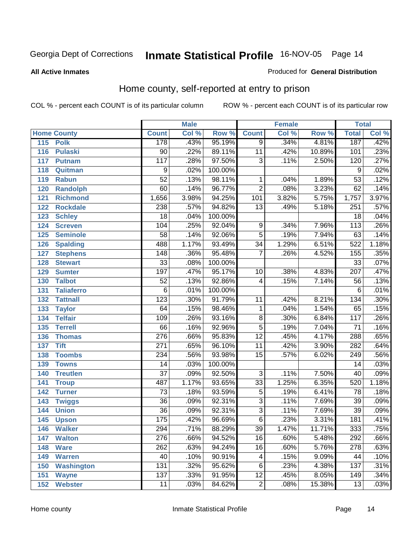#### **All Active Inmates**

### Produced for **General Distribution**

# Home county, self-reported at entry to prison

|                          |                  | <b>Male</b> |         |                         | <b>Female</b> |        | <b>Total</b>     |       |
|--------------------------|------------------|-------------|---------|-------------------------|---------------|--------|------------------|-------|
| <b>Home County</b>       | <b>Count</b>     | Col %       | Row %   | <b>Count</b>            | Col %         | Row %  | <b>Total</b>     | Col % |
| 115 Polk                 | 178              | .43%        | 95.19%  | $\overline{9}$          | .34%          | 4.81%  | 187              | .42%  |
| 116<br><b>Pulaski</b>    | $\overline{90}$  | .22%        | 89.11%  | $\overline{11}$         | .42%          | 10.89% | 101              | .23%  |
| 117<br><b>Putnam</b>     | $\overline{117}$ | .28%        | 97.50%  | $\overline{3}$          | .11%          | 2.50%  | 120              | .27%  |
| 118<br>Quitman           | $\overline{9}$   | .02%        | 100.00% |                         |               |        | 9                | .02%  |
| 119<br><b>Rabun</b>      | $\overline{52}$  | .13%        | 98.11%  | 1                       | .04%          | 1.89%  | $\overline{53}$  | .12%  |
| 120<br><b>Randolph</b>   | $\overline{60}$  | .14%        | 96.77%  | $\overline{2}$          | .08%          | 3.23%  | 62               | .14%  |
| 121<br><b>Richmond</b>   | 1,656            | 3.98%       | 94.25%  | 101                     | 3.82%         | 5.75%  | 1,757            | 3.97% |
| 122<br><b>Rockdale</b>   | 238              | .57%        | 94.82%  | $\overline{13}$         | .49%          | 5.18%  | 251              | .57%  |
| 123<br><b>Schley</b>     | $\overline{18}$  | .04%        | 100.00% |                         |               |        | $\overline{18}$  | .04%  |
| 124<br><b>Screven</b>    | 104              | .25%        | 92.04%  | 9                       | .34%          | 7.96%  | $\overline{113}$ | .26%  |
| <b>Seminole</b><br>125   | $\overline{58}$  | .14%        | 92.06%  | $\overline{5}$          | .19%          | 7.94%  | 63               | .14%  |
| 126<br><b>Spalding</b>   | 488              | 1.17%       | 93.49%  | $\overline{34}$         | 1.29%         | 6.51%  | 522              | 1.18% |
| 127<br><b>Stephens</b>   | $\overline{148}$ | .36%        | 95.48%  | $\overline{7}$          | .26%          | 4.52%  | 155              | .35%  |
| 128<br><b>Stewart</b>    | $\overline{33}$  | .08%        | 100.00% |                         |               |        | $\overline{33}$  | .07%  |
| 129<br><b>Sumter</b>     | 197              | .47%        | 95.17%  | 10                      | .38%          | 4.83%  | 207              | .47%  |
| <b>Talbot</b><br>130     | $\overline{52}$  | .13%        | 92.86%  | $\overline{4}$          | .15%          | 7.14%  | $\overline{56}$  | .13%  |
| <b>Taliaferro</b><br>131 | $\overline{6}$   | .01%        | 100.00% |                         |               |        | 6                | .01%  |
| 132<br><b>Tattnall</b>   | $\overline{123}$ | .30%        | 91.79%  | 11                      | .42%          | 8.21%  | 134              | .30%  |
| 133<br><b>Taylor</b>     | 64               | .15%        | 98.46%  | 1                       | .04%          | 1.54%  | $\overline{65}$  | .15%  |
| <b>Telfair</b><br>134    | 109              | .26%        | 93.16%  | $\overline{8}$          | .30%          | 6.84%  | $\overline{117}$ | .26%  |
| 135<br><b>Terrell</b>    | $\overline{66}$  | .16%        | 92.96%  | $\overline{5}$          | .19%          | 7.04%  | $\overline{71}$  | .16%  |
| 136<br><b>Thomas</b>     | $\overline{276}$ | .66%        | 95.83%  | $\overline{12}$         | .45%          | 4.17%  | 288              | .65%  |
| <b>Tift</b><br>137       | $\overline{271}$ | .65%        | 96.10%  | $\overline{11}$         | .42%          | 3.90%  | $\overline{282}$ | .64%  |
| <b>Toombs</b><br>138     | 234              | .56%        | 93.98%  | $\overline{15}$         | .57%          | 6.02%  | 249              | .56%  |
| 139<br><b>Towns</b>      | $\overline{14}$  | .03%        | 100.00% |                         |               |        | $\overline{14}$  | .03%  |
| 140<br><b>Treutlen</b>   | $\overline{37}$  | .09%        | 92.50%  | $\overline{3}$          | .11%          | 7.50%  | $\overline{40}$  | .09%  |
| 141<br><b>Troup</b>      | 487              | 1.17%       | 93.65%  | $\overline{33}$         | 1.25%         | 6.35%  | 520              | 1.18% |
| 142<br><b>Turner</b>     | $\overline{73}$  | .18%        | 93.59%  | $\overline{5}$          | .19%          | 6.41%  | $\overline{78}$  | .18%  |
| 143<br><b>Twiggs</b>     | $\overline{36}$  | .09%        | 92.31%  | $\overline{3}$          | .11%          | 7.69%  | $\overline{39}$  | .09%  |
| <b>Union</b><br>144      | $\overline{36}$  | .09%        | 92.31%  | $\overline{3}$          | .11%          | 7.69%  | $\overline{39}$  | .09%  |
| 145<br><b>Upson</b>      | 175              | .42%        | 96.69%  | $\overline{6}$          | .23%          | 3.31%  | 181              | .41%  |
| <b>Walker</b><br>146     | 294              | .71%        | 88.29%  | 39                      | 1.47%         | 11.71% | 333              | .75%  |
| 147<br><b>Walton</b>     | $\overline{276}$ | .66%        | 94.52%  | $\overline{16}$         | .60%          | 5.48%  | 292              | .66%  |
| <b>Ware</b><br>148       | 262              | .63%        | 94.24%  | $\overline{16}$         | .60%          | 5.76%  | $\overline{278}$ | .63%  |
| 149<br><b>Warren</b>     | $\overline{40}$  | .10%        | 90.91%  | $\overline{\mathbf{4}}$ | .15%          | 9.09%  | 44               | .10%  |
| <b>Washington</b><br>150 | 131              | .32%        | 95.62%  | $\overline{6}$          | .23%          | 4.38%  | 137              | .31%  |
| 151<br><b>Wayne</b>      | $\overline{137}$ | .33%        | 91.95%  | $\overline{12}$         | .45%          | 8.05%  | 149              | .34%  |
| <b>Webster</b><br>152    | 11               | .03%        | 84.62%  | $\overline{2}$          | .08%          | 15.38% | 13               | .03%  |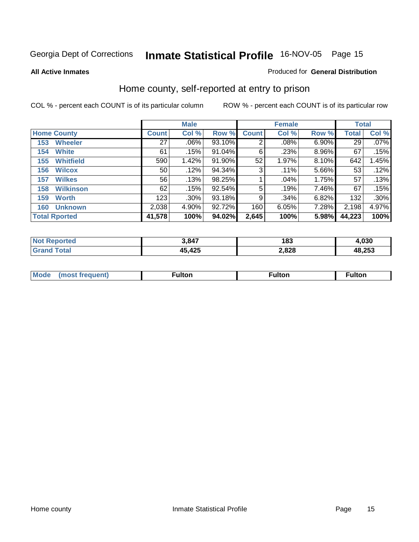### **All Active Inmates**

### Produced for **General Distribution**

# Home county, self-reported at entry to prison

|     |                      | <b>Male</b>  |       |        |              | <b>Female</b> | <b>Total</b> |              |         |
|-----|----------------------|--------------|-------|--------|--------------|---------------|--------------|--------------|---------|
|     | <b>Home County</b>   | <b>Count</b> | Col % | Row %  | <b>Count</b> | Col %         | Row %        | <b>Total</b> | Col %   |
| 153 | <b>Wheeler</b>       | 27           | .06%  | 93.10% | 2            | .08%          | 6.90%        | 29           | $.07\%$ |
| 154 | <b>White</b>         | 61           | .15%  | 91.04% | 6            | .23%          | 8.96%        | 67           | .15%    |
| 155 | <b>Whitfield</b>     | 590          | 1.42% | 91.90% | 52           | 1.97%         | $8.10\%$     | 642          | 1.45%   |
| 156 | <b>Wilcox</b>        | 50           | .12%  | 94.34% | 3            | .11%          | 5.66%        | 53           | .12%    |
| 157 | <b>Wilkes</b>        | 56           | .13%  | 98.25% |              | .04%          | 1.75%        | 57           | .13%    |
| 158 | <b>Wilkinson</b>     | 62           | .15%  | 92.54% | 5            | .19%          | 7.46%        | 67           | .15%    |
| 159 | <b>Worth</b>         | 123          | .30%  | 93.18% | 9            | .34%          | 6.82%        | 132          | .30%    |
| 160 | <b>Unknown</b>       | 2,038        | 4.90% | 92.72% | 160          | 6.05%         | 7.28%        | 2,198        | 4.97%   |
|     | <b>Total Rported</b> | 41,578       | 100%  | 94.02% | 2,645        | 100%          | 5.98%        | 44,223       | 100%    |

| N <sub>01</sub><br>тас | 3 847  | 183   | 1,030  |
|------------------------|--------|-------|--------|
| <b>otal</b>            | 45,425 | 2,828 | 48,253 |

| <b>Mode</b> | ultor | <sup>:</sup> ulton<br> | . |
|-------------|-------|------------------------|---|
|             |       |                        |   |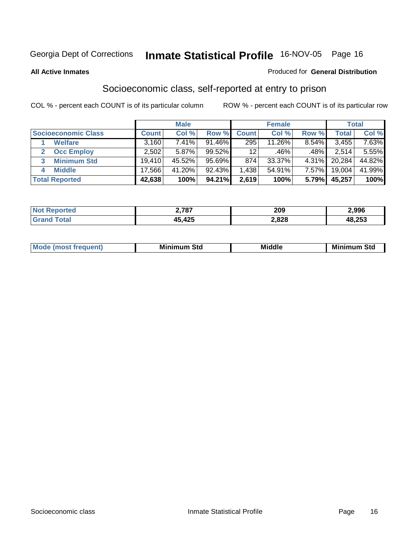### **All Active Inmates**

### Produced for **General Distribution**

# Socioeconomic class, self-reported at entry to prison

|                            |              | <b>Male</b> |           |                 | <b>Female</b> |       |                    | <b>Total</b> |
|----------------------------|--------------|-------------|-----------|-----------------|---------------|-------|--------------------|--------------|
| <b>Socioeconomic Class</b> | <b>Count</b> | Col %       | Row %     | <b>Count</b>    | Col %         | Row % | Total <sub>1</sub> | Col %        |
| <b>Welfare</b>             | 3,160        | $7.41\%$    | 91.46%    | 295             | 11.26%        | 8.54% | 3,455              | 7.63%        |
| <b>Occ Employ</b><br>2     | 2,502        | $5.87\%$    | $99.52\%$ | 12 <sup>°</sup> | .46%          | .48%  | 2.514              | 5.55%        |
| <b>Minimum Std</b><br>3    | 19.410       | 45.52%      | 95.69%    | 874             | 33.37%        | 4.31% | 20,284             | 44.82%       |
| <b>Middle</b><br>4         | 17,566       | 41.20%      | 92.43%    | .438            | 54.91%        | 7.57% | 19,004             | 41.99%       |
| <b>Total Reported</b>      | 42,638       | 100%        | 94.21%    | 2,619           | 100%          | 5.79% | 45,257             | 100%         |

| <b>Not Reported</b> | 2,787  | 209   | 2,996  |
|---------------------|--------|-------|--------|
| . Gra <sup>r</sup>  | 45,425 | 2,828 | 48,253 |

|  | $-$<br>IM 6 | Std<br>M. | . | Mil<br>84J<br>ວເບ<br>$   -$ |
|--|-------------|-----------|---|-----------------------------|
|--|-------------|-----------|---|-----------------------------|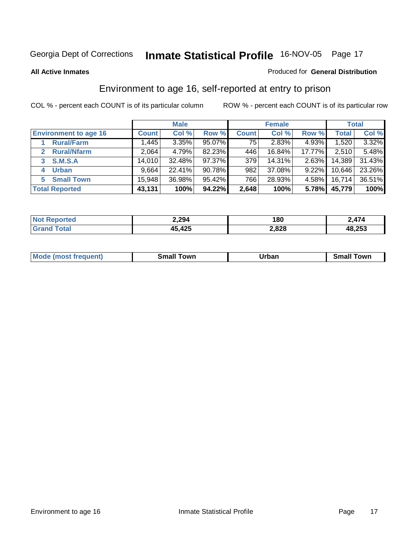### **All Active Inmates**

### Produced for **General Distribution**

# Environment to age 16, self-reported at entry to prison

|                              |              | <b>Male</b> |        |              | <b>Female</b> |          |        | <b>Total</b> |
|------------------------------|--------------|-------------|--------|--------------|---------------|----------|--------|--------------|
| <b>Environment to age 16</b> | <b>Count</b> | Col %       | Row %  | <b>Count</b> | Col %         | Row %    | Total  | Col %        |
| <b>Rural/Farm</b>            | 1,445        | 3.35%       | 95.07% | 75           | 2.83%         | 4.93%    | 1,520  | 3.32%        |
| <b>Rural/Nfarm</b>           | 2,064        | 4.79%       | 82.23% | 446          | 16.84%        | 17.77%   | 2,510  | 5.48%        |
| <b>S.M.S.A</b><br>3          | 14,010       | 32.48%      | 97.37% | 379          | 14.31%        | 2.63%    | 14,389 | 31.43%       |
| <b>Urban</b><br>4            | 9,664        | 22.41%      | 90.78% | 982          | 37.08%        | $9.22\%$ | 10,646 | 23.26%       |
| <b>Small Town</b><br>5       | 15,948       | 36.98%      | 95.42% | 766          | 28.93%        | 4.58%    | 16,714 | 36.51%       |
| <b>Total Reported</b>        | 43,131       | 100%        | 94.22% | 2,648        | 100%          | 5.78%    | 45,779 | 100%         |

| Reported<br><b>NO1</b> | 2,294        | 180   | $\rightarrow$ |
|------------------------|--------------|-------|---------------|
| Total                  | 45,425<br>45 | 2,828 | 48,253        |

| Mo<br>ant.<br>anev | owr<br>---- | Irhan<br>'ı val<br>_____ | .owr |
|--------------------|-------------|--------------------------|------|
|                    |             |                          |      |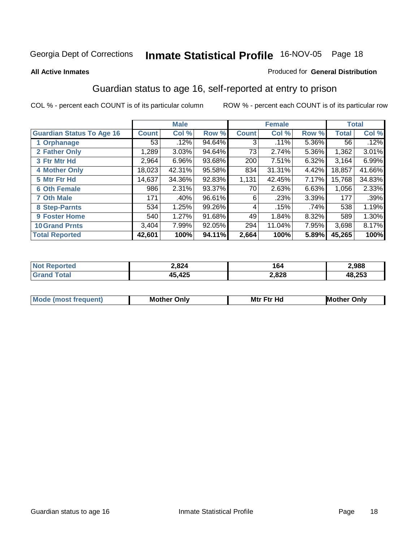### **All Active Inmates**

### Produced for **General Distribution**

# Guardian status to age 16, self-reported at entry to prison

|                                  |              | <b>Male</b> |        |              | <b>Female</b> |       |                 | <b>Total</b> |
|----------------------------------|--------------|-------------|--------|--------------|---------------|-------|-----------------|--------------|
| <b>Guardian Status To Age 16</b> | <b>Count</b> | Col %       | Row %  | <b>Count</b> | Col %         | Row % | <b>Total</b>    | Col %        |
| 1 Orphanage                      | 53           | .12%        | 94.64% | 3            | $.11\%$       | 5.36% | 56 <sup>1</sup> | .12%         |
| 2 Father Only                    | 1,289        | 3.03%       | 94.64% | 73           | 2.74%         | 5.36% | 1,362           | 3.01%        |
| 3 Ftr Mtr Hd                     | 2,964        | 6.96%       | 93.68% | 200          | 7.51%         | 6.32% | 3,164           | 6.99%        |
| <b>4 Mother Only</b>             | 18,023       | 42.31%      | 95.58% | 834          | 31.31%        | 4.42% | 18,857          | 41.66%       |
| 5 Mtr Ftr Hd                     | 14,637       | 34.36%      | 92.83% | 1,131        | 42.45%        | 7.17% | 15,768          | 34.83%       |
| <b>6 Oth Female</b>              | 986          | 2.31%       | 93.37% | 70           | 2.63%         | 6.63% | 1,056           | 2.33%        |
| <b>7 Oth Male</b>                | 171          | .40%        | 96.61% | 6            | .23%          | 3.39% | 177             | .39%         |
| 8 Step-Parnts                    | 534          | 1.25%       | 99.26% | 4            | .15%          | .74%  | 538             | 1.19%        |
| <b>9 Foster Home</b>             | 540          | 1.27%       | 91.68% | 49           | 1.84%         | 8.32% | 589             | 1.30%        |
| <b>10 Grand Prnts</b>            | 3,404        | 7.99%       | 92.05% | 294          | 11.04%        | 7.95% | 3,698           | 8.17%        |
| <b>Total Reported</b>            | 42,601       | 100%        | 94.11% | 2,664        | 100%          | 5.89% | 45,265          | 100%         |

| 2,824<br>-,--- | . .<br>104 | 988.!        |
|----------------|------------|--------------|
| $\sqrt{2}$     | 2,828      | 18,253<br>4Ъ |

| Mode             | Mother | Mtr Ftr Hd                                                                                                      | Only   |
|------------------|--------|-----------------------------------------------------------------------------------------------------------------|--------|
| most frequent) د | Only   | the contract of the contract of the contract of the contract of the contract of the contract of the contract of | Mother |
|                  |        |                                                                                                                 |        |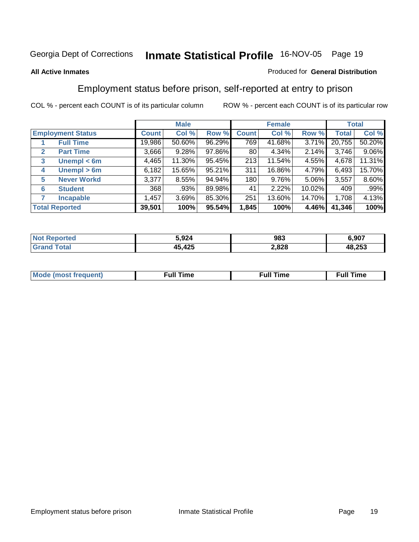### **All Active Inmates**

### Produced for **General Distribution**

# Employment status before prison, self-reported at entry to prison

|                                  |              | <b>Male</b> |        |              | <b>Female</b> |          |        | <b>Total</b> |
|----------------------------------|--------------|-------------|--------|--------------|---------------|----------|--------|--------------|
| <b>Employment Status</b>         | <b>Count</b> | Col %       | Row %  | <b>Count</b> | Col %         | Row %    | Total  | Col %        |
| <b>Full Time</b>                 | 19,986       | 50.60%      | 96.29% | 769          | 41.68%        | 3.71%    | 20,755 | 50.20%       |
| <b>Part Time</b><br>$\mathbf{2}$ | 3,666        | 9.28%       | 97.86% | 80           | 4.34%         | 2.14%    | 3,746  | $9.06\%$     |
| Unempl $<$ 6m<br>3               | 4,465        | 11.30%      | 95.45% | 213          | 11.54%        | 4.55%    | 4,678  | 11.31%       |
| Unempl > 6m<br>4                 | 6,182        | 15.65%      | 95.21% | 311          | 16.86%        | 4.79%    | 6,493  | 15.70%       |
| <b>Never Workd</b><br>5          | 3,377        | 8.55%       | 94.94% | 180          | 9.76%         | $5.06\%$ | 3,557  | 8.60%        |
| <b>Student</b><br>6              | 368          | .93%        | 89.98% | 41           | 2.22%         | 10.02%   | 409    | .99%         |
| <b>Incapable</b><br>7            | 1,457        | 3.69%       | 85.30% | 251          | 13.60%        | 14.70%   | 1,708  | 4.13%        |
| <b>Total Reported</b>            | 39,501       | 100%        | 95.54% | 1,845        | 100%          | 4.46%    | 41,346 | 100%         |

| τρι<br>N | 3.924      | 983   | .907   |
|----------|------------|-------|--------|
|          | $\sqrt{2}$ | 2,828 | 48,253 |

| M | . .<br><br>the contract of the contract of the contract of the contract of the contract of the contract of the contract of | <b>Full Time</b> |
|---|----------------------------------------------------------------------------------------------------------------------------|------------------|
|   |                                                                                                                            |                  |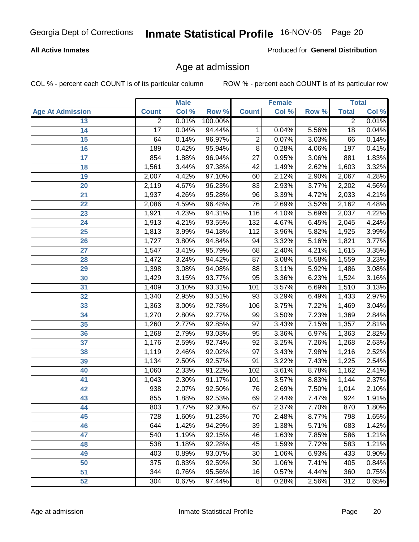### **All Active Inmates**

Produced for **General Distribution**

# Age at admission

|                         |                  | <b>Male</b> |         |                  | <b>Female</b> |       | <b>Total</b>    |       |
|-------------------------|------------------|-------------|---------|------------------|---------------|-------|-----------------|-------|
| <b>Age At Admission</b> | <b>Count</b>     | Col %       | Row %   | <b>Count</b>     | Col %         | Row % | <b>Total</b>    | Col % |
| 13                      | $\overline{2}$   | 0.01%       | 100.00% |                  |               |       | $\overline{2}$  | 0.01% |
| $\overline{14}$         | 17               | 0.04%       | 94.44%  | $\mathbf 1$      | 0.04%         | 5.56% | $\overline{18}$ | 0.04% |
| 15                      | 64               | 0.14%       | 96.97%  | $\overline{2}$   | 0.07%         | 3.03% | 66              | 0.14% |
| 16                      | 189              | 0.42%       | 95.94%  | $\overline{8}$   | 0.28%         | 4.06% | 197             | 0.41% |
| 17                      | 854              | 1.88%       | 96.94%  | $\overline{27}$  | 0.95%         | 3.06% | 881             | 1.83% |
| 18                      | 1,561            | 3.44%       | 97.38%  | $\overline{42}$  | 1.49%         | 2.62% | 1,603           | 3.32% |
| 19                      | 2,007            | 4.42%       | 97.10%  | $\overline{60}$  | 2.12%         | 2.90% | 2,067           | 4.28% |
| 20                      | 2,119            | 4.67%       | 96.23%  | $\overline{83}$  | 2.93%         | 3.77% | 2,202           | 4.56% |
| 21                      | 1,937            | 4.26%       | 95.28%  | 96               | 3.39%         | 4.72% | 2,033           | 4.21% |
| 22                      | 2,086            | 4.59%       | 96.48%  | 76               | 2.69%         | 3.52% | 2,162           | 4.48% |
| 23                      | 1,921            | 4.23%       | 94.31%  | 116              | 4.10%         | 5.69% | 2,037           | 4.22% |
| 24                      | 1,913            | 4.21%       | 93.55%  | $\overline{132}$ | 4.67%         | 6.45% | 2,045           | 4.24% |
| $\overline{25}$         | 1,813            | 3.99%       | 94.18%  | $\overline{112}$ | 3.96%         | 5.82% | 1,925           | 3.99% |
| 26                      | 1,727            | 3.80%       | 94.84%  | 94               | 3.32%         | 5.16% | 1,821           | 3.77% |
| 27                      | 1,547            | 3.41%       | 95.79%  | 68               | 2.40%         | 4.21% | 1,615           | 3.35% |
| 28                      | 1,472            | 3.24%       | 94.42%  | 87               | 3.08%         | 5.58% | 1,559           | 3.23% |
| 29                      | 1,398            | 3.08%       | 94.08%  | $\overline{88}$  | 3.11%         | 5.92% | 1,486           | 3.08% |
| 30                      | 1,429            | 3.15%       | 93.77%  | 95               | 3.36%         | 6.23% | 1,524           | 3.16% |
| 31                      | 1,409            | 3.10%       | 93.31%  | 101              | 3.57%         | 6.69% | 1,510           | 3.13% |
| 32                      | 1,340            | 2.95%       | 93.51%  | $\overline{93}$  | 3.29%         | 6.49% | 1,433           | 2.97% |
| 33                      | 1,363            | 3.00%       | 92.78%  | 106              | 3.75%         | 7.22% | 1,469           | 3.04% |
| 34                      | 1,270            | 2.80%       | 92.77%  | 99               | 3.50%         | 7.23% | 1,369           | 2.84% |
| 35                      | 1,260            | 2.77%       | 92.85%  | $\overline{97}$  | 3.43%         | 7.15% | 1,357           | 2.81% |
| 36                      | 1,268            | 2.79%       | 93.03%  | $\overline{95}$  | 3.36%         | 6.97% | 1,363           | 2.82% |
| 37                      | 1,176            | 2.59%       | 92.74%  | $\overline{92}$  | 3.25%         | 7.26% | 1,268           | 2.63% |
| 38                      | 1,119            | 2.46%       | 92.02%  | $\overline{97}$  | 3.43%         | 7.98% | 1,216           | 2.52% |
| 39                      | 1,134            | 2.50%       | 92.57%  | $\overline{91}$  | 3.22%         | 7.43% | 1,225           | 2.54% |
| 40                      | 1,060            | 2.33%       | 91.22%  | 102              | 3.61%         | 8.78% | 1,162           | 2.41% |
| 41                      | 1,043            | 2.30%       | 91.17%  | 101              | 3.57%         | 8.83% | 1,144           | 2.37% |
| 42                      | 938              | 2.07%       | 92.50%  | 76               | 2.69%         | 7.50% | 1,014           | 2.10% |
| 43                      | 855              | 1.88%       | 92.53%  | 69               | 2.44%         | 7.47% | 924             | 1.91% |
| 44                      | 803              | 1.77%       | 92.30%  | 67               | 2.37%         | 7.70% | 870             | 1.80% |
| 45                      | $\overline{728}$ | 1.60%       | 91.23%  | $\overline{70}$  | 2.48%         | 8.77% | 798             | 1.65% |
| 46                      | 644              | 1.42%       | 94.29%  | 39               | 1.38%         | 5.71% | 683             | 1.42% |
| 47                      | 540              | 1.19%       | 92.15%  | 46               | 1.63%         | 7.85% | 586             | 1.21% |
| 48                      | 538              | 1.18%       | 92.28%  | 45               | 1.59%         | 7.72% | 583             | 1.21% |
| 49                      | 403              | 0.89%       | 93.07%  | 30               | 1.06%         | 6.93% | 433             | 0.90% |
| 50                      | 375              | 0.83%       | 92.59%  | 30               | 1.06%         | 7.41% | 405             | 0.84% |
| 51                      | 344              | 0.76%       | 95.56%  | 16               | 0.57%         | 4.44% | 360             | 0.75% |
| 52                      | 304              | 0.67%       | 97.44%  | 8                | 0.28%         | 2.56% | 312             | 0.65% |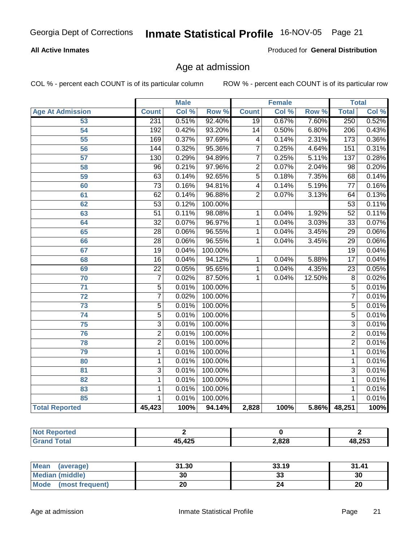### **All Active Inmates**

Produced for **General Distribution**

# Age at admission

|                          |                 | <b>Male</b> |         |                         | <b>Female</b> |        |                           | <b>Total</b> |
|--------------------------|-----------------|-------------|---------|-------------------------|---------------|--------|---------------------------|--------------|
| <b>Age At Admission</b>  | <b>Count</b>    | Col %       | Row %   | <b>Count</b>            | Col %         | Row %  | <b>Total</b>              | Col %        |
| 53                       | 231             | 0.51%       | 92.40%  | $\overline{19}$         | 0.67%         | 7.60%  | 250                       | 0.52%        |
| $\overline{54}$          | 192             | 0.42%       | 93.20%  | 14                      | 0.50%         | 6.80%  | 206                       | 0.43%        |
| 55                       | 169             | 0.37%       | 97.69%  | $\overline{\mathbf{4}}$ | 0.14%         | 2.31%  | $\overline{173}$          | 0.36%        |
| 56                       | 144             | 0.32%       | 95.36%  | $\overline{7}$          | 0.25%         | 4.64%  | 151                       | 0.31%        |
| $\overline{57}$          | 130             | 0.29%       | 94.89%  | $\overline{7}$          | 0.25%         | 5.11%  | 137                       | 0.28%        |
| 58                       | $\overline{96}$ | 0.21%       | 97.96%  | $\overline{2}$          | 0.07%         | 2.04%  | $\overline{98}$           | 0.20%        |
| 59                       | $\overline{63}$ | 0.14%       | 92.65%  | $\overline{5}$          | 0.18%         | 7.35%  | 68                        | 0.14%        |
| 60                       | $\overline{73}$ | 0.16%       | 94.81%  | $\overline{4}$          | 0.14%         | 5.19%  | $\overline{77}$           | 0.16%        |
| 61                       | $\overline{62}$ | 0.14%       | 96.88%  | $\overline{2}$          | 0.07%         | 3.13%  | 64                        | 0.13%        |
| 62                       | $\overline{53}$ | 0.12%       | 100.00% |                         |               |        | $\overline{53}$           | 0.11%        |
| 63                       | $\overline{51}$ | 0.11%       | 98.08%  | 1                       | 0.04%         | 1.92%  | $\overline{52}$           | 0.11%        |
| 64                       | $\overline{32}$ | 0.07%       | 96.97%  | 1                       | 0.04%         | 3.03%  | $\overline{33}$           | 0.07%        |
| 65                       | $\overline{28}$ | 0.06%       | 96.55%  | 1                       | 0.04%         | 3.45%  | $\overline{29}$           | 0.06%        |
| 66                       | $\overline{28}$ | 0.06%       | 96.55%  | 1                       | 0.04%         | 3.45%  | $\overline{29}$           | 0.06%        |
| 67                       | $\overline{19}$ | 0.04%       | 100.00% |                         |               |        | $\overline{19}$           | 0.04%        |
| 68                       | $\overline{16}$ | 0.04%       | 94.12%  | 1                       | 0.04%         | 5.88%  | $\overline{17}$           | 0.04%        |
| 69                       | $\overline{22}$ | 0.05%       | 95.65%  | 1                       | 0.04%         | 4.35%  | $\overline{23}$           | 0.05%        |
| 70                       | $\overline{7}$  | 0.02%       | 87.50%  | 1                       | 0.04%         | 12.50% | $\overline{8}$            | 0.02%        |
| $\overline{71}$          | $\overline{5}$  | 0.01%       | 100.00% |                         |               |        | $\overline{5}$            | 0.01%        |
| 72                       | $\overline{7}$  | 0.02%       | 100.00% |                         |               |        | $\overline{7}$            | 0.01%        |
| $\overline{73}$          | $\overline{5}$  | 0.01%       | 100.00% |                         |               |        | $\overline{5}$            | 0.01%        |
| $\overline{74}$          | $\overline{5}$  | 0.01%       | 100.00% |                         |               |        | $\overline{5}$            | 0.01%        |
| $\overline{75}$          | $\overline{3}$  | 0.01%       | 100.00% |                         |               |        | $\overline{\overline{3}}$ | 0.01%        |
| 76                       | $\overline{2}$  | 0.01%       | 100.00% |                         |               |        | $\overline{2}$            | 0.01%        |
| 78                       | $\overline{2}$  | 0.01%       | 100.00% |                         |               |        | $\overline{2}$            | 0.01%        |
| 79                       | $\overline{1}$  | 0.01%       | 100.00% |                         |               |        | $\mathbf{1}$              | 0.01%        |
| 80                       | $\mathbf 1$     | 0.01%       | 100.00% |                         |               |        | $\mathbf{1}$              | 0.01%        |
| $\overline{\mathbf{81}}$ | $\overline{3}$  | 0.01%       | 100.00% |                         |               |        | $\overline{3}$            | 0.01%        |
| 82                       | $\mathbf{1}$    | 0.01%       | 100.00% |                         |               |        | $\overline{1}$            | 0.01%        |
| 83                       | 1               | 0.01%       | 100.00% |                         |               |        | 1                         | 0.01%        |
| 85                       | $\mathbf 1$     | 0.01%       | 100.00% |                         |               |        | 1                         | 0.01%        |
| <b>Total Reported</b>    | 45,423          | 100%        | 94.14%  | 2,828                   | 100%          | 5.86%  | 48,251                    | 100%         |

| <b>enorted</b><br>I NOT. |               |       |        |
|--------------------------|---------------|-------|--------|
| <b>ota</b><br>. Grs      | <b>A5 A25</b> | 2,828 | 48,253 |

| Mean<br>(average)       | 31.30 | 33.19 | 31.41 |
|-------------------------|-------|-------|-------|
| <b>Median (middle)</b>  | 30    | 33    | 30    |
| Mode<br>(most frequent) | 20    |       | 20    |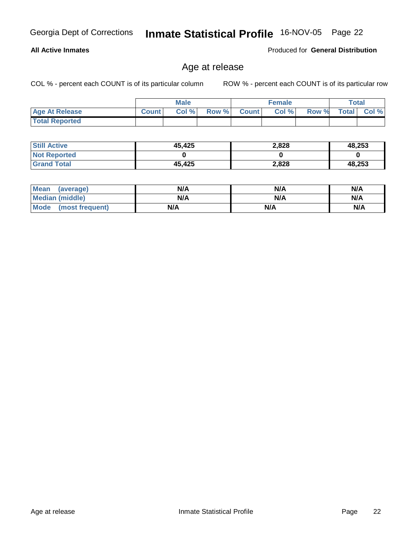**Age At Release Count Col % Row % Count Col % Row % Total Col %** 

**All Active Inmates**

| <b>Still Active</b> | 45,425 | 2,828 | 48,253 |
|---------------------|--------|-------|--------|
| <b>Not Reported</b> |        |       |        |
| <b>Grand Total</b>  | 45,425 | 2,828 | 48,253 |

**Male**

Age at release

| <b>Mean</b><br>(average) | N/A | N/A | N/A |
|--------------------------|-----|-----|-----|
| <b>Median (middle)</b>   | N/A | N/A | N/A |
| Mode (most frequent)     | N/A | N/A | N/A |

 **Total Reported**

COL % - percent each COUNT is of its particular column ROW % - percent each COUNT is of its particular row

**Female Total**

Produced for **General Distribution**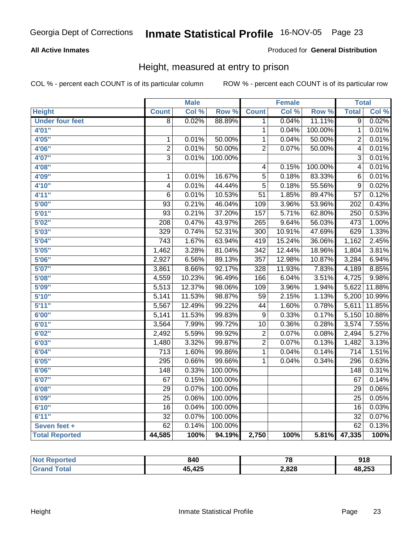### **All Active Inmates**

### Produced for **General Distribution**

# Height, measured at entry to prison

|                        |                  | <b>Male</b> |         |                  | <b>Female</b> |         | <b>Total</b>     |        |
|------------------------|------------------|-------------|---------|------------------|---------------|---------|------------------|--------|
| <b>Height</b>          | <b>Count</b>     | Col %       | Row %   | <b>Count</b>     | Col %         | Row %   | <b>Total</b>     | Col %  |
| <b>Under four feet</b> | $\overline{8}$   | 0.02%       | 88.89%  | 1                | 0.04%         | 11.11%  | $\overline{9}$   | 0.02%  |
| 4'01"                  |                  |             |         | 1                | 0.04%         | 100.00% | $\mathbf 1$      | 0.01%  |
| 4'05"                  | $\mathbf 1$      | 0.01%       | 50.00%  | 1                | 0.04%         | 50.00%  | $\overline{2}$   | 0.01%  |
| 4'06"                  | $\overline{2}$   | 0.01%       | 50.00%  | $\overline{2}$   | 0.07%         | 50.00%  | $\overline{4}$   | 0.01%  |
| 4'07"                  | $\overline{3}$   | 0.01%       | 100.00% |                  |               |         | $\overline{3}$   | 0.01%  |
| 4'08"                  |                  |             |         | $\overline{4}$   | 0.15%         | 100.00% | $\overline{4}$   | 0.01%  |
| 4'09"                  | $\overline{1}$   | 0.01%       | 16.67%  | $\overline{5}$   | 0.18%         | 83.33%  | 6                | 0.01%  |
| 4'10"                  | $\overline{4}$   | 0.01%       | 44.44%  | $\overline{5}$   | 0.18%         | 55.56%  | $\overline{9}$   | 0.02%  |
| 4'11''                 | $\overline{6}$   | 0.01%       | 10.53%  | $\overline{51}$  | 1.85%         | 89.47%  | $\overline{57}$  | 0.12%  |
| 5'00''                 | $\overline{93}$  | 0.21%       | 46.04%  | 109              | 3.96%         | 53.96%  | 202              | 0.43%  |
| 5'01''                 | $\overline{93}$  | 0.21%       | 37.20%  | $\overline{157}$ | 5.71%         | 62.80%  | 250              | 0.53%  |
| 5'02''                 | 208              | 0.47%       | 43.97%  | $\overline{265}$ | 9.64%         | 56.03%  | 473              | 1.00%  |
| 5'03''                 | 329              | 0.74%       | 52.31%  | $\overline{300}$ | 10.91%        | 47.69%  | 629              | 1.33%  |
| 5'04"                  | $\overline{743}$ | 1.67%       | 63.94%  | 419              | 15.24%        | 36.06%  | 1,162            | 2.45%  |
| 5'05"                  | 1,462            | 3.28%       | 81.04%  | $\overline{342}$ | 12.44%        | 18.96%  | 1,804            | 3.81%  |
| 5'06''                 | 2,927            | 6.56%       | 89.13%  | $\overline{357}$ | 12.98%        | 10.87%  | 3,284            | 6.94%  |
| 5'07''                 | 3,861            | 8.66%       | 92.17%  | 328              | 11.93%        | 7.83%   | 4,189            | 8.85%  |
| 5'08''                 | 4,559            | 10.23%      | 96.49%  | 166              | 6.04%         | 3.51%   | 4,725            | 9.98%  |
| 5'09''                 | 5,513            | 12.37%      | 98.06%  | $\overline{109}$ | 3.96%         | 1.94%   | 5,622            | 11.88% |
| 5'10''                 | 5,141            | 11.53%      | 98.87%  | $\overline{59}$  | 2.15%         | 1.13%   | 5,200            | 10.99% |
| 5'11''                 | 5,567            | 12.49%      | 99.22%  | 44               | 1.60%         | 0.78%   | 5,611            | 11.85% |
| 6'00''                 | 5,141            | 11.53%      | 99.83%  | 9                | 0.33%         | 0.17%   | 5,150            | 10.88% |
| 6'01''                 | 3,564            | 7.99%       | 99.72%  | $\overline{10}$  | 0.36%         | 0.28%   | 3,574            | 7.55%  |
| 6'02''                 | 2,492            | 5.59%       | 99.92%  | 2                | 0.07%         | 0.08%   | 2,494            | 5.27%  |
| 6'03''                 | 1,480            | 3.32%       | 99.87%  | $\overline{2}$   | 0.07%         | 0.13%   | 1,482            | 3.13%  |
| 6'04''                 | $\overline{713}$ | 1.60%       | 99.86%  | 1                | 0.04%         | 0.14%   | $\overline{714}$ | 1.51%  |
| 6'05''                 | 295              | 0.66%       | 99.66%  | 1                | 0.04%         | 0.34%   | 296              | 0.63%  |
| 6'06''                 | $\overline{148}$ | 0.33%       | 100.00% |                  |               |         | $\overline{148}$ | 0.31%  |
| 6'07''                 | $\overline{67}$  | 0.15%       | 100.00% |                  |               |         | 67               | 0.14%  |
| 6'08''                 | $\overline{29}$  | 0.07%       | 100.00% |                  |               |         | $\overline{29}$  | 0.06%  |
| 6'09''                 | $\overline{25}$  | 0.06%       | 100.00% |                  |               |         | $\overline{25}$  | 0.05%  |
| 6'10''                 | $\overline{16}$  | 0.04%       | 100.00% |                  |               |         | $\overline{16}$  | 0.03%  |
| 6'11''                 | $\overline{32}$  | 0.07%       | 100.00% |                  |               |         | $\overline{32}$  | 0.07%  |
| Seven feet +           | 62               | 0.14%       | 100.00% |                  |               |         | 62               | 0.13%  |
| <b>Total Reported</b>  | 44,585           | 100%        | 94.19%  | 2,750            | 100%          | 5.81%   | 47,335           | 100%   |

| orted | 840                           | --<br>1 O | 01 Q<br>Y I O |
|-------|-------------------------------|-----------|---------------|
|       | $A \Omega E$<br>1 F<br>70.72J | 2,828     | 48,253        |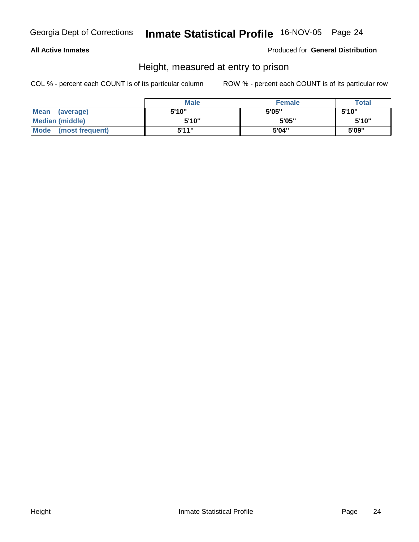### **All Active Inmates**

Produced for **General Distribution**

# Height, measured at entry to prison

|                      | <b>Male</b> | <b>Female</b> | <b>Total</b> |
|----------------------|-------------|---------------|--------------|
| Mean (average)       | 5'10"       | 5'05"         | 5'10"        |
| Median (middle)      | 5'10"       | 5'05"         | 5'10"        |
| Mode (most frequent) | 5'11"       | 5'04"         | 5'09"        |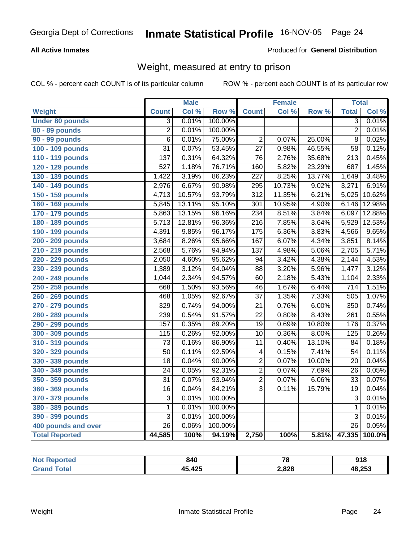### **All Active Inmates**

### Produced for **General Distribution**

# Weight, measured at entry to prison

|                        |                  | <b>Male</b> |                  |                  | <b>Female</b> |        | <b>Total</b>     |        |
|------------------------|------------------|-------------|------------------|------------------|---------------|--------|------------------|--------|
| Weight                 | <b>Count</b>     | Col %       | Row <sup>%</sup> | <b>Count</b>     | Col %         | Row %  | <b>Total</b>     | Col %  |
| <b>Under 80 pounds</b> | $\overline{3}$   | 0.01%       | 100.00%          |                  |               |        | $\overline{3}$   | 0.01%  |
| 80 - 89 pounds         | $\overline{2}$   | 0.01%       | 100.00%          |                  |               |        | $\overline{2}$   | 0.01%  |
| <b>90 - 99 pounds</b>  | $\overline{6}$   | 0.01%       | 75.00%           | $\overline{2}$   | 0.07%         | 25.00% | $\overline{8}$   | 0.02%  |
| 100 - 109 pounds       | $\overline{31}$  | 0.07%       | 53.45%           | $\overline{27}$  | 0.98%         | 46.55% | $\overline{58}$  | 0.12%  |
| 110 - 119 pounds       | $\overline{137}$ | 0.31%       | 64.32%           | $\overline{76}$  | 2.76%         | 35.68% | $\overline{213}$ | 0.45%  |
| 120 - 129 pounds       | $\overline{527}$ | 1.18%       | 76.71%           | 160              | 5.82%         | 23.29% | 687              | 1.45%  |
| 130 - 139 pounds       | 1,422            | 3.19%       | 86.23%           | $\overline{227}$ | 8.25%         | 13.77% | 1,649            | 3.48%  |
| 140 - 149 pounds       | 2,976            | 6.67%       | 90.98%           | 295              | 10.73%        | 9.02%  | 3,271            | 6.91%  |
| 150 - 159 pounds       | 4,713            | 10.57%      | 93.79%           | $\overline{312}$ | 11.35%        | 6.21%  | 5,025            | 10.62% |
| 160 - 169 pounds       | 5,845            | 13.11%      | 95.10%           | $\overline{301}$ | 10.95%        | 4.90%  | 6,146            | 12.98% |
| 170 - 179 pounds       | 5,863            | 13.15%      | 96.16%           | 234              | 8.51%         | 3.84%  | 6,097            | 12.88% |
| 180 - 189 pounds       | 5,713            | 12.81%      | 96.36%           | $\overline{216}$ | 7.85%         | 3.64%  | 5,929            | 12.53% |
| 190 - 199 pounds       | 4,391            | 9.85%       | 96.17%           | $\overline{175}$ | 6.36%         | 3.83%  | 4,566            | 9.65%  |
| 200 - 209 pounds       | 3,684            | 8.26%       | 95.66%           | 167              | 6.07%         | 4.34%  | 3,851            | 8.14%  |
| 210 - 219 pounds       | 2,568            | 5.76%       | 94.94%           | 137              | 4.98%         | 5.06%  | 2,705            | 5.71%  |
| 220 - 229 pounds       | 2,050            | 4.60%       | 95.62%           | 94               | 3.42%         | 4.38%  | 2,144            | 4.53%  |
| 230 - 239 pounds       | 1,389            | 3.12%       | 94.04%           | $\overline{88}$  | 3.20%         | 5.96%  | 1,477            | 3.12%  |
| 240 - 249 pounds       | 1,044            | 2.34%       | 94.57%           | 60               | 2.18%         | 5.43%  | 1,104            | 2.33%  |
| 250 - 259 pounds       | 668              | 1.50%       | 93.56%           | 46               | 1.67%         | 6.44%  | 714              | 1.51%  |
| 260 - 269 pounds       | 468              | 1.05%       | 92.67%           | $\overline{37}$  | 1.35%         | 7.33%  | 505              | 1.07%  |
| 270 - 279 pounds       | 329              | 0.74%       | 94.00%           | $\overline{21}$  | 0.76%         | 6.00%  | $\overline{350}$ | 0.74%  |
| 280 - 289 pounds       | 239              | 0.54%       | 91.57%           | $\overline{22}$  | 0.80%         | 8.43%  | $\overline{261}$ | 0.55%  |
| 290 - 299 pounds       | 157              | 0.35%       | 89.20%           | $\overline{19}$  | 0.69%         | 10.80% | 176              | 0.37%  |
| 300 - 309 pounds       | 115              | 0.26%       | 92.00%           | 10               | 0.36%         | 8.00%  | 125              | 0.26%  |
| 310 - 319 pounds       | $\overline{73}$  | 0.16%       | 86.90%           | $\overline{11}$  | 0.40%         | 13.10% | 84               | 0.18%  |
| 320 - 329 pounds       | 50               | 0.11%       | 92.59%           | 4                | 0.15%         | 7.41%  | 54               | 0.11%  |
| 330 - 339 pounds       | 18               | 0.04%       | 90.00%           | 2                | 0.07%         | 10.00% | 20               | 0.04%  |
| 340 - 349 pounds       | $\overline{24}$  | 0.05%       | 92.31%           | $\overline{2}$   | 0.07%         | 7.69%  | 26               | 0.05%  |
| 350 - 359 pounds       | $\overline{31}$  | 0.07%       | 93.94%           | $\overline{2}$   | 0.07%         | 6.06%  | 33               | 0.07%  |
| 360 - 369 pounds       | $\overline{16}$  | 0.04%       | 84.21%           | $\overline{3}$   | 0.11%         | 15.79% | 19               | 0.04%  |
| 370 - 379 pounds       | $\overline{3}$   | 0.01%       | 100.00%          |                  |               |        | $\overline{3}$   | 0.01%  |
| 380 - 389 pounds       | $\mathbf{1}$     | 0.01%       | 100.00%          |                  |               |        | 1                | 0.01%  |
| 390 - 399 pounds       | $\overline{3}$   | 0.01%       | 100.00%          |                  |               |        | $\overline{3}$   | 0.01%  |
| 400 pounds and over    | $\overline{26}$  | 0.06%       | 100.00%          |                  |               |        | $\overline{26}$  | 0.05%  |
| <b>Total Reported</b>  | 44,585           | 100%        | 94.19%           | 2,750            | 100%          | 5.81%  | 47,335           | 100.0% |

| <b>Reported</b><br>NO: | 840    | 70    | 918    |
|------------------------|--------|-------|--------|
| Gra                    | 45,425 | 2,828 | 48,253 |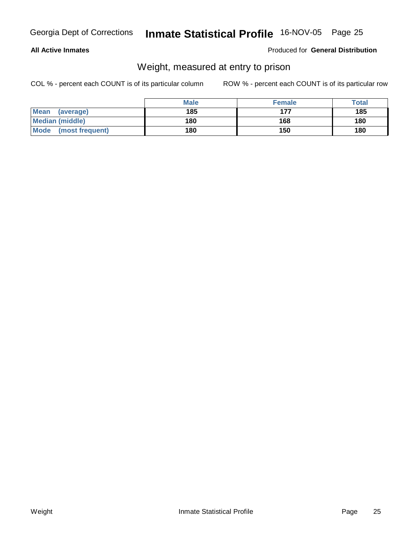### **All Active Inmates**

### Produced for **General Distribution**

# Weight, measured at entry to prison

|                         | <b>Male</b> | <b>Female</b> | <b>Total</b> |
|-------------------------|-------------|---------------|--------------|
| Mean<br>(average)       | 185         | 177           | 185          |
| <b>Median (middle)</b>  | 180         | 168           | 180          |
| Mode<br>(most frequent) | 180         | 150           | 180          |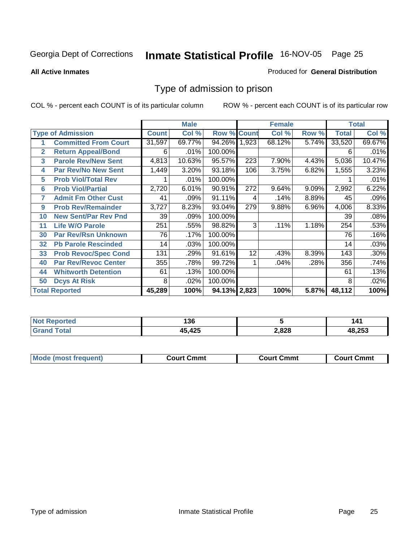### **All Active Inmates**

### Produced for **General Distribution**

# Type of admission to prison

|                |                             |              | <b>Male</b> |                    |     | <b>Female</b> |       | <b>Total</b> |        |
|----------------|-----------------------------|--------------|-------------|--------------------|-----|---------------|-------|--------------|--------|
|                | <b>Type of Admission</b>    | <b>Count</b> | Col %       | <b>Row % Count</b> |     | Col %         | Row % | <b>Total</b> | Col %  |
| 1              | <b>Committed From Court</b> | 31,597       | 69.77%      | 94.26% 1,923       |     | 68.12%        | 5.74% | 33,520       | 69.67% |
| $\overline{2}$ | <b>Return Appeal/Bond</b>   | 6            | .01%        | 100.00%            |     |               |       | 6            | .01%   |
| 3              | <b>Parole Rev/New Sent</b>  | 4,813        | 10.63%      | 95.57%             | 223 | 7.90%         | 4.43% | 5,036        | 10.47% |
| 4              | <b>Par Rev/No New Sent</b>  | 1,449        | 3.20%       | 93.18%             | 106 | 3.75%         | 6.82% | 1,555        | 3.23%  |
| 5              | <b>Prob Viol/Total Rev</b>  |              | .01%        | 100.00%            |     |               |       |              | .01%   |
| 6              | <b>Prob Viol/Partial</b>    | 2,720        | 6.01%       | 90.91%             | 272 | 9.64%         | 9.09% | 2,992        | 6.22%  |
| 7              | <b>Admit Fm Other Cust</b>  | 41           | .09%        | 91.11%             | 4   | .14%          | 8.89% | 45           | .09%   |
| 9              | <b>Prob Rev/Remainder</b>   | 3,727        | 8.23%       | 93.04%             | 279 | 9.88%         | 6.96% | 4,006        | 8.33%  |
| 10             | <b>New Sent/Par Rev Pnd</b> | 39           | .09%        | 100.00%            |     |               |       | 39           | .08%   |
| 11             | <b>Life W/O Parole</b>      | 251          | .55%        | 98.82%             | 3   | .11%          | 1.18% | 254          | .53%   |
| 30             | <b>Par Rev/Rsn Unknown</b>  | 76           | .17%        | 100.00%            |     |               |       | 76           | .16%   |
| 32             | <b>Pb Parole Rescinded</b>  | 14           | .03%        | 100.00%            |     |               |       | 14           | .03%   |
| 33             | <b>Prob Revoc/Spec Cond</b> | 131          | .29%        | 91.61%             | 12  | .43%          | 8.39% | 143          | .30%   |
| 40             | <b>Par Rev/Revoc Center</b> | 355          | .78%        | 99.72%             |     | .04%          | .28%  | 356          | .74%   |
| 44             | <b>Whitworth Detention</b>  | 61           | .13%        | 100.00%            |     |               |       | 61           | .13%   |
| 50             | <b>Dcys At Risk</b>         | 8            | .02%        | 100.00%            |     |               |       | 8            | .02%   |
|                | <b>Total Reported</b>       | 45,289       | 100%        | 94.13% 2,823       |     | 100%          | 5.87% | 48,112       | 100%   |

| <b>NOT</b><br>eported | 136          |       | 141  |
|-----------------------|--------------|-------|------|
| . Car                 | $A \Omega F$ | 2,828 | .253 |

| <b>Mou</b><br>วmmt<br>freauent)<br>.ourtث<br>$\cdots$ | Cmmt<br>Court - | Cmmu<br>∵יווח… |
|-------------------------------------------------------|-----------------|----------------|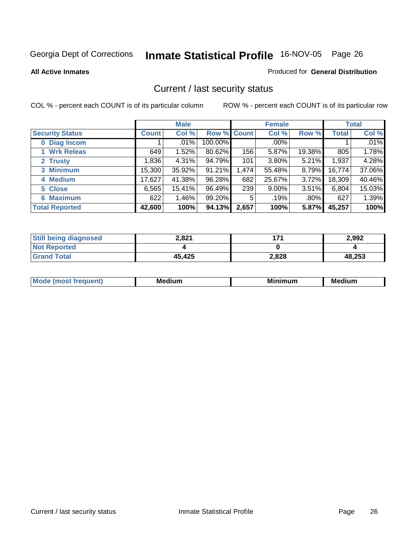**All Active Inmates**

### Produced for **General Distribution**

# Current / last security status

|                        | <b>Male</b>  |        |             | <b>Female</b> |         |          | <b>Total</b> |         |
|------------------------|--------------|--------|-------------|---------------|---------|----------|--------------|---------|
| <b>Security Status</b> | <b>Count</b> | Col %  | Row % Count |               | Col %   | Row %    | Total        | Col %   |
| 0 Diag Incom           |              | .01%   | 100.00%     |               | $.00\%$ |          |              | $.01\%$ |
| 1 Wrk Releas           | 649          | 1.52%  | 80.62%      | 156           | 5.87%   | 19.38%   | 805          | 1.78%   |
| 2 Trusty               | 1,836        | 4.31%  | 94.79%      | 101           | 3.80%   | 5.21%    | 1,937        | 4.28%   |
| 3 Minimum              | 15,300       | 35.92% | 91.21%      | 1,474         | 55.48%  | 8.79%    | 16,774       | 37.06%  |
| 4 Medium               | 17,627       | 41.38% | 96.28%      | 682           | 25.67%  | $3.72\%$ | 18,309       | 40.46%  |
| 5 Close                | 6,565        | 15.41% | 96.49%      | 239           | 9.00%   | $3.51\%$ | 6,804        | 15.03%  |
| <b>6 Maximum</b>       | 622          | 1.46%  | 99.20%      | 5             | .19%    | $.80\%$  | 627          | 1.39%   |
| <b>Total Reported</b>  | 42,600       | 100%   | 94.13%      | 2,657         | 100%    | 5.87%    | 45,257       | 100%    |

| <b>Still being diagnosed</b> | 2,821  | 174   | 2,992  |
|------------------------------|--------|-------|--------|
| <b>Not Reported</b>          |        |       |        |
| <b>Grand Total</b>           | 45,425 | 2,828 | 48,253 |

| M,<br>--- | . .<br>М£<br>. | M<br>. | Medium |
|-----------|----------------|--------|--------|
|           |                |        |        |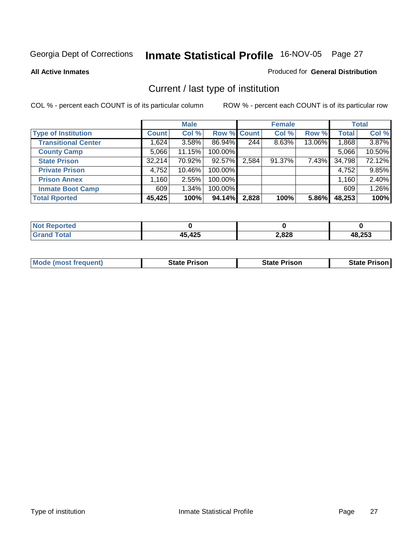**All Active Inmates**

### Produced for **General Distribution**

# Current / last type of institution

|                            |              | <b>Male</b> |             |       | <b>Female</b> |        |              | <b>Total</b> |
|----------------------------|--------------|-------------|-------------|-------|---------------|--------|--------------|--------------|
| <b>Type of Institution</b> | <b>Count</b> | Col %       | Row % Count |       | Col %         | Row %  | <b>Total</b> | Col %        |
| <b>Transitional Center</b> | 1,624        | $3.58\%$    | 86.94%      | 244   | 8.63%         | 13.06% | 1,868        | 3.87%        |
| <b>County Camp</b>         | 5,066        | 11.15%      | 100.00%     |       |               |        | 5,066        | 10.50%       |
| <b>State Prison</b>        | 32,214       | 70.92%      | 92.57%      | 2,584 | 91.37%        | 7.43%  | 34,798       | 72.12%       |
| <b>Private Prison</b>      | 4,752        | 10.46%      | 100.00%     |       |               |        | 4,752        | 9.85%        |
| <b>Prison Annex</b>        | 1,160        | 2.55%       | 100.00%     |       |               |        | 1,160        | 2.40%        |
| <b>Inmate Boot Camp</b>    | 609          | 1.34%       | 100.00%     |       |               |        | 609          | 1.26%        |
| <b>Total Rported</b>       | 45,425       | 100%        | 94.14%      | 2,828 | 100%          | 5.86%  | 48,253       | 100%         |

| νττες.<br>. |                         |               |            |
|-------------|-------------------------|---------------|------------|
|             | A5 195                  | 2,828         | $AB$ $252$ |
|             | $\cdot$ $\cdot$ $\cdot$ | $\sim$ $\sim$ | æ          |

|  | <b>Mode (most frequent)</b> | <b>State Prison</b> | <b>State Prison</b> | <b>State Prison</b> |
|--|-----------------------------|---------------------|---------------------|---------------------|
|--|-----------------------------|---------------------|---------------------|---------------------|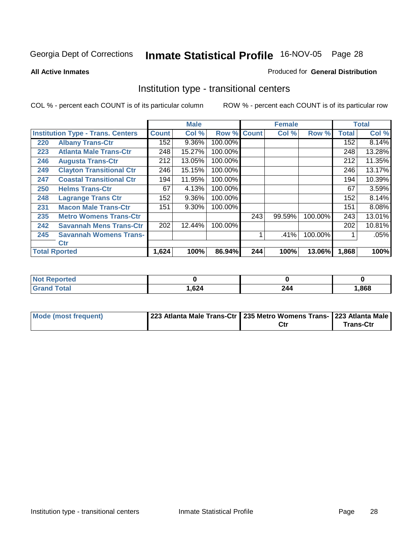### **All Active Inmates**

### Produced for **General Distribution**

# Institution type - transitional centers

|                      |                                          |       | <b>Male</b> |             |     | <b>Female</b> |         |              | <b>Total</b> |
|----------------------|------------------------------------------|-------|-------------|-------------|-----|---------------|---------|--------------|--------------|
|                      | <b>Institution Type - Trans. Centers</b> |       | Col %       | Row % Count |     | Col %         | Row %   | <b>Total</b> | Col %        |
| 220                  | <b>Albany Trans-Ctr</b>                  | 152   | $9.36\%$    | 100.00%     |     |               |         | 152          | 8.14%        |
| 223                  | <b>Atlanta Male Trans-Ctr</b>            | 248   | 15.27%      | 100.00%     |     |               |         | 248          | 13.28%       |
| 246                  | <b>Augusta Trans-Ctr</b>                 | 212   | 13.05%      | 100.00%     |     |               |         | 212          | 11.35%       |
| 249                  | <b>Clayton Transitional Ctr</b>          | 246   | 15.15%      | 100.00%     |     |               |         | 246          | 13.17%       |
| 247                  | <b>Coastal Transitional Ctr</b>          | 194   | 11.95%      | 100.00%     |     |               |         | 194          | 10.39%       |
| 250                  | <b>Helms Trans-Ctr</b>                   | 67    | 4.13%       | 100.00%     |     |               |         | 67           | 3.59%        |
| 248                  | <b>Lagrange Trans Ctr</b>                | 152   | 9.36%       | 100.00%     |     |               |         | 152          | 8.14%        |
| 231                  | <b>Macon Male Trans-Ctr</b>              | 151   | 9.30%       | 100.00%     |     |               |         | 151          | 8.08%        |
| 235                  | <b>Metro Womens Trans-Ctr</b>            |       |             |             | 243 | 99.59%        | 100.00% | 243          | 13.01%       |
| 242                  | <b>Savannah Mens Trans-Ctr</b>           | 202   | 12.44%      | 100.00%     |     |               |         | 202          | 10.81%       |
| 245                  | <b>Savannah Womens Trans-</b>            |       |             |             | ◢   | .41%          | 100.00% |              | .05%         |
|                      | <b>Ctr</b>                               |       |             |             |     |               |         |              |              |
| <b>Total Rported</b> |                                          | 1,624 | 100%        | 86.94%      | 244 | 100%          | 13.06%  | 1,868        | 100%         |

| prteg<br>. |      |     |      |
|------------|------|-----|------|
|            | ,624 | 244 | ,868 |

| Mode (most frequent) | 223 Atlanta Male Trans-Ctr   235 Metro Womens Trans-   223 Atlanta Male |     |                  |
|----------------------|-------------------------------------------------------------------------|-----|------------------|
|                      |                                                                         | Ctr | <b>Trans-Ctr</b> |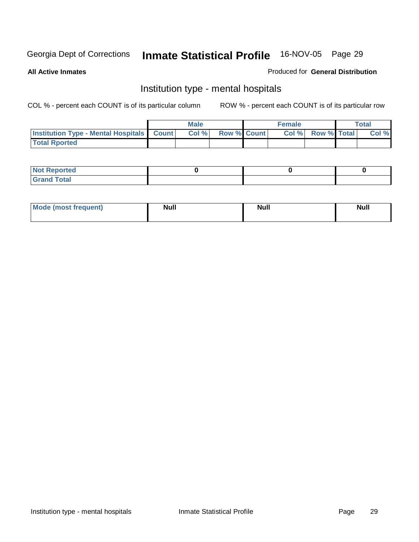**All Active Inmates**

### Produced for **General Distribution**

# Institution type - mental hospitals

|                                                  | Male  |                    | <b>Female</b> |                          | Total |
|--------------------------------------------------|-------|--------------------|---------------|--------------------------|-------|
| <b>Institution Type - Mental Hospitals Count</b> | Col % | <b>Row % Count</b> |               | <b>Col %</b> Row % Total | Col % |
| <b>Total Rported</b>                             |       |                    |               |                          |       |

| <b>Not Reported</b> |  |  |
|---------------------|--|--|
| <b>Total</b><br>r.  |  |  |

| Mode (most frequent) | <b>Null</b> | <b>Null</b> | <b>Null</b> |
|----------------------|-------------|-------------|-------------|
|                      |             |             |             |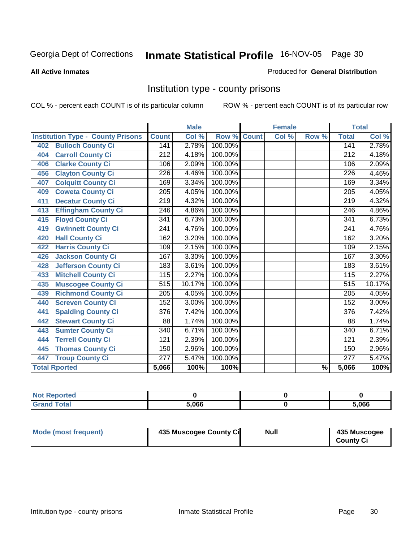### **All Active Inmates**

### Produced for **General Distribution**

# Institution type - county prisons

|                                          |                  | <b>Male</b> |         |              | <b>Female</b> |                          |                  | <b>Total</b> |
|------------------------------------------|------------------|-------------|---------|--------------|---------------|--------------------------|------------------|--------------|
| <b>Institution Type - County Prisons</b> | <b>Count</b>     | Col %       | Row %   | <b>Count</b> | Col %         | Row %                    | <b>Total</b>     | Col %        |
| <b>Bulloch County Ci</b><br>402          | 141              | 2.78%       | 100.00% |              |               |                          | 141              | 2.78%        |
| <b>Carroll County Ci</b><br>404          | $\overline{212}$ | 4.18%       | 100.00% |              |               |                          | $\overline{212}$ | 4.18%        |
| <b>Clarke County Ci</b><br>406           | 106              | 2.09%       | 100.00% |              |               |                          | 106              | 2.09%        |
| <b>Clayton County Ci</b><br>456          | 226              | 4.46%       | 100.00% |              |               |                          | 226              | 4.46%        |
| <b>Colquitt County Ci</b><br>407         | 169              | 3.34%       | 100.00% |              |               |                          | 169              | 3.34%        |
| <b>Coweta County Ci</b><br>409           | $\overline{205}$ | 4.05%       | 100.00% |              |               |                          | $\overline{205}$ | 4.05%        |
| <b>Decatur County Ci</b><br>411          | 219              | 4.32%       | 100.00% |              |               |                          | $\overline{219}$ | 4.32%        |
| <b>Effingham County Ci</b><br>413        | 246              | 4.86%       | 100.00% |              |               |                          | 246              | 4.86%        |
| <b>Floyd County Ci</b><br>415            | 341              | 6.73%       | 100.00% |              |               |                          | 341              | 6.73%        |
| <b>Gwinnett County Ci</b><br>419         | $\overline{241}$ | 4.76%       | 100.00% |              |               |                          | $\overline{241}$ | 4.76%        |
| <b>Hall County Ci</b><br>420             | 162              | 3.20%       | 100.00% |              |               |                          | 162              | 3.20%        |
| <b>Harris County Ci</b><br>422           | 109              | 2.15%       | 100.00% |              |               |                          | 109              | 2.15%        |
| <b>Jackson County Ci</b><br>426          | 167              | 3.30%       | 100.00% |              |               |                          | 167              | 3.30%        |
| <b>Jefferson County Ci</b><br>428        | 183              | 3.61%       | 100.00% |              |               |                          | 183              | 3.61%        |
| <b>Mitchell County Ci</b><br>433         | 115              | 2.27%       | 100.00% |              |               |                          | 115              | 2.27%        |
| <b>Muscogee County Ci</b><br>435         | 515              | 10.17%      | 100.00% |              |               |                          | $\overline{515}$ | 10.17%       |
| <b>Richmond County Ci</b><br>439         | 205              | 4.05%       | 100.00% |              |               |                          | 205              | 4.05%        |
| <b>Screven County Ci</b><br>440          | 152              | 3.00%       | 100.00% |              |               |                          | 152              | 3.00%        |
| <b>Spalding County Ci</b><br>441         | 376              | 7.42%       | 100.00% |              |               |                          | $\overline{376}$ | 7.42%        |
| <b>Stewart County Ci</b><br>442          | 88               | 1.74%       | 100.00% |              |               |                          | 88               | 1.74%        |
| <b>Sumter County Ci</b><br>443           | $\overline{340}$ | 6.71%       | 100.00% |              |               |                          | 340              | 6.71%        |
| <b>Terrell County Ci</b><br>444          | $\overline{121}$ | 2.39%       | 100.00% |              |               |                          | $\overline{121}$ | 2.39%        |
| <b>Thomas County Ci</b><br>445           | 150              | 2.96%       | 100.00% |              |               |                          | 150              | 2.96%        |
| <b>Troup County Ci</b><br>447            | $\overline{277}$ | 5.47%       | 100.00% |              |               |                          | $\overline{277}$ | 5.47%        |
| <b>Total Rported</b>                     | 5,066            | 100%        | 100%    |              |               | $\overline{\frac{9}{6}}$ | 5,066            | 100%         |

| тес   |       |       |
|-------|-------|-------|
| _____ | 5.066 | 5.066 |

| Mode (most frequent) | 435 Muscogee County Ci | Null | 435 Muscogee     |
|----------------------|------------------------|------|------------------|
|                      |                        |      | <b>County Ci</b> |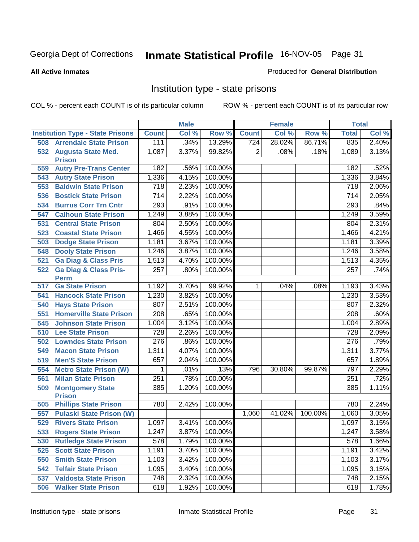**All Active Inmates**

### Produced for **General Distribution**

# Institution type - state prisons

|     |                                                 |                  | <b>Male</b> |         |              | <b>Female</b> |         | <b>Total</b>     |       |
|-----|-------------------------------------------------|------------------|-------------|---------|--------------|---------------|---------|------------------|-------|
|     | <b>Institution Type - State Prisons</b>         | <b>Count</b>     | Col %       | Row %   | <b>Count</b> | Col %         | Row %   | <b>Total</b>     | Col % |
| 508 | <b>Arrendale State Prison</b>                   | 111              | .34%        | 13.29%  | 724          | 28.02%        | 86.71%  | 835              | 2.40% |
| 532 | <b>Augusta State Med.</b><br><b>Prison</b>      | 1,087            | 3.37%       | 99.82%  | 2            | .08%          | .18%    | 1,089            | 3.13% |
| 559 | <b>Autry Pre-Trans Center</b>                   | 182              | .56%        | 100.00% |              |               |         | 182              | .52%  |
| 543 | <b>Autry State Prison</b>                       | 1,336            | 4.15%       | 100.00% |              |               |         | 1,336            | 3.84% |
| 553 | <b>Baldwin State Prison</b>                     | 718              | 2.23%       | 100.00% |              |               |         | 718              | 2.06% |
| 536 | <b>Bostick State Prison</b>                     | $\overline{714}$ | 2.22%       | 100.00% |              |               |         | 714              | 2.05% |
| 534 | <b>Burrus Corr Trn Cntr</b>                     | 293              | .91%        | 100.00% |              |               |         | 293              | .84%  |
| 547 | <b>Calhoun State Prison</b>                     | 1,249            | 3.88%       | 100.00% |              |               |         | 1,249            | 3.59% |
| 531 | <b>Central State Prison</b>                     | 804              | 2.50%       | 100.00% |              |               |         | 804              | 2.31% |
| 523 | <b>Coastal State Prison</b>                     | 1,466            | 4.55%       | 100.00% |              |               |         | 1,466            | 4.21% |
| 503 | <b>Dodge State Prison</b>                       | 1,181            | 3.67%       | 100.00% |              |               |         | 1,181            | 3.39% |
| 548 | <b>Dooly State Prison</b>                       | 1,246            | 3.87%       | 100.00% |              |               |         | 1,246            | 3.58% |
| 521 | <b>Ga Diag &amp; Class Pris</b>                 | 1,513            | 4.70%       | 100.00% |              |               |         | 1,513            | 4.35% |
| 522 | <b>Ga Diag &amp; Class Pris-</b><br><b>Perm</b> | 257              | .80%        | 100.00% |              |               |         | 257              | .74%  |
| 517 | <b>Ga State Prison</b>                          | 1,192            | 3.70%       | 99.92%  | 1            | .04%          | .08%    | 1,193            | 3.43% |
| 541 | <b>Hancock State Prison</b>                     | 1,230            | 3.82%       | 100.00% |              |               |         | 1,230            | 3.53% |
| 540 | <b>Hays State Prison</b>                        | 807              | 2.51%       | 100.00% |              |               |         | 807              | 2.32% |
| 551 | <b>Homerville State Prison</b>                  | 208              | .65%        | 100.00% |              |               |         | 208              | .60%  |
| 545 | <b>Johnson State Prison</b>                     | 1,004            | 3.12%       | 100.00% |              |               |         | 1,004            | 2.89% |
| 510 | <b>Lee State Prison</b>                         | 728              | 2.26%       | 100.00% |              |               |         | 728              | 2.09% |
| 502 | <b>Lowndes State Prison</b>                     | $\overline{276}$ | .86%        | 100.00% |              |               |         | $\overline{276}$ | .79%  |
| 549 | <b>Macon State Prison</b>                       | 1,311            | 4.07%       | 100.00% |              |               |         | 1,311            | 3.77% |
| 519 | <b>Men'S State Prison</b>                       | 657              | 2.04%       | 100.00% |              |               |         | 657              | 1.89% |
| 554 | <b>Metro State Prison (W)</b>                   | 1                | .01%        | .13%    | 796          | 30.80%        | 99.87%  | 797              | 2.29% |
| 561 | <b>Milan State Prison</b>                       | 251              | .78%        | 100.00% |              |               |         | 251              | .72%  |
| 509 | <b>Montgomery State</b><br><b>Prison</b>        | 385              | 1.20%       | 100.00% |              |               |         | 385              | 1.11% |
| 505 | <b>Phillips State Prison</b>                    | 780              | 2.42%       | 100.00% |              |               |         | 780              | 2.24% |
| 557 | <b>Pulaski State Prison (W)</b>                 |                  |             |         | 1,060        | 41.02%        | 100.00% | 1,060            | 3.05% |
| 529 | <b>Rivers State Prison</b>                      | 1,097            | 3.41%       | 100.00% |              |               |         | 1,097            | 3.15% |
| 533 | <b>Rogers State Prison</b>                      | 1,247            | 3.87%       | 100.00% |              |               |         | 1,247            | 3.58% |
| 530 | <b>Rutledge State Prison</b>                    | 578              | 1.79%       | 100.00% |              |               |         | 578              | 1.66% |
| 525 | <b>Scott State Prison</b>                       | 1,191            | 3.70%       | 100.00% |              |               |         | 1,191            | 3.42% |
| 550 | <b>Smith State Prison</b>                       | 1,103            | 3.42%       | 100.00% |              |               |         | 1,103            | 3.17% |
| 542 | <b>Telfair State Prison</b>                     | 1,095            | 3.40%       | 100.00% |              |               |         | 1,095            | 3.15% |
| 537 | <b>Valdosta State Prison</b>                    | 748              | 2.32%       | 100.00% |              |               |         | 748              | 2.15% |
| 506 | <b>Walker State Prison</b>                      | 618              | 1.92%       | 100.00% |              |               |         | 618              | 1.78% |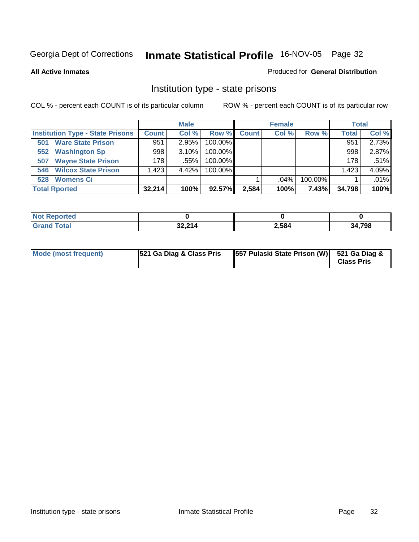**All Active Inmates**

### Produced for **General Distribution**

# Institution type - state prisons

|                                         |              | <b>Male</b> |         |              | <b>Female</b> |         | <b>Total</b> |       |
|-----------------------------------------|--------------|-------------|---------|--------------|---------------|---------|--------------|-------|
| <b>Institution Type - State Prisons</b> | <b>Count</b> | Col %       | Row %   | <b>Count</b> | Col %         | Row %   | <b>Total</b> | Col % |
| <b>Ware State Prison</b><br>501         | 951          | 2.95%       | 100.00% |              |               |         | 951          | 2.73% |
| <b>Washington Sp</b><br>552             | 998          | 3.10%       | 100.00% |              |               |         | 998          | 2.87% |
| <b>Wayne State Prison</b><br>507        | 178          | .55%        | 100.00% |              |               |         | 178          | .51%  |
| <b>Wilcox State Prison</b><br>546       | .423         | 4.42%       | 100.00% |              |               |         | 1,423        | 4.09% |
| <b>Womens Ci</b><br>528                 |              |             |         |              | .04%          | 100.00% |              | .01%  |
| <b>Total Rported</b>                    | 32,214       | 100%        | 92.57%  | 2,584        | 100%          | 7.43%   | 34,798       | 100%  |

| <b>eported</b><br>' NOT |                  |       |        |
|-------------------------|------------------|-------|--------|
| ™ota.                   | 22.241<br>32.Z14 | 2,584 | 34,798 |

| Mode (most frequent) | 521 Ga Diag & Class Pris | [557 Pulaski State Prison (W) 521 Ga Diag & |                   |
|----------------------|--------------------------|---------------------------------------------|-------------------|
|                      |                          |                                             | <b>Class Pris</b> |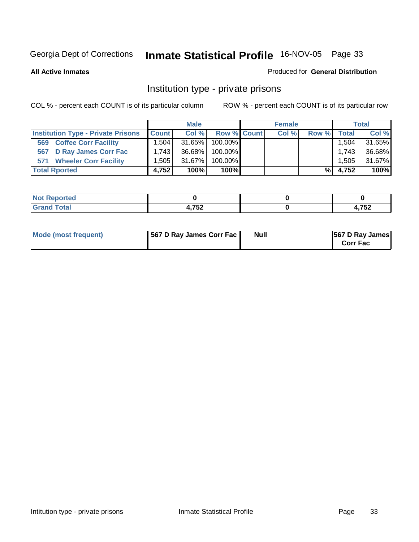### **All Active Inmates**

### Produced for **General Distribution**

# Institution type - private prisons

|                                           |              | <b>Male</b> |             | <b>Female</b> |       |         | <b>Total</b> |
|-------------------------------------------|--------------|-------------|-------------|---------------|-------|---------|--------------|
| <b>Institution Type - Private Prisons</b> | <b>Count</b> | Col %       | Row % Count | Col %         | Row % | Total I | Col %        |
| <b>Coffee Corr Facility</b><br>569        | 1.504        | 31.65%      | $100.00\%$  |               |       | .504    | 31.65%       |
| <b>D Ray James Corr Fac</b><br>567        | 1.743        | 36.68%      | $100.00\%$  |               |       | 1,743   | 36.68%       |
| <b>Wheeler Corr Facility</b><br>571       | 1.505        | $31.67\%$   | $100.00\%$  |               |       | 1.505   | 31.67%       |
| <b>Total Rported</b>                      | 4.752        | 100%        | $100\%$     |               | %     | 4,752   | 100%         |

| <b>Reported</b><br>' NOT |         |       |
|--------------------------|---------|-------|
| <b>otal</b>              | ・フドウ    | フロウ   |
| -                        | 4, I JŁ | 4,73Z |

| Mode (most frequent) | 567 D Ray James Corr Fac | Null | <b>567 D Ray James</b><br><b>Corr Fac</b> |
|----------------------|--------------------------|------|-------------------------------------------|
|----------------------|--------------------------|------|-------------------------------------------|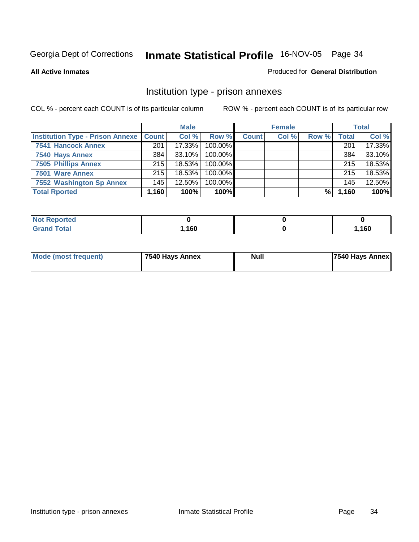### **All Active Inmates**

### Produced for **General Distribution**

# Institution type - prison annexes

|                                                   |        | <b>Male</b> |            |              | <b>Female</b> |       |                  | <b>Total</b> |
|---------------------------------------------------|--------|-------------|------------|--------------|---------------|-------|------------------|--------------|
| <b>Institution Type - Prison Annexe   Count  </b> |        | Col %       | Row %      | <b>Count</b> | Col %         | Row % | <b>Total</b>     | Col %        |
| <b>7541 Hancock Annex</b>                         | 201    | 17.33%      | 100.00%    |              |               |       | 201              | 17.33%       |
| 7540 Hays Annex                                   | 384    | $33.10\%$   | $100.00\%$ |              |               |       | 384              | 33.10%       |
| <b>7505 Phillips Annex</b>                        | 215    | 18.53%      | 100.00%    |              |               |       | 215 <sub>1</sub> | 18.53%       |
| 7501 Ware Annex                                   | 215    | $18.53\%$   | $100.00\%$ |              |               |       | 215              | 18.53%       |
| 7552 Washington Sp Annex                          | 145    | 12.50%      | 100.00%    |              |               |       | 145              | 12.50%       |
| <b>Total Rported</b>                              | .160 ا | 100%        | $100\%$    |              |               | %     | 1,160            | 100%         |

| <b>Reported</b><br>NOT F |      |      |
|--------------------------|------|------|
| <b>Total</b><br>' Grand  | ,160 | ,160 |

| Mode (most frequent) | 7540 Hays Annex | Null | 7540 Hays Annex |
|----------------------|-----------------|------|-----------------|
|                      |                 |      |                 |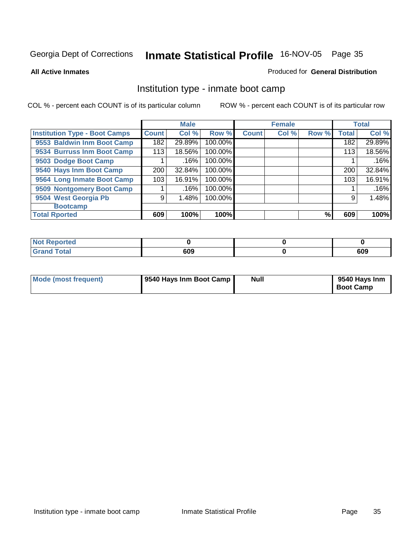**All Active Inmates**

#### Produced for **General Distribution**

# Institution type - inmate boot camp

|                                      |              | <b>Male</b> |         |              | <b>Female</b> |       |              | <b>Total</b> |
|--------------------------------------|--------------|-------------|---------|--------------|---------------|-------|--------------|--------------|
| <b>Institution Type - Boot Camps</b> | <b>Count</b> | Col %       | Row %   | <b>Count</b> | Col %         | Row % | <b>Total</b> | Col %        |
| 9553 Baldwin Inm Boot Camp           | 182          | 29.89%      | 100.00% |              |               |       | 182          | 29.89%       |
| 9534 Burruss Inm Boot Camp           | 113          | 18.56%      | 100.00% |              |               |       | 113          | 18.56%       |
| 9503 Dodge Boot Camp                 |              | .16%        | 100.00% |              |               |       |              | .16%         |
| 9540 Hays Inm Boot Camp              | 200          | 32.84%      | 100.00% |              |               |       | 200          | 32.84%       |
| 9564 Long Inmate Boot Camp           | 103          | 16.91%      | 100.00% |              |               |       | 103          | 16.91%       |
| 9509 Nontgomery Boot Camp            |              | .16%        | 100.00% |              |               |       |              | .16%         |
| 9504 West Georgia Pb                 | 9            | 1.48%       | 100.00% |              |               |       | 9            | 1.48%        |
| <b>Bootcamp</b>                      |              |             |         |              |               |       |              |              |
| <b>Total Rported</b>                 | 609          | 100%        | 100%    |              |               | %     | 609          | 100%         |

| rted                  |     |     |
|-----------------------|-----|-----|
| <b>otal</b><br>$\sim$ | 609 | 609 |

| Mode (most frequent) | 9540 Hays Inm Boot Camp | Null | 9540 Hays Inm<br><b>Boot Camp</b> |
|----------------------|-------------------------|------|-----------------------------------|
|----------------------|-------------------------|------|-----------------------------------|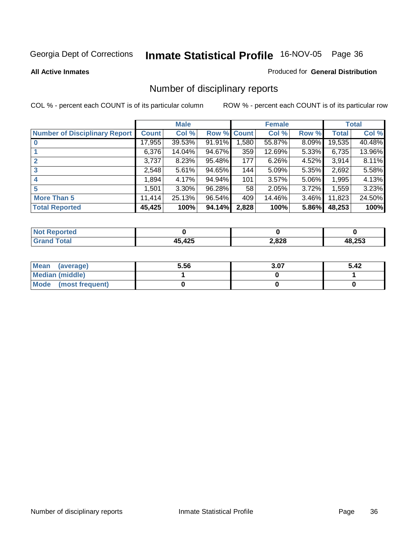**All Active Inmates**

#### Produced for **General Distribution**

# Number of disciplinary reports

|                                      |              | <b>Male</b> |             |       | <b>Female</b> |          |              | <b>Total</b> |
|--------------------------------------|--------------|-------------|-------------|-------|---------------|----------|--------------|--------------|
| <b>Number of Disciplinary Report</b> | <b>Count</b> | Col %       | Row % Count |       | Col %         | Row %    | <b>Total</b> | Col %        |
|                                      | 17,955       | 39.53%      | 91.91%      | ,580  | 55.87%        | 8.09%    | 19,535       | 40.48%       |
|                                      | 6,376        | 14.04%      | 94.67%      | 359   | 12.69%        | $5.33\%$ | 6,735        | 13.96%       |
|                                      | 3,737        | 8.23%       | 95.48%      | 177   | 6.26%         | 4.52%    | 3,914        | 8.11%        |
| 3                                    | 2,548        | 5.61%       | 94.65%      | 144   | 5.09%         | 5.35%    | 2,692        | 5.58%        |
| 4                                    | 1,894        | 4.17%       | 94.94%      | 101   | 3.57%         | 5.06%    | 1,995        | 4.13%        |
| 5                                    | 1,501        | 3.30%       | 96.28%      | 58    | 2.05%         | 3.72%    | 1,559        | 3.23%        |
| <b>More Than 5</b>                   | 11,414       | 25.13%      | 96.54%      | 409   | 14.46%        | $3.46\%$ | 11,823       | 24.50%       |
| <b>Total Reported</b>                | 45,425       | 100%        | 94.14%      | 2,828 | 100%          | 5.86%    | 48,253       | 100%         |

| TA 0<br>N |            |       |      |
|-----------|------------|-------|------|
| ______    | $A \cap E$ | 2,828 | .253 |

| Mean (average)       | 5.56 | 3.07 | 5.42 |
|----------------------|------|------|------|
| Median (middle)      |      |      |      |
| Mode (most frequent) |      |      |      |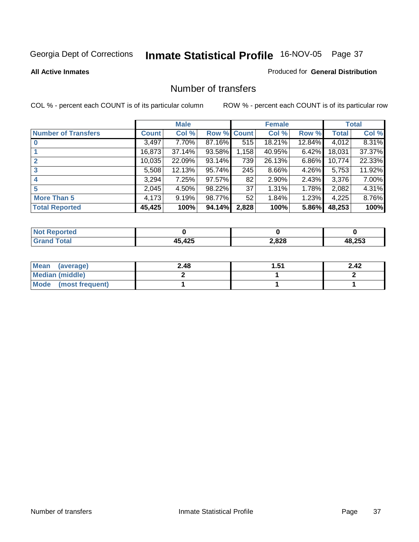#### **All Active Inmates**

### Produced for **General Distribution**

## Number of transfers

|                            |        | <b>Male</b> |                    |       | <b>Female</b> |          |              | <b>Total</b> |
|----------------------------|--------|-------------|--------------------|-------|---------------|----------|--------------|--------------|
| <b>Number of Transfers</b> | Count  | Col %       | <b>Row % Count</b> |       | Col %         | Row %    | <b>Total</b> | Col %        |
|                            | 3,497  | 7.70%       | 87.16%             | 515   | 18.21%        | 12.84%   | 4,012        | 8.31%        |
|                            | 16,873 | 37.14%      | 93.58%             | 1,158 | 40.95%        | $6.42\%$ | 18,031       | 37.37%       |
|                            | 10,035 | 22.09%      | 93.14%             | 739   | 26.13%        | $6.86\%$ | 10,774       | 22.33%       |
| 3                          | 5,508  | 12.13%      | 95.74%             | 245   | 8.66%         | 4.26%    | 5,753        | 11.92%       |
|                            | 3,294  | 7.25%       | 97.57%             | 82    | 2.90%         | $2.43\%$ | 3,376        | 7.00%        |
| 5                          | 2,045  | $4.50\%$    | 98.22%             | 37    | 1.31%         | 1.78%    | 2,082        | 4.31%        |
| <b>More Than 5</b>         | 4,173  | 9.19%       | 98.77%             | 52    | 1.84%         | $1.23\%$ | 4,225        | 8.76%        |
| <b>Total Reported</b>      | 45,425 | 100%        | 94.14%             | 2,828 | 100%          | 5.86%    | 48,253       | 100%         |

| N      |     |       |        |
|--------|-----|-------|--------|
| ______ | 12E | 2,828 | 10.252 |

| Mean (average)       | 2.48 | 1.51 | 2.42 |
|----------------------|------|------|------|
| Median (middle)      |      |      |      |
| Mode (most frequent) |      |      |      |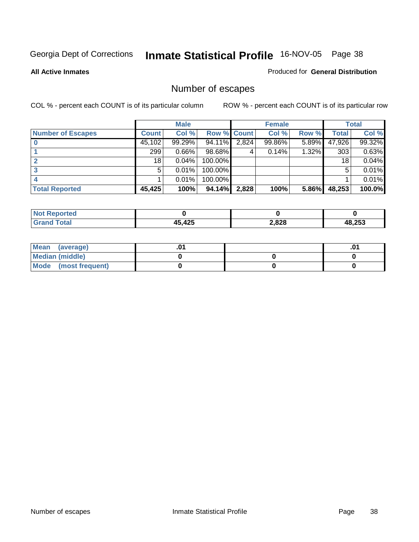**All Active Inmates**

#### Produced for **General Distribution**

# Number of escapes

|                          |              | <b>Male</b> |                    |       | <b>Female</b> |       |        | <b>Total</b> |
|--------------------------|--------------|-------------|--------------------|-------|---------------|-------|--------|--------------|
| <b>Number of Escapes</b> | <b>Count</b> | Col %       | <b>Row % Count</b> |       | Col %         | Row % | Total  | Col %        |
|                          | 45,102       | 99.29%      | 94.11%             | 2,824 | 99.86%        | 5.89% | 47,926 | 99.32%       |
|                          | 299          | $0.66\%$    | 98.68%             | 4     | 0.14%         | 1.32% | 303    | 0.63%        |
|                          | 18           | 0.04%       | 100.00%            |       |               |       | 18     | 0.04%        |
|                          | 5            | $0.01\%$    | 100.00%            |       |               |       | 5      | 0.01%        |
|                          |              | $0.01\%$    | 100.00%            |       |               |       |        | 0.01%        |
| <b>Total Reported</b>    | 45,425       | 100%        | 94.14%             | 2,828 | 100%          | 5.86% | 48,253 | 100.0%       |

| Reported     |        |       |        |
|--------------|--------|-------|--------|
| <b>Total</b> | 15 195 | 2,828 | 48,253 |

| Mean<br>(average)       |  | .01 |
|-------------------------|--|-----|
| Median (middle)         |  |     |
| Mode<br>(most frequent) |  |     |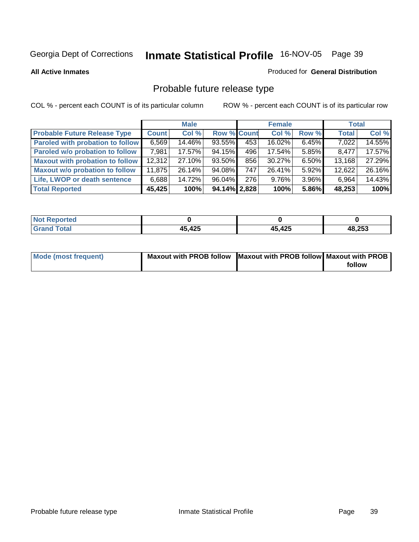**All Active Inmates**

#### Produced for **General Distribution**

# Probable future release type

|                                         |        | <b>Male</b> |                    |     | <b>Female</b> |          | <b>Total</b> |        |
|-----------------------------------------|--------|-------------|--------------------|-----|---------------|----------|--------------|--------|
| <b>Probable Future Release Type</b>     | Count  | Col %       | <b>Row % Count</b> |     | Col %         | Row %    | <b>Total</b> | Col %  |
| <b>Paroled with probation to follow</b> | 6,569  | 14.46%      | 93.55%             | 453 | 16.02%        | 6.45%    | 7,022        | 14.55% |
| Paroled w/o probation to follow         | 7,981  | 17.57%      | 94.15%             | 496 | 17.54%        | $5.85\%$ | 8.477        | 17.57% |
| Maxout with probation to follow         | 12.312 | 27.10%      | 93.50%             | 856 | 30.27%        | $6.50\%$ | 13,168       | 27.29% |
| <b>Maxout w/o probation to follow</b>   | 11,875 | 26.14%      | $94.08\%$          | 747 | 26.41%        | 5.92%    | 12,622       | 26.16% |
| Life, LWOP or death sentence            | 6,688  | 14.72%      | 96.04%             | 276 | 9.76%         | $3.96\%$ | 6,964        | 14.43% |
| <b>Total Reported</b>                   | 45,425 | 100%        | 94.14% 2.828       |     | 100%          | 5.86%    | 48,253       | 100%   |

| $^{\dagger}$ Not $\cdot$<br>Reported |        |        |        |
|--------------------------------------|--------|--------|--------|
| <b>Total</b><br>Grar                 | 45,425 | 45,425 | 48,253 |

| <b>Mode (most frequent)</b> | Maxout with PROB follow Maxout with PROB follow Maxout with PROB |        |
|-----------------------------|------------------------------------------------------------------|--------|
|                             |                                                                  | follow |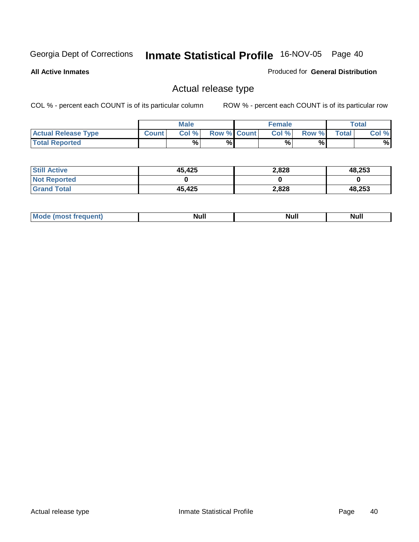**All Active Inmates**

#### Produced for **General Distribution**

# Actual release type

|                            |              | <b>Male</b> |                    | <b>Female</b> |       |        | $\tau$ otal |
|----------------------------|--------------|-------------|--------------------|---------------|-------|--------|-------------|
| <b>Actual Release Type</b> | <b>Count</b> | Col %       | <b>Row % Count</b> | Col %         | Row % | Total, | Col %       |
| <b>Total Reported</b>      |              | %           | %                  | %             | %     |        | %           |

| <b>Still Active</b> | 45,425 | 2,828 | 48,253 |
|---------------------|--------|-------|--------|
| <b>Not Reported</b> |        |       |        |
| <b>Grand Total</b>  | 45,425 | 2,828 | 48,253 |

| M<br><b>Null</b><br>Null<br>11WH |  |  |
|----------------------------------|--|--|
|                                  |  |  |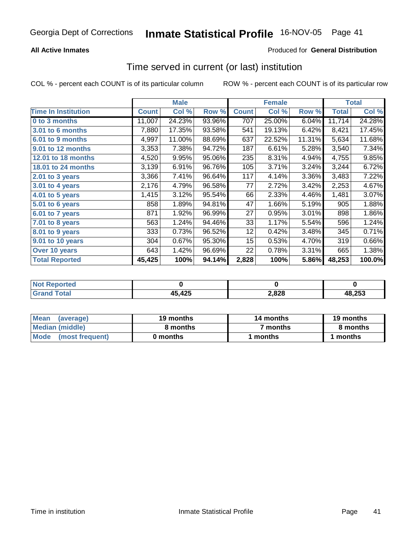### **All Active Inmates**

### Produced for **General Distribution**

## Time served in current (or last) institution

|                            |              | <b>Male</b> |        |              | <b>Female</b> |        |              | <b>Total</b> |
|----------------------------|--------------|-------------|--------|--------------|---------------|--------|--------------|--------------|
| <b>Time In Institution</b> | <b>Count</b> | Col %       | Row %  | <b>Count</b> | Col %         | Row %  | <b>Total</b> | Col %        |
| 0 to 3 months              | 11,007       | 24.23%      | 93.96% | 707          | 25.00%        | 6.04%  | 11,714       | 24.28%       |
| 3.01 to 6 months           | 7,880        | 17.35%      | 93.58% | 541          | 19.13%        | 6.42%  | 8,421        | 17.45%       |
| 6.01 to 9 months           | 4,997        | 11.00%      | 88.69% | 637          | 22.52%        | 11.31% | 5,634        | 11.68%       |
| 9.01 to 12 months          | 3,353        | 7.38%       | 94.72% | 187          | 6.61%         | 5.28%  | 3,540        | 7.34%        |
| 12.01 to 18 months         | 4,520        | 9.95%       | 95.06% | 235          | 8.31%         | 4.94%  | 4,755        | 9.85%        |
| 18.01 to 24 months         | 3,139        | 6.91%       | 96.76% | 105          | 3.71%         | 3.24%  | 3,244        | 6.72%        |
| 2.01 to 3 years            | 3,366        | 7.41%       | 96.64% | 117          | 4.14%         | 3.36%  | 3,483        | 7.22%        |
| 3.01 to 4 years            | 2,176        | 4.79%       | 96.58% | 77           | 2.72%         | 3.42%  | 2,253        | 4.67%        |
| 4.01 to 5 years            | 1,415        | 3.12%       | 95.54% | 66           | 2.33%         | 4.46%  | 1,481        | 3.07%        |
| 5.01 to 6 years            | 858          | 1.89%       | 94.81% | 47           | 1.66%         | 5.19%  | 905          | 1.88%        |
| 6.01 to 7 years            | 871          | 1.92%       | 96.99% | 27           | 0.95%         | 3.01%  | 898          | 1.86%        |
| 7.01 to 8 years            | 563          | 1.24%       | 94.46% | 33           | 1.17%         | 5.54%  | 596          | 1.24%        |
| 8.01 to 9 years            | 333          | 0.73%       | 96.52% | 12           | 0.42%         | 3.48%  | 345          | 0.71%        |
| 9.01 to 10 years           | 304          | 0.67%       | 95.30% | 15           | 0.53%         | 4.70%  | 319          | 0.66%        |
| Over 10 years              | 643          | 1.42%       | 96.69% | 22           | 0.78%         | 3.31%  | 665          | 1.38%        |
| <b>Total Reported</b>      | 45,425       | 100%        | 94.14% | 2,828        | 100%          | 5.86%  | 48,253       | 100.0%       |

| <b>Not Reported</b> |        |       |        |
|---------------------|--------|-------|--------|
| Cror                | 45,425 | ∠,828 | 48.253 |

| Mean<br>(average)       | 19 months | 14 months | 19 months |
|-------------------------|-----------|-----------|-----------|
| Median (middle)         | 8 months  | ' months  | 8 months  |
| Mode<br>(most frequent) | 0 months  | months    | 1 months  |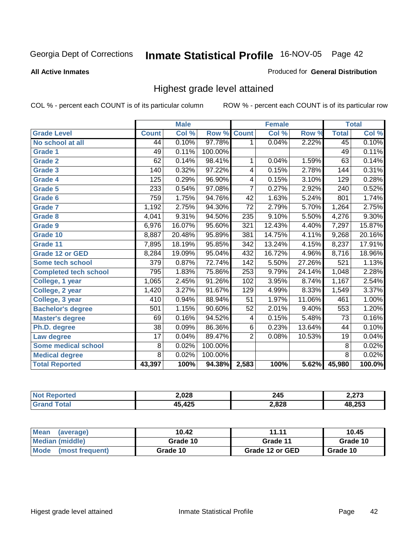#### **All Active Inmates**

### Produced for **General Distribution**

# Highest grade level attained

|                              |                  | <b>Male</b> |         |                  | <b>Female</b> |        |                 | <b>Total</b> |
|------------------------------|------------------|-------------|---------|------------------|---------------|--------|-----------------|--------------|
| <b>Grade Level</b>           | <b>Count</b>     | Col %       | Row %   | <b>Count</b>     | Col %         | Row %  | <b>Total</b>    | Col %        |
| No school at all             | 44               | 0.10%       | 97.78%  | 1                | 0.04%         | 2.22%  | 45              | 0.10%        |
| <b>Grade 1</b>               | 49               | 0.11%       | 100.00% |                  |               |        | 49              | 0.11%        |
| <b>Grade 2</b>               | 62               | 0.14%       | 98.41%  | 1                | 0.04%         | 1.59%  | 63              | 0.14%        |
| <b>Grade 3</b>               | 140              | 0.32%       | 97.22%  | 4                | 0.15%         | 2.78%  | 144             | 0.31%        |
| Grade 4                      | 125              | 0.29%       | 96.90%  | 4                | 0.15%         | 3.10%  | 129             | 0.28%        |
| Grade 5                      | 233              | 0.54%       | 97.08%  | 7                | 0.27%         | 2.92%  | 240             | 0.52%        |
| Grade 6                      | 759              | 1.75%       | 94.76%  | 42               | 1.63%         | 5.24%  | 801             | 1.74%        |
| <b>Grade 7</b>               | 1,192            | 2.75%       | 94.30%  | $\overline{72}$  | 2.79%         | 5.70%  | 1,264           | 2.75%        |
| <b>Grade 8</b>               | 4,041            | 9.31%       | 94.50%  | 235              | 9.10%         | 5.50%  | 4,276           | 9.30%        |
| <b>Grade 9</b>               | 6,976            | 16.07%      | 95.60%  | 321              | 12.43%        | 4.40%  | 7,297           | 15.87%       |
| Grade 10                     | 8,887            | 20.48%      | 95.89%  | 381              | 14.75%        | 4.11%  | 9,268           | 20.16%       |
| Grade 11                     | 7,895            | 18.19%      | 95.85%  | 342              | 13.24%        | 4.15%  | 8,237           | 17.91%       |
| <b>Grade 12 or GED</b>       | 8,284            | 19.09%      | 95.04%  | 432              | 16.72%        | 4.96%  | 8,716           | 18.96%       |
| Some tech school             | $\overline{379}$ | 0.87%       | 72.74%  | $\overline{142}$ | 5.50%         | 27.26% | 521             | 1.13%        |
| <b>Completed tech school</b> | 795              | 1.83%       | 75.86%  | 253              | 9.79%         | 24.14% | 1,048           | 2.28%        |
| College, 1 year              | 1,065            | 2.45%       | 91.26%  | 102              | 3.95%         | 8.74%  | 1,167           | 2.54%        |
| College, 2 year              | 1,420            | 3.27%       | 91.67%  | 129              | 4.99%         | 8.33%  | 1,549           | 3.37%        |
| College, 3 year              | 410              | 0.94%       | 88.94%  | $\overline{51}$  | 1.97%         | 11.06% | 461             | 1.00%        |
| <b>Bachelor's degree</b>     | 501              | 1.15%       | 90.60%  | 52               | 2.01%         | 9.40%  | 553             | 1.20%        |
| <b>Master's degree</b>       | 69               | 0.16%       | 94.52%  | 4                | 0.15%         | 5.48%  | 73              | 0.16%        |
| Ph.D. degree                 | $\overline{38}$  | 0.09%       | 86.36%  | $\overline{6}$   | 0.23%         | 13.64% | 44              | 0.10%        |
| Law degree                   | $\overline{17}$  | 0.04%       | 89.47%  | $\overline{2}$   | 0.08%         | 10.53% | $\overline{19}$ | 0.04%        |
| <b>Some medical school</b>   | 8                | 0.02%       | 100.00% |                  |               |        | 8               | 0.02%        |
| <b>Medical degree</b>        | $\overline{8}$   | 0.02%       | 100.00% |                  |               |        | $\overline{8}$  | 0.02%        |
| <b>Total Reported</b>        | 43,397           | 100%        | 94.38%  | 2,583            | 100%          | 5.62%  | 45,980          | 100.0%       |

| 2,028      | 245<br>__ | יים י<br>ن ا |
|------------|-----------|--------------|
| $\sqrt{2}$ | 2,828     | つらつ          |

| Mean<br>(average)       | 10.42    | 11.11           | 10.45    |
|-------------------------|----------|-----------------|----------|
| Median (middle)         | Grade 10 | Grade 11        | Grade 10 |
| Mode<br>(most frequent) | Grade 10 | Grade 12 or GED | Grade 10 |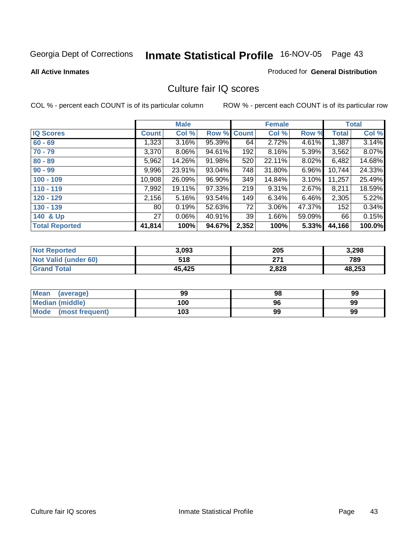#### **All Active Inmates**

### Produced for **General Distribution**

## Culture fair IQ scores

|                       |                 | <b>Male</b> |        |              | <b>Female</b> |          |              | <b>Total</b> |
|-----------------------|-----------------|-------------|--------|--------------|---------------|----------|--------------|--------------|
| <b>IQ Scores</b>      | <b>Count</b>    | Col %       | Row %  | <b>Count</b> | Col %         | Row %    | <b>Total</b> | Col %        |
| $60 - 69$             | 1,323           | 3.16%       | 95.39% | 64           | 2.72%         | 4.61%    | 1,387        | 3.14%        |
| $70 - 79$             | 3,370           | $8.06\%$    | 94.61% | 192          | 8.16%         | 5.39%    | 3,562        | 8.07%        |
| $80 - 89$             | 5,962           | 14.26%      | 91.98% | 520          | 22.11%        | $8.02\%$ | 6,482        | 14.68%       |
| $90 - 99$             | 9,996           | 23.91%      | 93.04% | 748          | 31.80%        | $6.96\%$ | 10,744       | 24.33%       |
| $100 - 109$           | 10,908          | 26.09%      | 96.90% | 349          | 14.84%        | $3.10\%$ | 11,257       | 25.49%       |
| $110 - 119$           | 7,992           | 19.11%      | 97.33% | 219          | 9.31%         | 2.67%    | 8,211        | 18.59%       |
| $120 - 129$           | 2,156           | $5.16\%$    | 93.54% | 149          | 6.34%         | $6.46\%$ | 2,305        | 5.22%        |
| $130 - 139$           | 80 <sub>1</sub> | 0.19%       | 52.63% | 72           | 3.06%         | 47.37%   | 152          | 0.34%        |
| 140 & Up              | 27 <sup>1</sup> | $0.06\%$    | 40.91% | 39           | 1.66%         | 59.09%   | 66           | 0.15%        |
| <b>Total Reported</b> | 41,814          | 100%        | 94.67% | 2,352        | 100%          | 5.33%    | 44,166       | 100.0%       |

| <b>Not Reported</b>         | 3,093  | 205   | 3,298  |
|-----------------------------|--------|-------|--------|
| <b>Not Valid (under 60)</b> | 518    | 271   | 789    |
| <b>Grand Total</b>          | 45,425 | 2,828 | 48,253 |

| Mean<br>(average)       | 99  | 98 | 99 |
|-------------------------|-----|----|----|
| Median (middle)         | 100 | 96 | 99 |
| Mode<br>(most frequent) | 103 | 99 | 99 |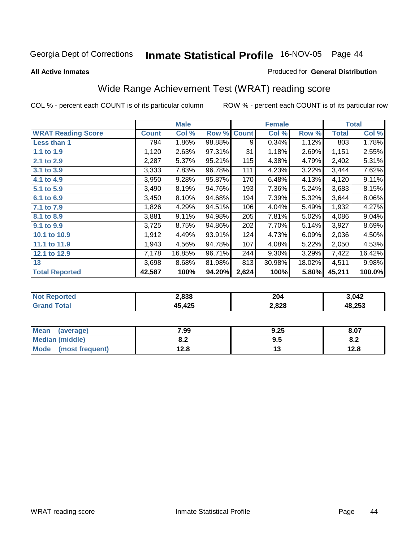#### **All Active Inmates**

#### Produced for **General Distribution**

# Wide Range Achievement Test (WRAT) reading score

|                           |              | <b>Male</b> |        |              | <b>Female</b> |        |              | <b>Total</b> |
|---------------------------|--------------|-------------|--------|--------------|---------------|--------|--------------|--------------|
| <b>WRAT Reading Score</b> | <b>Count</b> | Col %       | Row %  | <b>Count</b> | Col %         | Row %  | <b>Total</b> | Col %        |
| Less than 1               | 794          | 1.86%       | 98.88% | 9            | 0.34%         | 1.12%  | 803          | 1.78%        |
| 1.1 to 1.9                | 1,120        | 2.63%       | 97.31% | 31           | 1.18%         | 2.69%  | 1,151        | 2.55%        |
| 2.1 to 2.9                | 2,287        | 5.37%       | 95.21% | 115          | 4.38%         | 4.79%  | 2,402        | 5.31%        |
| 3.1 to 3.9                | 3,333        | 7.83%       | 96.78% | 111          | 4.23%         | 3.22%  | 3,444        | 7.62%        |
| 4.1 to 4.9                | 3,950        | 9.28%       | 95.87% | 170          | 6.48%         | 4.13%  | 4,120        | 9.11%        |
| 5.1 to 5.9                | 3,490        | 8.19%       | 94.76% | 193          | 7.36%         | 5.24%  | 3,683        | 8.15%        |
| 6.1 to 6.9                | 3,450        | 8.10%       | 94.68% | 194          | 7.39%         | 5.32%  | 3,644        | 8.06%        |
| 7.1 to 7.9                | 1,826        | 4.29%       | 94.51% | 106          | 4.04%         | 5.49%  | 1,932        | 4.27%        |
| 8.1 to 8.9                | 3,881        | 9.11%       | 94.98% | 205          | 7.81%         | 5.02%  | 4,086        | 9.04%        |
| 9.1 to 9.9                | 3,725        | 8.75%       | 94.86% | 202          | 7.70%         | 5.14%  | 3,927        | 8.69%        |
| 10.1 to 10.9              | 1,912        | 4.49%       | 93.91% | 124          | 4.73%         | 6.09%  | 2,036        | 4.50%        |
| 11.1 to 11.9              | 1,943        | 4.56%       | 94.78% | 107          | 4.08%         | 5.22%  | 2,050        | 4.53%        |
| 12.1 to 12.9              | 7,178        | 16.85%      | 96.71% | 244          | 9.30%         | 3.29%  | 7,422        | 16.42%       |
| 13                        | 3,698        | 8.68%       | 81.98% | 813          | 30.98%        | 18.02% | 4,511        | 9.98%        |
| <b>Total Reported</b>     | 42,587       | 100%        | 94.20% | 2,624        | 100%          | 5.80%  | 45,211       | 100.0%       |

| 2,838 | 204<br>____ | \ በ42      |
|-------|-------------|------------|
| AC    | 2,828       | つにつ<br>くいこ |

| <b>Mean</b><br>(average) | 7.99       | 9.25 | 8.07 |
|--------------------------|------------|------|------|
| <b>Median (middle)</b>   | י ה<br>0.Z | 9.5  | o.z  |
| Mode<br>(most frequent)  | ه. 2 ا     | . .  | 12.8 |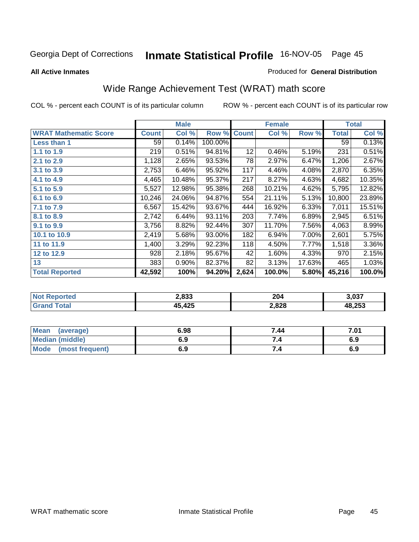**All Active Inmates**

#### Produced for **General Distribution**

# Wide Range Achievement Test (WRAT) math score

|                              |              | <b>Male</b> |         |              | <b>Female</b> |        |              | <b>Total</b> |
|------------------------------|--------------|-------------|---------|--------------|---------------|--------|--------------|--------------|
| <b>WRAT Mathematic Score</b> | <b>Count</b> | Col %       | Row %   | <b>Count</b> | Col %         | Row %  | <b>Total</b> | Col %        |
| Less than 1                  | 59           | 0.14%       | 100.00% |              |               |        | 59           | 0.13%        |
| 1.1 to 1.9                   | 219          | 0.51%       | 94.81%  | 12           | 0.46%         | 5.19%  | 231          | 0.51%        |
| 2.1 to 2.9                   | 1,128        | 2.65%       | 93.53%  | 78           | 2.97%         | 6.47%  | 1,206        | 2.67%        |
| 3.1 to 3.9                   | 2,753        | 6.46%       | 95.92%  | 117          | 4.46%         | 4.08%  | 2,870        | 6.35%        |
| 4.1 to 4.9                   | 4,465        | 10.48%      | 95.37%  | 217          | 8.27%         | 4.63%  | 4,682        | 10.35%       |
| 5.1 to 5.9                   | 5,527        | 12.98%      | 95.38%  | 268          | 10.21%        | 4.62%  | 5,795        | 12.82%       |
| 6.1 to 6.9                   | 10,246       | 24.06%      | 94.87%  | 554          | 21.11%        | 5.13%  | 10,800       | 23.89%       |
| 7.1 to 7.9                   | 6,567        | 15.42%      | 93.67%  | 444          | 16.92%        | 6.33%  | 7,011        | 15.51%       |
| 8.1 to 8.9                   | 2,742        | 6.44%       | 93.11%  | 203          | 7.74%         | 6.89%  | 2,945        | 6.51%        |
| 9.1 to 9.9                   | 3,756        | 8.82%       | 92.44%  | 307          | 11.70%        | 7.56%  | 4,063        | 8.99%        |
| 10.1 to 10.9                 | 2,419        | 5.68%       | 93.00%  | 182          | 6.94%         | 7.00%  | 2,601        | 5.75%        |
| 11 to 11.9                   | 1,400        | 3.29%       | 92.23%  | 118          | 4.50%         | 7.77%  | 1,518        | 3.36%        |
| 12 to 12.9                   | 928          | 2.18%       | 95.67%  | 42           | 1.60%         | 4.33%  | 970          | 2.15%        |
| 13                           | 383          | $0.90\%$    | 82.37%  | 82           | 3.13%         | 17.63% | 465          | 1.03%        |
| <b>Total Reported</b>        | 42,592       | 100%        | 94.20%  | 2,624        | 100.0%        | 5.80%  | 45,216       | 100.0%       |

| orted<br>NΩ | 2,833      | 204<br>____ | 3.037  |
|-------------|------------|-------------|--------|
|             | 12E<br>423 | 2,828       | 18,253 |

| <b>Mean</b><br>(average) | 6.98 | 7.44 | 7.01 |
|--------------------------|------|------|------|
| <b>Median (middle)</b>   | 6.9  |      | 6.9  |
| Mode<br>(most frequent)  | 6.9  | 7.4  | 6.9  |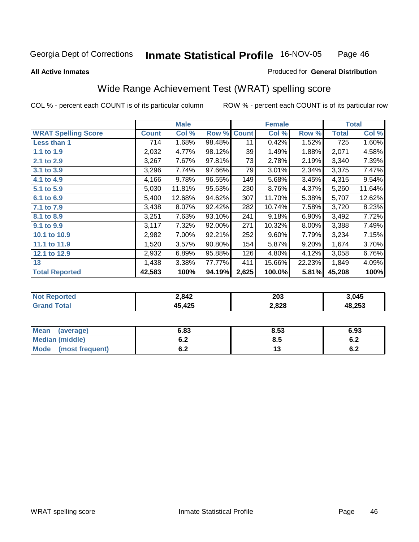#### **All Active Inmates**

#### Produced for **General Distribution**

# Wide Range Achievement Test (WRAT) spelling score

|                            |              | <b>Male</b> |        |              | <b>Female</b> |          |              | <b>Total</b> |
|----------------------------|--------------|-------------|--------|--------------|---------------|----------|--------------|--------------|
| <b>WRAT Spelling Score</b> | <b>Count</b> | Col %       | Row %  | <b>Count</b> | Col %         | Row %    | <b>Total</b> | Col %        |
| Less than 1                | 714          | 1.68%       | 98.48% | 11           | 0.42%         | 1.52%    | 725          | 1.60%        |
| 1.1 to 1.9                 | 2,032        | 4.77%       | 98.12% | 39           | 1.49%         | 1.88%    | 2,071        | 4.58%        |
| 2.1 to 2.9                 | 3,267        | 7.67%       | 97.81% | 73           | 2.78%         | 2.19%    | 3,340        | 7.39%        |
| 3.1 to 3.9                 | 3,296        | 7.74%       | 97.66% | 79           | 3.01%         | 2.34%    | 3,375        | 7.47%        |
| 4.1 to 4.9                 | 4,166        | 9.78%       | 96.55% | 149          | 5.68%         | 3.45%    | 4,315        | 9.54%        |
| 5.1 to 5.9                 | 5,030        | 11.81%      | 95.63% | 230          | 8.76%         | 4.37%    | 5,260        | 11.64%       |
| 6.1 to 6.9                 | 5,400        | 12.68%      | 94.62% | 307          | 11.70%        | 5.38%    | 5,707        | 12.62%       |
| 7.1 to 7.9                 | 3,438        | 8.07%       | 92.42% | 282          | 10.74%        | 7.58%    | 3,720        | 8.23%        |
| 8.1 to 8.9                 | 3,251        | 7.63%       | 93.10% | 241          | 9.18%         | 6.90%    | 3,492        | 7.72%        |
| 9.1 to 9.9                 | 3,117        | 7.32%       | 92.00% | 271          | 10.32%        | $8.00\%$ | 3,388        | 7.49%        |
| 10.1 to 10.9               | 2,982        | 7.00%       | 92.21% | 252          | 9.60%         | 7.79%    | 3,234        | 7.15%        |
| 11.1 to 11.9               | 1,520        | 3.57%       | 90.80% | 154          | 5.87%         | 9.20%    | 1,674        | 3.70%        |
| 12.1 to 12.9               | 2,932        | 6.89%       | 95.88% | 126          | 4.80%         | 4.12%    | 3,058        | 6.76%        |
| 13                         | 1,438        | 3.38%       | 77.77% | 411          | 15.66%        | 22.23%   | 1,849        | 4.09%        |
| <b>Total Reported</b>      | 42,583       | 100%        | 94.19% | 2,625        | 100.0%        | 5.81%    | 45,208       | 100%         |

| <b>No</b><br>orted | 2,842    | 203   | 3.045  |
|--------------------|----------|-------|--------|
| <b>otal</b>        | $+5,425$ | 2,828 | 48,253 |

| Mean<br>(average)      | 6.83 | 8.53 | 6.93 |
|------------------------|------|------|------|
| <b>Median (middle)</b> | U.Z  | 8.5  | 0.Z  |
| Mode (most frequent)   | υ.Ζ  | ט ו  | 6.2  |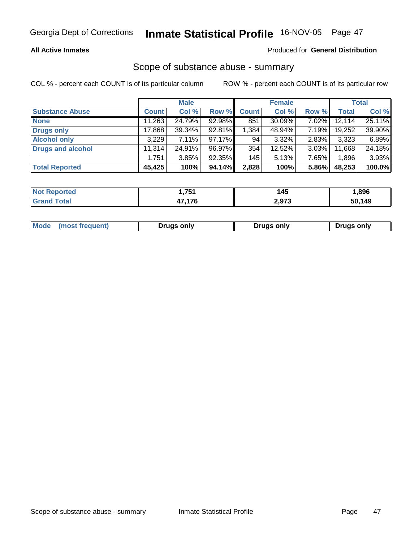### **All Active Inmates**

#### Produced for **General Distribution**

## Scope of substance abuse - summary

|                          |              | <b>Male</b> |           |              | <b>Female</b> |          |        | <b>Total</b> |
|--------------------------|--------------|-------------|-----------|--------------|---------------|----------|--------|--------------|
| <b>Substance Abuse</b>   | <b>Count</b> | Col %       | Row %     | <b>Count</b> | Col %         | Row %    | Total  | Col %        |
| <b>None</b>              | 11,263       | 24.79%      | 92.98%    | 851          | 30.09%        | $7.02\%$ | 12,114 | 25.11%       |
| <b>Drugs only</b>        | 17,868       | 39.34%      | 92.81%    | 1,384        | 48.94%        | 7.19%    | 19,252 | 39.90%       |
| <b>Alcohol only</b>      | 3,229        | 7.11%       | $97.17\%$ | 94           | 3.32%         | 2.83%    | 3,323  | 6.89%        |
| <b>Drugs and alcohol</b> | 11,314       | 24.91%      | 96.97%    | 354          | 12.52%        | 3.03%    | 11,668 | 24.18%       |
|                          | 1,751        | 3.85%       | 92.35%    | 145          | 5.13%         | 7.65%    | 1,896  | 3.93%        |
| <b>Total Reported</b>    | 45,425       | 100%        | 94.14%    | 2,828        | 100%          | 5.86%    | 48,253 | 100.0%       |

| 751<br>. | 145   | .896          |
|----------|-------|---------------|
| 17 17C   | 2,973 | 60.149<br>-50 |

| Mode<br>(most frequent) | Drugs only | <b>Drugs only</b> | <b>Drugs only</b> |
|-------------------------|------------|-------------------|-------------------|
|                         |            |                   |                   |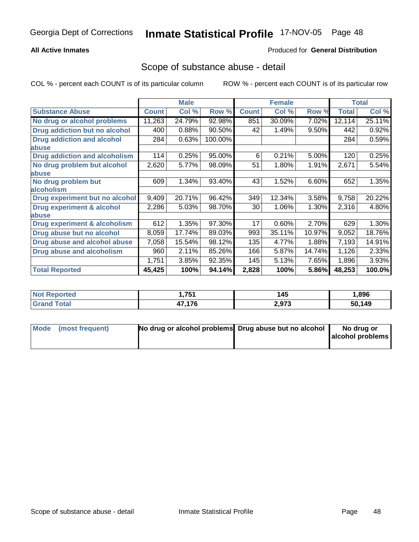### **All Active Inmates**

#### Produced for **General Distribution**

### Scope of substance abuse - detail

|                                      |              | <b>Male</b> |         |              | <b>Female</b> |        |              | <b>Total</b> |
|--------------------------------------|--------------|-------------|---------|--------------|---------------|--------|--------------|--------------|
| <b>Substance Abuse</b>               | <b>Count</b> | Col %       | Row %   | <b>Count</b> | Col %         | Row %  | <b>Total</b> | Col %        |
| No drug or alcohol problems          | 11,263       | 24.79%      | 92.98%  | 851          | 30.09%        | 7.02%  | 12,114       | 25.11%       |
| <b>Drug addiction but no alcohol</b> | 400          | 0.88%       | 90.50%  | 42           | 1.49%         | 9.50%  | 442          | 0.92%        |
| <b>Drug addiction and alcohol</b>    | 284          | 0.63%       | 100.00% |              |               |        | 284          | 0.59%        |
| abuse                                |              |             |         |              |               |        |              |              |
| <b>Drug addiction and alcoholism</b> | 114          | 0.25%       | 95.00%  | 6            | 0.21%         | 5.00%  | 120          | 0.25%        |
| No drug problem but alcohol          | 2,620        | 5.77%       | 98.09%  | 51           | 1.80%         | 1.91%  | 2,671        | 5.54%        |
| <b>labuse</b>                        |              |             |         |              |               |        |              |              |
| No drug problem but                  | 609          | 1.34%       | 93.40%  | 43           | 1.52%         | 6.60%  | 652          | 1.35%        |
| alcoholism                           |              |             |         |              |               |        |              |              |
| Drug experiment but no alcohol       | 9,409        | 20.71%      | 96.42%  | 349          | 12.34%        | 3.58%  | 9,758        | 20.22%       |
| <b>Drug experiment &amp; alcohol</b> | 2,286        | 5.03%       | 98.70%  | 30           | 1.06%         | 1.30%  | 2,316        | 4.80%        |
| abuse                                |              |             |         |              |               |        |              |              |
| Drug experiment & alcoholism         | 612          | 1.35%       | 97.30%  | 17           | 0.60%         | 2.70%  | 629          | 1.30%        |
| Drug abuse but no alcohol            | 8,059        | 17.74%      | 89.03%  | 993          | 35.11%        | 10.97% | 9,052        | 18.76%       |
| Drug abuse and alcohol abuse         | 7,058        | 15.54%      | 98.12%  | 135          | 4.77%         | 1.88%  | 7,193        | 14.91%       |
| <b>Drug abuse and alcoholism</b>     | 960          | 2.11%       | 85.26%  | 166          | 5.87%         | 14.74% | 1,126        | 2.33%        |
|                                      | 1,751        | 3.85%       | 92.35%  | 145          | 5.13%         | 7.65%  | 1,896        | 3.93%        |
| <b>Total Reported</b>                | 45,425       | 100%        | 94.14%  | 2,828        | 100%          | 5.86%  | 48,253       | 100.0%       |

| ported<br>NO) | 1 751<br>. | 145   | 896. ا |
|---------------|------------|-------|--------|
| `ota⊦         | 47.176     | 2,973 | 50,149 |

| Mode (most frequent) | No drug or alcohol problems Drug abuse but no alcohol | No drug or       |
|----------------------|-------------------------------------------------------|------------------|
|                      |                                                       | alcohol problems |
|                      |                                                       |                  |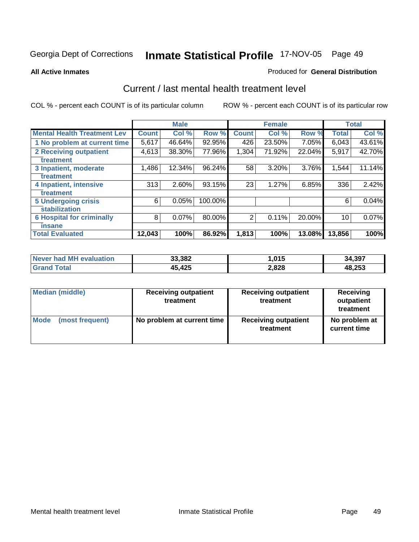#### **All Active Inmates**

#### Produced for **General Distribution**

## Current / last mental health treatment level

|                                    |              | <b>Male</b> |         |              | <b>Female</b> |          |              | <b>Total</b> |
|------------------------------------|--------------|-------------|---------|--------------|---------------|----------|--------------|--------------|
| <b>Mental Health Treatment Lev</b> | <b>Count</b> | Col %       | Row %   | <b>Count</b> | Col%          | Row %    | <b>Total</b> | Col %        |
| 1 No problem at current time       | 5,617        | 46.64%      | 92.95%  | 426          | 23.50%        | $7.05\%$ | 6,043        | 43.61%       |
| <b>2 Receiving outpatient</b>      | 4,613        | 38.30%      | 77.96%  | 1,304        | 71.92%        | 22.04%   | 5,917        | 42.70%       |
| treatment                          |              |             |         |              |               |          |              |              |
| 3 Inpatient, moderate              | 1,486        | 12.34%      | 96.24%  | 58           | 3.20%         | 3.76%    | 1,544        | 11.14%       |
| treatment                          |              |             |         |              |               |          |              |              |
| 4 Inpatient, intensive             | 313          | 2.60%       | 93.15%  | 23           | 1.27%         | 6.85%    | 336          | 2.42%        |
| treatment                          |              |             |         |              |               |          |              |              |
| <b>5 Undergoing crisis</b>         | 6            | 0.05%       | 100.00% |              |               |          | 6            | 0.04%        |
| stabilization                      |              |             |         |              |               |          |              |              |
| <b>6 Hospital for criminally</b>   | 8            | 0.07%       | 80.00%  | 2            | 0.11%         | 20.00%   | 10           | 0.07%        |
| insane                             |              |             |         |              |               |          |              |              |
| <b>Total Evaluated</b>             | 12,043       | 100%        | 86.92%  | 1,813        | 100%          | 13.08%   | 13,856       | 100%         |

| Never had MH evaluation | 33,382    | .015  | 34,397 |
|-------------------------|-----------|-------|--------|
| ™otal                   | 425<br>15 | 2,828 | 48,253 |

| <b>Median (middle)</b> | <b>Receiving outpatient</b><br>treatment | <b>Receiving outpatient</b><br>treatment | Receiving<br>outpatient<br>treatment |  |
|------------------------|------------------------------------------|------------------------------------------|--------------------------------------|--|
| Mode                   | No problem at current time               | <b>Receiving outpatient</b>              | No problem at                        |  |
| (most frequent)        |                                          | treatment                                | current time                         |  |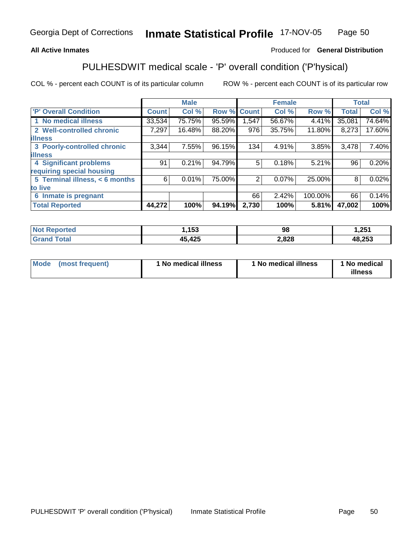#### **All Active Inmates**

### Produced for **General Distribution**

# PULHESDWIT medical scale - 'P' overall condition ('P'hysical)

|                                |              | <b>Male</b> |             |       | <b>Female</b> |         | <b>Total</b> |        |
|--------------------------------|--------------|-------------|-------------|-------|---------------|---------|--------------|--------|
| 'P' Overall Condition          | <b>Count</b> | Col %       | Row % Count |       | Col %         | Row %   | <b>Total</b> | Col %  |
| 1 No medical illness           | 33,534       | 75.75%      | 95.59%      | .547  | 56.67%        | 4.41%   | 35,081       | 74.64% |
| 2 Well-controlled chronic      | 7,297        | 16.48%      | 88.20%      | 976   | 35.75%        | 11.80%  | 8,273        | 17.60% |
| <b>illness</b>                 |              |             |             |       |               |         |              |        |
| 3 Poorly-controlled chronic    | 3,344        | $7.55\%$    | 96.15%      | 134   | 4.91%         | 3.85%   | 3,478        | 7.40%  |
| <b>illness</b>                 |              |             |             |       |               |         |              |        |
| <b>4 Significant problems</b>  | 91           | 0.21%       | 94.79%      | 5     | 0.18%         | 5.21%   | 96           | 0.20%  |
| requiring special housing      |              |             |             |       |               |         |              |        |
| 5 Terminal illness, < 6 months | 6            | $0.01\%$    | 75.00%      | 2     | 0.07%         | 25.00%  | 8            | 0.02%  |
| to live                        |              |             |             |       |               |         |              |        |
| 6 Inmate is pregnant           |              |             |             | 66    | 2.42%         | 100.00% | 66           | 0.14%  |
| <b>Total Reported</b>          | 44,272       | 100%        | 94.19%      | 2,730 | 100%          | 5.81%   | 47,002       | 100%   |

| <b>ported</b><br><b>NOT</b> | ,153   | 98    | ,251   |
|-----------------------------|--------|-------|--------|
| <b>Total</b><br>' Grai      | 45,425 | 2,828 | 48,253 |

| <b>Mode</b> | (most frequent) | 1 No medical illness | 1 No medical illness | 1 No medical<br>illness |
|-------------|-----------------|----------------------|----------------------|-------------------------|
|-------------|-----------------|----------------------|----------------------|-------------------------|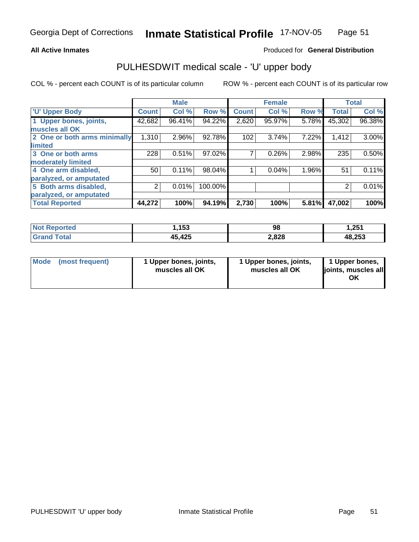#### **All Active Inmates**

### Produced for **General Distribution**

## PULHESDWIT medical scale - 'U' upper body

|                              |              | <b>Male</b> |         |              | <b>Female</b> |       |              | <b>Total</b> |
|------------------------------|--------------|-------------|---------|--------------|---------------|-------|--------------|--------------|
| <b>U' Upper Body</b>         | <b>Count</b> | Col %       | Row %   | <b>Count</b> | Col %         | Row % | <b>Total</b> | Col %        |
| 1 Upper bones, joints,       | 42,682       | 96.41%      | 94.22%  | 2,620        | 95.97%        | 5.78% | 45,302       | 96.38%       |
| muscles all OK               |              |             |         |              |               |       |              |              |
| 2 One or both arms minimally | 1,310        | 2.96%       | 92.78%  | 102          | 3.74%         | 7.22% | 1,412        | 3.00%        |
| <b>limited</b>               |              |             |         |              |               |       |              |              |
| 3 One or both arms           | 228          | 0.51%       | 97.02%  |              | 0.26%         | 2.98% | 235          | 0.50%        |
| moderately limited           |              |             |         |              |               |       |              |              |
| 4 One arm disabled,          | 50           | 0.11%       | 98.04%  |              | 0.04%         | 1.96% | 51           | 0.11%        |
| paralyzed, or amputated      |              |             |         |              |               |       |              |              |
| 5 Both arms disabled,        | 2            | 0.01%       | 100.00% |              |               |       | 2            | 0.01%        |
| paralyzed, or amputated      |              |             |         |              |               |       |              |              |
| <b>Total Reported</b>        | 44,272       | 100%        | 94.19%  | 2,730        | 100%          | 5.81% | 47,002       | 100%         |

| <b>Not Reported</b>         | 153،،  | 98    | 1,251  |
|-----------------------------|--------|-------|--------|
| $\tau$ otal<br><b>Grand</b> | 45,425 | 2,828 | 48,253 |

| Mode | (most frequent) | 1 Upper bones, joints,<br>muscles all OK | 1 Upper bones, joints,<br>muscles all OK | 1 Upper bones,<br>joints, muscles all<br>ΟK |
|------|-----------------|------------------------------------------|------------------------------------------|---------------------------------------------|
|------|-----------------|------------------------------------------|------------------------------------------|---------------------------------------------|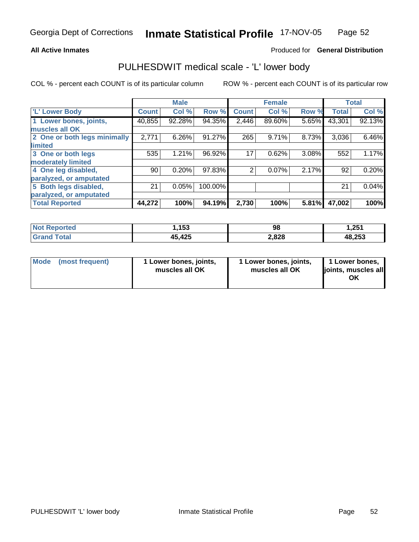#### **All Active Inmates**

### Produced for **General Distribution**

## PULHESDWIT medical scale - 'L' lower body

|                              |              | <b>Male</b> |         |              | <b>Female</b> |       |              | <b>Total</b> |
|------------------------------|--------------|-------------|---------|--------------|---------------|-------|--------------|--------------|
| 'L' Lower Body               | <b>Count</b> | Col %       | Row %   | <b>Count</b> | Col %         | Row % | <b>Total</b> | Col %        |
| 1 Lower bones, joints,       | 40,855       | 92.28%      | 94.35%  | 2,446        | 89.60%        | 5.65% | 43,301       | 92.13%       |
| muscles all OK               |              |             |         |              |               |       |              |              |
| 2 One or both legs minimally | 2,771        | 6.26%       | 91.27%  | 265          | 9.71%         | 8.73% | 3,036        | 6.46%        |
| limited                      |              |             |         |              |               |       |              |              |
| 3 One or both legs           | 535          | 1.21%       | 96.92%  | 17           | 0.62%         | 3.08% | 552          | 1.17%        |
| moderately limited           |              |             |         |              |               |       |              |              |
| 4 One leg disabled,          | 90           | 0.20%       | 97.83%  | 2            | 0.07%         | 2.17% | 92           | 0.20%        |
| paralyzed, or amputated      |              |             |         |              |               |       |              |              |
| 5 Both legs disabled,        | 21           | 0.05%       | 100.00% |              |               |       | 21           | 0.04%        |
| paralyzed, or amputated      |              |             |         |              |               |       |              |              |
| <b>Total Reported</b>        | 44,272       | 100%        | 94.19%  | 2,730        | 100%          | 5.81% | 47,002       | 100%         |

| <b>Not Reported</b>         | 153،،  | 98    | 1,251  |
|-----------------------------|--------|-------|--------|
| $\tau$ otal<br><b>Grand</b> | 45,425 | 2,828 | 48,253 |

| <b>Mode</b> | (most frequent) | 1 Lower bones, joints,<br>muscles all OK | 1 Lower bones, joints,<br>muscles all OK | 1 Lower bones,<br>joints, muscles all<br>ΟK |
|-------------|-----------------|------------------------------------------|------------------------------------------|---------------------------------------------|
|-------------|-----------------|------------------------------------------|------------------------------------------|---------------------------------------------|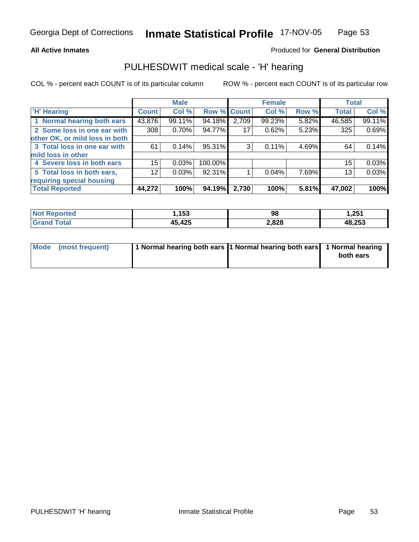#### **All Active Inmates**

### Produced for **General Distribution**

## PULHESDWIT medical scale - 'H' hearing

|                                |                 | <b>Male</b> |             |       | <b>Female</b> |       | <b>Total</b> |        |
|--------------------------------|-----------------|-------------|-------------|-------|---------------|-------|--------------|--------|
| <b>H'</b> Hearing              | <b>Count</b>    | Col %       | Row % Count |       | Col %         | Row % | <b>Total</b> | Col %  |
| 1 Normal hearing both ears     | 43,876          | 99.11%      | 94.18%      | 2,709 | 99.23%        | 5.82% | 46,585       | 99.11% |
| 2 Some loss in one ear with    | 308             | 0.70%       | 94.77%      | 17    | 0.62%         | 5.23% | 325          | 0.69%  |
| other OK, or mild loss in both |                 |             |             |       |               |       |              |        |
| 3 Total loss in one ear with   | 61              | 0.14%       | 95.31%      | 3     | 0.11%         | 4.69% | 64           | 0.14%  |
| mild loss in other             |                 |             |             |       |               |       |              |        |
| 4 Severe loss in both ears     | 15              | 0.03%       | 100.00%     |       |               |       | 15           | 0.03%  |
| 5 Total loss in both ears,     | 12 <sub>2</sub> | 0.03%       | 92.31%      |       | 0.04%         | 7.69% | 13           | 0.03%  |
| requiring special housing      |                 |             |             |       |               |       |              |        |
| <b>Total Reported</b>          | 44,272          | 100%        | 94.19%      | 2,730 | 100%          | 5.81% | 47,002       | 100%   |

| <b>тег.</b> | ,153                  | 98    | つらく<br>ا تع, |
|-------------|-----------------------|-------|--------------|
|             | オクド<br>15 I<br>45,425 | 2,828 | 48,253       |

| Mode (most frequent) | 1 Normal hearing both ears 11 Normal hearing both ears 1 Normal hearing |           |
|----------------------|-------------------------------------------------------------------------|-----------|
|                      |                                                                         | both ears |
|                      |                                                                         |           |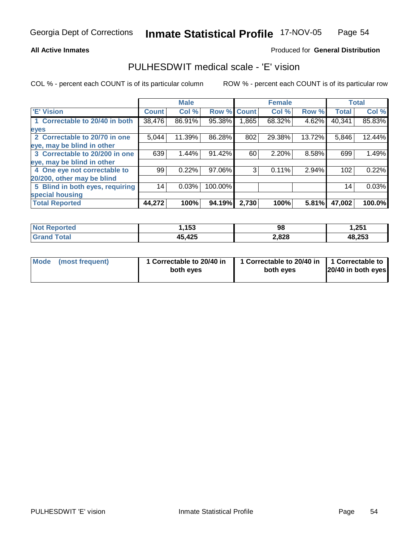#### **All Active Inmates**

### Produced for **General Distribution**

## PULHESDWIT medical scale - 'E' vision

|                                 |              | <b>Male</b> |                    |       | <b>Female</b> |          |              | <b>Total</b> |
|---------------------------------|--------------|-------------|--------------------|-------|---------------|----------|--------------|--------------|
| <b>E' Vision</b>                | <b>Count</b> | Col %       | <b>Row % Count</b> |       | Col %         | Row %    | <b>Total</b> | Col %        |
| 1 Correctable to 20/40 in both  | 38,476       | 86.91%      | 95.38%             | 1,865 | 68.32%        | $4.62\%$ | 40,341       | 85.83%       |
| eyes                            |              |             |                    |       |               |          |              |              |
| 2 Correctable to 20/70 in one   | 5,044        | 11.39%      | 86.28%             | 802   | 29.38%        | 13.72%   | 5,846        | 12.44%       |
| eye, may be blind in other      |              |             |                    |       |               |          |              |              |
| 3 Correctable to 20/200 in one  | 639          | 1.44%       | 91.42%             | 60    | 2.20%         | 8.58%    | 699          | 1.49%        |
| eye, may be blind in other      |              |             |                    |       |               |          |              |              |
| 4 One eye not correctable to    | 99           | 0.22%       | 97.06%             | 3     | 0.11%         | 2.94%    | 102          | 0.22%        |
| 20/200, other may be blind      |              |             |                    |       |               |          |              |              |
| 5 Blind in both eyes, requiring | 14           | 0.03%       | 100.00%            |       |               |          | 14           | 0.03%        |
| special housing                 |              |             |                    |       |               |          |              |              |
| <b>Total Reported</b>           | 44,272       | 100%        | 94.19%             | 2,730 | 100%          | 5.81%    | 47,002       | 100.0%       |

| orted<br>NO.          | ,153   | 98    | 1,251  |
|-----------------------|--------|-------|--------|
| 'otal<br><b>Grand</b> | 15,425 | 2,828 | 48,253 |

| Mode            | 1 Correctable to 20/40 in | 1 Correctable to 20/40 in   1 Correctable to | 20/40 in both eyes |
|-----------------|---------------------------|----------------------------------------------|--------------------|
| (most frequent) | both eyes                 | both eyes                                    |                    |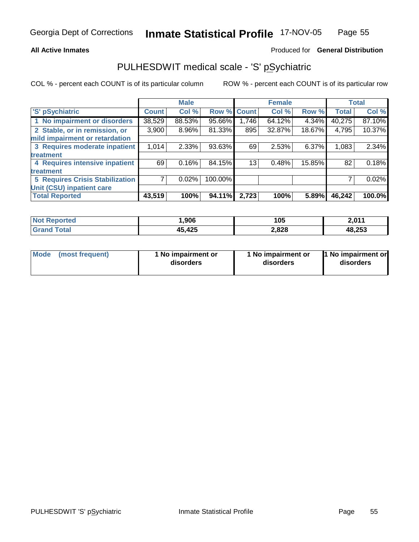#### **All Active Inmates**

#### Produced for **General Distribution**

# PULHESDWIT medical scale - 'S' pSychiatric

|                                        |              | <b>Male</b> |         |              | <b>Female</b> |        |              | <b>Total</b> |
|----------------------------------------|--------------|-------------|---------|--------------|---------------|--------|--------------|--------------|
| 'S' pSychiatric                        | <b>Count</b> | Col %       | Row %   | <b>Count</b> | Col %         | Row %  | <b>Total</b> | Col %        |
| 1 No impairment or disorders           | 38,529       | 88.53%      | 95.66%  | 1,746        | 64.12%        | 4.34%  | 40,275       | 87.10%       |
| 2 Stable, or in remission, or          | 3,900        | 8.96%       | 81.33%  | 895          | 32.87%        | 18.67% | 4,795        | 10.37%       |
| mild impairment or retardation         |              |             |         |              |               |        |              |              |
| 3 Requires moderate inpatient          | 1,014        | 2.33%       | 93.63%  | 69           | 2.53%         | 6.37%  | 1,083        | 2.34%        |
| treatment                              |              |             |         |              |               |        |              |              |
| 4 Requires intensive inpatient         | 69           | 0.16%       | 84.15%  | 13           | 0.48%         | 15.85% | 82           | 0.18%        |
| treatment                              |              |             |         |              |               |        |              |              |
| <b>5 Requires Crisis Stabilization</b> |              | 0.02%       | 100.00% |              |               |        |              | 0.02%        |
| Unit (CSU) inpatient care              |              |             |         |              |               |        |              |              |
| <b>Total Reported</b>                  | 43,519       | 100%        | 94.11%  | 2,723        | 100%          | 5.89%  | 46,242       | 100.0%       |

| Not R<br>ported | ,906       | 105   | 2,011  |
|-----------------|------------|-------|--------|
| Гоtal<br>Grar   | .425<br>ЛĘ | 2,828 | 48,253 |

| Mode | (most frequent) | 1 No impairment or<br>disorders | 1 No impairment or<br>disorders | 1 No impairment or<br>disorders |
|------|-----------------|---------------------------------|---------------------------------|---------------------------------|
|------|-----------------|---------------------------------|---------------------------------|---------------------------------|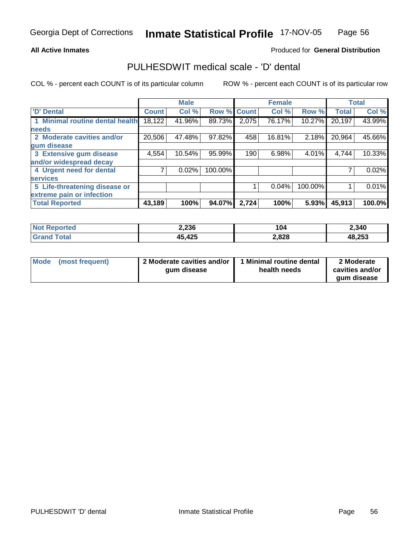#### **All Active Inmates**

### Produced for **General Distribution**

### PULHESDWIT medical scale - 'D' dental

|                                 |              | <b>Male</b> |                    |       | <b>Female</b> |         |              | <b>Total</b> |
|---------------------------------|--------------|-------------|--------------------|-------|---------------|---------|--------------|--------------|
| 'D' Dental                      | <b>Count</b> | Col %       | <b>Row % Count</b> |       | Col %         | Row %   | <b>Total</b> | Col %        |
| 1 Minimal routine dental health | 18,122       | 41.96%      | 89.73%             | 2,075 | 76.17%        | 10.27%  | 20,197       | 43.99%       |
| <b>needs</b>                    |              |             |                    |       |               |         |              |              |
| 2 Moderate cavities and/or      | 20,506       | 47.48%      | 97.82%             | 458   | 16.81%        | 2.18%   | 20,964       | 45.66%       |
| gum disease                     |              |             |                    |       |               |         |              |              |
| 3 Extensive gum disease         | 4,554        | 10.54%      | 95.99%             | 190   | 6.98%         | 4.01%   | 4,744        | 10.33%       |
| and/or widespread decay         |              |             |                    |       |               |         |              |              |
| 4 Urgent need for dental        |              | 0.02%       | 100.00%            |       |               |         |              | 0.02%        |
| <b>services</b>                 |              |             |                    |       |               |         |              |              |
| 5 Life-threatening disease or   |              |             |                    |       | 0.04%         | 100.00% |              | 0.01%        |
| extreme pain or infection       |              |             |                    |       |               |         |              |              |
| <b>Total Reported</b>           | 43,189       | 100%        | 94.07%             | 2,724 | 100%          | 5.93%   | 45,913       | 100.0%       |

| <b>Not</b><br>Reported | 2,236  | 104   | 2,340  |
|------------------------|--------|-------|--------|
| $\tau$ otal<br>' Grand | 45,425 | 2,828 | 48,253 |

| Mode | (most frequent) | 2 Moderate cavities and/or  <br>gum disease | 1 Minimal routine dental<br>health needs | 2 Moderate<br>cavities and/or |
|------|-----------------|---------------------------------------------|------------------------------------------|-------------------------------|
|      |                 |                                             |                                          | gum disease                   |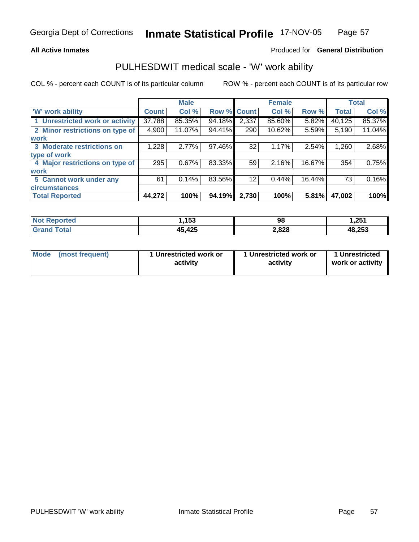#### **All Active Inmates**

#### Produced for **General Distribution**

### PULHESDWIT medical scale - 'W' work ability

|                                 |              | <b>Male</b> |             |       | <b>Female</b> |        |              | <b>Total</b> |
|---------------------------------|--------------|-------------|-------------|-------|---------------|--------|--------------|--------------|
| <b>W' work ability</b>          | <b>Count</b> | Col %       | Row % Count |       | Col %         | Row %  | <b>Total</b> | Col %        |
| 1 Unrestricted work or activity | 37,788       | 85.35%      | 94.18%      | 2,337 | 85.60%        | 5.82%  | 40,125       | 85.37%       |
| 2 Minor restrictions on type of | 4,900        | 11.07%      | 94.41%      | 290   | 10.62%        | 5.59%  | 5,190        | 11.04%       |
| <b>work</b>                     |              |             |             |       |               |        |              |              |
| 3 Moderate restrictions on      | 1,228        | 2.77%       | 97.46%      | 32    | 1.17%         | 2.54%  | 1,260        | 2.68%        |
| type of work                    |              |             |             |       |               |        |              |              |
| 4 Major restrictions on type of | 295          | 0.67%       | 83.33%      | 59    | 2.16%         | 16.67% | 354          | 0.75%        |
| work                            |              |             |             |       |               |        |              |              |
| 5 Cannot work under any         | 61           | 0.14%       | 83.56%      | 12    | 0.44%         | 16.44% | 73           | 0.16%        |
| <b>circumstances</b>            |              |             |             |       |               |        |              |              |
| <b>Total Reported</b>           | 44,272       | 100%        | 94.19%      | 2,730 | 100%          | 5.81%  | 47,002       | 100%         |

| <b>Not R</b><br><b>orted</b> | ,153   | 98    | 1,251  |
|------------------------------|--------|-------|--------|
| <b>Total</b><br>Cror         | 45,425 | 2,828 | 48,253 |

| Mode | (most frequent) | 1 Unrestricted work or<br>activity | 1 Unrestricted work or<br>activity | 1 Unrestricted<br>work or activity |
|------|-----------------|------------------------------------|------------------------------------|------------------------------------|
|------|-----------------|------------------------------------|------------------------------------|------------------------------------|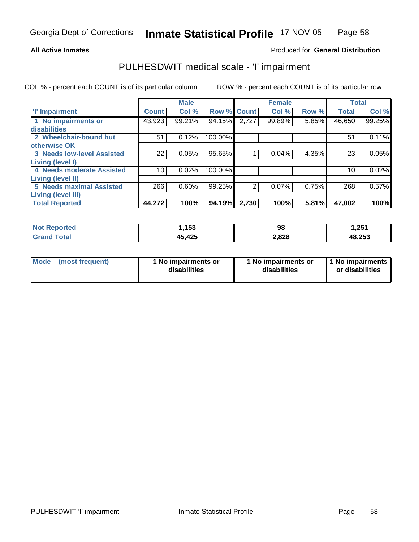#### **All Active Inmates**

### Produced for **General Distribution**

# PULHESDWIT medical scale - 'I' impairment

|                                   |              | <b>Male</b> |             |                | <b>Female</b> |       |              | <b>Total</b> |
|-----------------------------------|--------------|-------------|-------------|----------------|---------------|-------|--------------|--------------|
| <b>T' Impairment</b>              | <b>Count</b> | Col %       | Row % Count |                | Col %         | Row % | <b>Total</b> | Col %        |
| 1 No impairments or               | 43,923       | 99.21%      | 94.15%      | 2,727          | 99.89%        | 5.85% | 46,650       | 99.25%       |
| disabilities                      |              |             |             |                |               |       |              |              |
| 2 Wheelchair-bound but            | 51           | 0.12%       | 100.00%     |                |               |       | 51           | 0.11%        |
| otherwise OK                      |              |             |             |                |               |       |              |              |
| <b>3 Needs low-level Assisted</b> | 22           | 0.05%       | 95.65%      |                | 0.04%         | 4.35% | 23           | 0.05%        |
| Living (level I)                  |              |             |             |                |               |       |              |              |
| 4 Needs moderate Assisted         | 10           | 0.02%       | 100.00%     |                |               |       | 10           | 0.02%        |
| Living (level II)                 |              |             |             |                |               |       |              |              |
| <b>5 Needs maximal Assisted</b>   | 266          | 0.60%       | 99.25%      | $\overline{2}$ | 0.07%         | 0.75% | 268          | 0.57%        |
| <b>Living (level III)</b>         |              |             |             |                |               |       |              |              |
| <b>Total Reported</b>             | 44,272       | 100%        | 94.19%      | 2,730          | 100%          | 5.81% | 47,002       | 100%         |

| <b>Not Reported</b> | ,153                   | 98    | 1,251  |
|---------------------|------------------------|-------|--------|
| <b>Grand Total</b>  | 45,425<br>$\mathbf{A}$ | 2,828 | 48,253 |

| Mode | (most frequent) | 1 No impairments or<br>disabilities | 1 No impairments or<br>disabilities | 1 No impairments<br>or disabilities |
|------|-----------------|-------------------------------------|-------------------------------------|-------------------------------------|
|------|-----------------|-------------------------------------|-------------------------------------|-------------------------------------|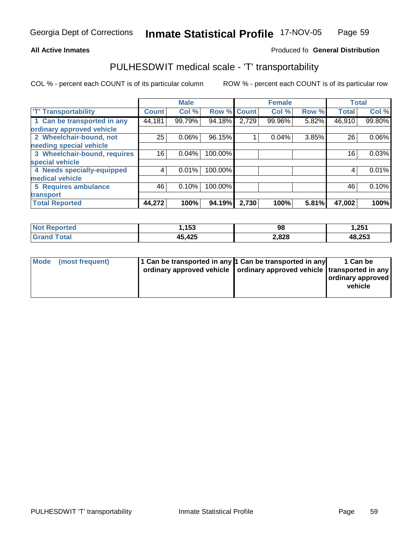#### **Inmate Statistical Profile** 17-NOV-05 Page Page 59

#### **All Active Inmates Allowski** Produced fo **General Distribution**

# PULHESDWIT medical scale - 'T' transportability

|                              |              | <b>Male</b> |             |       | <b>Female</b> |       | <b>Total</b> |        |
|------------------------------|--------------|-------------|-------------|-------|---------------|-------|--------------|--------|
| <b>T' Transportability</b>   | <b>Count</b> | Col %       | Row % Count |       | Col %         | Row % | <b>Total</b> | Col %  |
| 1 Can be transported in any  | 44,181       | 99.79%      | 94.18%      | 2,729 | 99.96%        | 5.82% | 46,910       | 99.80% |
| ordinary approved vehicle    |              |             |             |       |               |       |              |        |
| 2 Wheelchair-bound, not      | 25           | 0.06%       | 96.15%      |       | 0.04%         | 3.85% | 26           | 0.06%  |
| needing special vehicle      |              |             |             |       |               |       |              |        |
| 3 Wheelchair-bound, requires | 16           | 0.04%       | 100.00%     |       |               |       | 16           | 0.03%  |
| special vehicle              |              |             |             |       |               |       |              |        |
| 4 Needs specially-equipped   |              | 0.01%       | 100.00%     |       |               |       | 4            | 0.01%  |
| medical vehicle              |              |             |             |       |               |       |              |        |
| 5 Requires ambulance         | 46           | 0.10%       | 100.00%     |       |               |       | 46           | 0.10%  |
| transport                    |              |             |             |       |               |       |              |        |
| <b>Total Reported</b>        | 44,272       | 100%        | 94.19%      | 2,730 | 100%          | 5.81% | 47,002       | 100%   |

| Not I<br>Reported     | .153،  | 98    | 1,251  |
|-----------------------|--------|-------|--------|
| Total<br><b>Grand</b> | 45,425 | 2,828 | 48,253 |

| Mode (most frequent) | 1 Can be transported in any 1 Can be transported in any<br>ordinary approved vehicle   ordinary approved vehicle   transported in any | 1 Can be<br>ordinary approved<br>vehicle |
|----------------------|---------------------------------------------------------------------------------------------------------------------------------------|------------------------------------------|
|                      |                                                                                                                                       |                                          |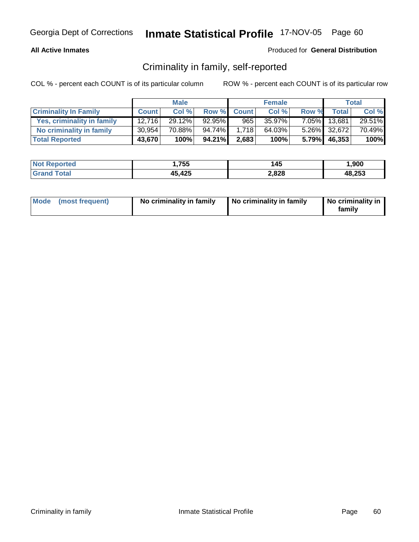### **All Active Inmates**

### Produced for **General Distribution**

# Criminality in family, self-reported

|                              |              | <b>Male</b> |        |             | <b>Female</b> |       |              | Total  |
|------------------------------|--------------|-------------|--------|-------------|---------------|-------|--------------|--------|
| <b>Criminality In Family</b> | <b>Count</b> | Col %       |        | Row % Count | Col %         | Row % | <b>Total</b> | Col %  |
| Yes, criminality in family   | 12.716       | 29.12%      | 92.95% | 965         | 35.97%        |       | 7.05% 13,681 | 29.51% |
| No criminality in family     | 30,954       | 70.88%      | 94.74% | 1.718       | 64.03%        |       | 5.26% 32,672 | 70.49% |
| <b>Total Reported</b>        | 43,670       | 100%        | 94.21% | 2,683       | 100%          |       | 5.79% 46,353 | 100%   |

| <b>Not</b><br><b>Reported</b> | .755،        | 145   | 900,   |
|-------------------------------|--------------|-------|--------|
| $\sim$ $\sim$                 | 45,425<br>15 | 2,828 | 48,253 |

| Mode (most frequent) | No criminality in family | No criminality in family | No criminality in<br>family |
|----------------------|--------------------------|--------------------------|-----------------------------|
|----------------------|--------------------------|--------------------------|-----------------------------|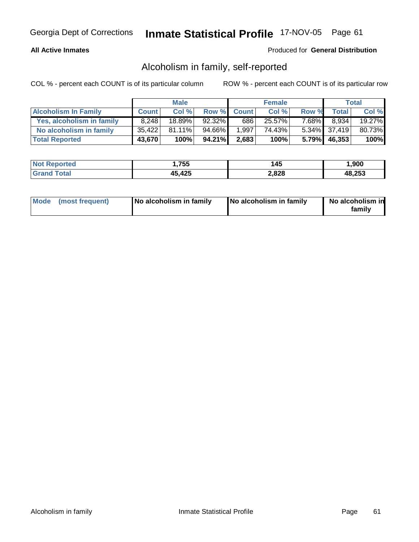### **All Active Inmates**

### Produced for **General Distribution**

# Alcoholism in family, self-reported

|                             |              | <b>Male</b> |        |             | <b>Female</b> |       |              | Total  |
|-----------------------------|--------------|-------------|--------|-------------|---------------|-------|--------------|--------|
| <b>Alcoholism In Family</b> | <b>Count</b> | Col %       |        | Row % Count | Col %         | Row % | <b>Total</b> | Col %  |
| Yes, alcoholism in family   | 8.248        | 18.89%      | 92.32% | 686         | 25.57%        | 7.68% | 8,934        | 19.27% |
| No alcoholism in family     | 35.422       | $81.11\%$   | 94.66% | 1,997       | 74.43%        |       | 5.34% 37,419 | 80.73% |
| <b>Total Reported</b>       | 43,670       | 100%        | 94.21% | 2,683       | 100%          |       | 5.79% 46,353 | 100%   |

| <b>Not</b><br><b>Reported</b> | .755،        | 145   | 900,   |
|-------------------------------|--------------|-------|--------|
| $\sim$ $\sim$                 | 45,425<br>15 | 2,828 | 48,253 |

| Mode (most frequent) | No alcoholism in family | No alcoholism in family | No alcoholism in<br>familv |
|----------------------|-------------------------|-------------------------|----------------------------|
|----------------------|-------------------------|-------------------------|----------------------------|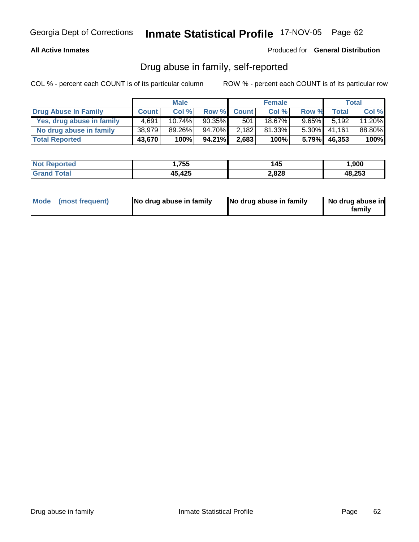### **All Active Inmates**

Produced for **General Distribution**

# Drug abuse in family, self-reported

|                           |              | <b>Male</b> |           |             | <b>Female</b> |          |              | Total  |
|---------------------------|--------------|-------------|-----------|-------------|---------------|----------|--------------|--------|
| Drug Abuse In Family      | <b>Count</b> | Col %       |           | Row % Count | Col %         | Row %    | <b>Total</b> | Col %  |
| Yes, drug abuse in family | 4.691        | $10.74\%$   | $90.35\%$ | 501'        | 18.67%        | $9.65\%$ | 5.192        | 11.20% |
| No drug abuse in family   | 38,979       | 89.26%      | 94.70%I   | 2,182       | 81.33%        | $5.30\%$ | 41.161       | 88.80% |
| <b>Total Reported</b>     | 43,670       | 100%        | 94.21%    | 2,683       | 100%          |          | 5.79% 46,353 | 100%   |

| <b>Not Reported</b>  | 755, ا       | 145   | ,900   |
|----------------------|--------------|-------|--------|
| <b>Tota</b><br>Grand | 45,425<br>ЛF | 2,828 | 48,253 |

| Mode (most frequent) |  | No drug abuse in family | No drug abuse in family | No drug abuse in<br>familv |
|----------------------|--|-------------------------|-------------------------|----------------------------|
|----------------------|--|-------------------------|-------------------------|----------------------------|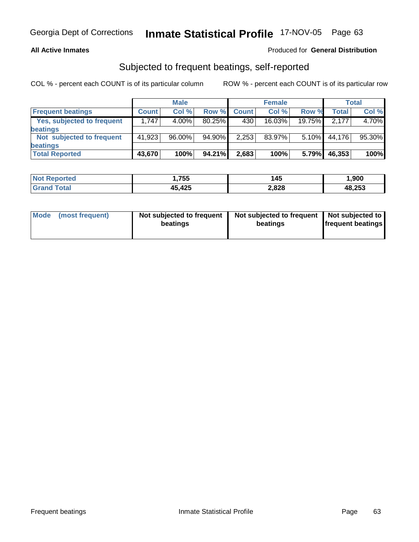### **All Active Inmates**

### Produced for **General Distribution**

## Subjected to frequent beatings, self-reported

|                            |              | <b>Male</b> |           |              | <b>Female</b> |          |        | Total  |
|----------------------------|--------------|-------------|-----------|--------------|---------------|----------|--------|--------|
| <b>Frequent beatings</b>   | <b>Count</b> | Col%        | Row %     | <b>Count</b> | Col%          | Row %    | Total  | Col %  |
| Yes, subjected to frequent | 1,747        | $4.00\%$    | $80.25\%$ | 430          | 16.03%        | 19.75%   | 2.177  | 4.70%  |
| <b>beatings</b>            |              |             |           |              |               |          |        |        |
| Not subjected to frequent  | 41,923       | $96.00\%$   | 94.90%    | 2,253        | 83.97%        | $5.10\%$ | 44,176 | 95.30% |
| beatings                   |              |             |           |              |               |          |        |        |
| <b>Total Reported</b>      | 43,670       | 100%        | 94.21%    | 2,683        | 100%          | 5.79%    | 46,353 | 100%   |

| <b>Not Reported</b> | 755،،  | 145   | 900, ا |
|---------------------|--------|-------|--------|
| <b>Grand Total</b>  | 45,425 | 2,828 | 48,253 |

| Mode | (most frequent) | Not subjected to frequent<br>beatings | Not subjected to frequent   Not subjected to  <br>beatings | <b>frequent beatings</b> |
|------|-----------------|---------------------------------------|------------------------------------------------------------|--------------------------|
|      |                 |                                       |                                                            |                          |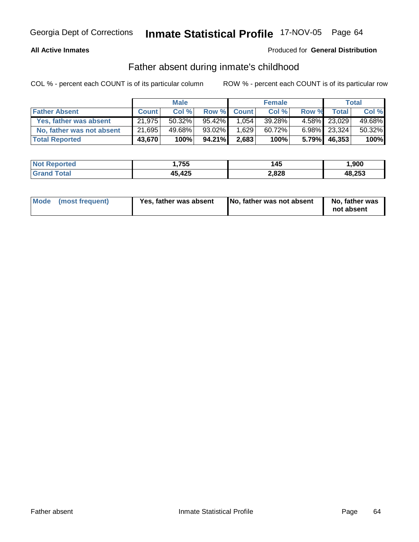### **All Active Inmates**

#### Produced for **General Distribution**

# Father absent during inmate's childhood

|                           |              | <b>Male</b> |           |             | <b>Female</b> |          |              | Total  |
|---------------------------|--------------|-------------|-----------|-------------|---------------|----------|--------------|--------|
| <b>Father Absent</b>      | <b>Count</b> | Col %       |           | Row % Count | Col %         | Row %    | <b>Total</b> | Col %  |
| Yes, father was absent    | 21,975       | $50.32\%$   | 95.42%    | 1.054       | 39.28%        |          | 4.58% 23,029 | 49.68% |
| No, father was not absent | 21,695       | 49.68%      | $93.02\%$ | 1,629       | 60.72%        |          | 6.98% 23,324 | 50.32% |
| <b>Total Reported</b>     | 43,670       | 100%        | 94.21%    | 2,683       | 100%          | $5.79\%$ | 46,353       | 100%   |

| <b>Not Reported</b> | .755.، | 145   | ,900   |
|---------------------|--------|-------|--------|
| ⊺otai               | 45,425 | 2,828 | 48,253 |

| Mode (most frequent)<br>Yes, father was absent | No, father was not absent | No, father was<br>not absent |
|------------------------------------------------|---------------------------|------------------------------|
|------------------------------------------------|---------------------------|------------------------------|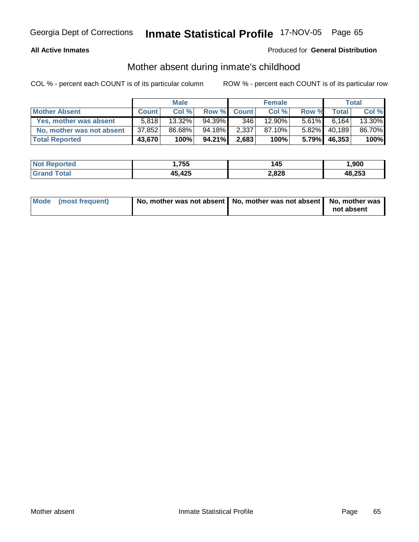### **All Active Inmates**

### Produced for **General Distribution**

# Mother absent during inmate's childhood

|                           |              | <b>Male</b> |        |             | <b>Female</b> |          |              | <b>Total</b> |
|---------------------------|--------------|-------------|--------|-------------|---------------|----------|--------------|--------------|
| <b>Mother Absent</b>      | <b>Count</b> | Col %       |        | Row % Count | Col %         | Row %    | <b>Total</b> | Col %        |
| Yes, mother was absent    | 5,818        | $13.32\%$   | 94.39% | 346         | 12.90%        | $5.61\%$ | 6.164        | 13.30%       |
| No, mother was not absent | 37,852       | 86.68%      | 94.18% | 2,337       | 87.10%        | $5.82\%$ | 40,189       | 86.70%       |
| <b>Total Reported</b>     | 43,670       | 100%        | 94.21% | 2,683       | 100%          | $5.79\%$ | 46,353       | 100%         |

| <b>Not Reported</b> | .,755  | 145   | ,900   |
|---------------------|--------|-------|--------|
| <b>Total</b>        | 45,425 | 2,828 | 48,253 |

| Mode (most frequent) | No, mother was not absent   No, mother was not absent   No, mother was |            |
|----------------------|------------------------------------------------------------------------|------------|
|                      |                                                                        | not absent |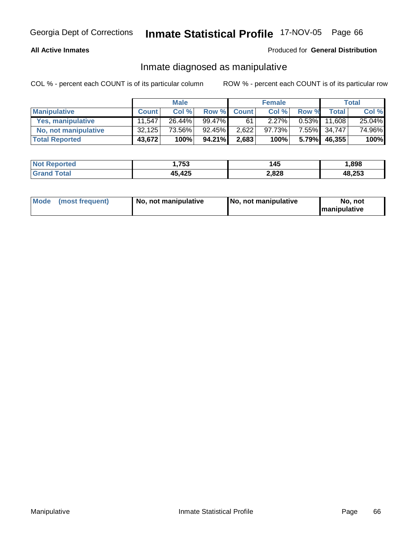#### **All Active Inmates**

### Produced for **General Distribution**

### Inmate diagnosed as manipulative

|                          |              | <b>Male</b> |        |             | <b>Female</b> |          |        | Total  |
|--------------------------|--------------|-------------|--------|-------------|---------------|----------|--------|--------|
| <b>Manipulative</b>      | <b>Count</b> | Col %       |        | Row % Count | Col %         | Row %    | Total  | Col %  |
| <b>Yes, manipulative</b> | 11.547       | $26.44\%$   | 99.47% | 61          | $2.27\%$      | $0.53\%$ | 11.608 | 25.04% |
| No, not manipulative     | 32,125       | 73.56%      | 92.45% | 2,622       | 97.73%        | $7.55\%$ | 34,747 | 74.96% |
| <b>Total Reported</b>    | 43,672       | 100%        | 94.21% | 2,683       | 100%          | 5.79%    | 46,355 | 100%   |

| <b>Not Reported</b>     | 753,ا        | 145   | 898, l |
|-------------------------|--------------|-------|--------|
| <b>fotal</b><br>l Grand | 45,425<br>1б | 2,828 | 48,253 |

| Mode (most frequent) | 1 No. not manipulative | <b>No. not manipulative</b> | No. not              |
|----------------------|------------------------|-----------------------------|----------------------|
|                      |                        |                             | <b>Imanipulative</b> |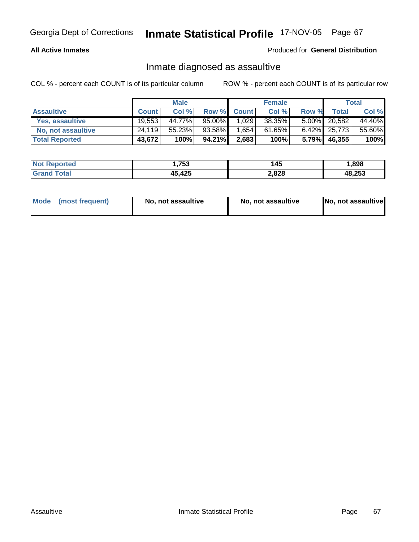### **All Active Inmates**

#### Produced for **General Distribution**

### Inmate diagnosed as assaultive

|                       |              | <b>Male</b> |        |             | <b>Female</b> |          |                 | Total  |
|-----------------------|--------------|-------------|--------|-------------|---------------|----------|-----------------|--------|
| <b>Assaultive</b>     | <b>Count</b> | Col %       |        | Row % Count | Col %         | Row %    | <b>Total</b>    | Col %  |
| Yes, assaultive       | 19,553       | 44.77%      | 95.00% | 1,029       | 38.35%        |          | 5.00% 20,582    | 44.40% |
| No, not assaultive    | 24,119       | 55.23%      | 93.58% | 1.654       | 61.65%        |          | $6.42\%$ 25,773 | 55.60% |
| <b>Total Reported</b> | 43,672       | 100%        | 94.21% | 2,683       | 100%          | $5.79\%$ | 46,355          | 100%   |

| <b>Not Reported</b> | .753.  | 145   | ,898   |
|---------------------|--------|-------|--------|
| ⊺otal               | 45,425 | 2,828 | 48,253 |

| Mode (most frequent)<br>No, not assaultive | No, not assaultive | No, not assaultive |
|--------------------------------------------|--------------------|--------------------|
|--------------------------------------------|--------------------|--------------------|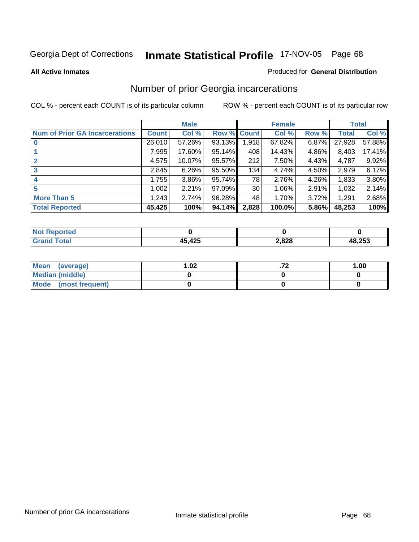#### **All Active Inmates**

#### Produced for **General Distribution**

# Number of prior Georgia incarcerations

|                                       |              | <b>Male</b> |                    |       | <b>Female</b> |       |        | <b>Total</b> |
|---------------------------------------|--------------|-------------|--------------------|-------|---------------|-------|--------|--------------|
| <b>Num of Prior GA Incarcerations</b> | <b>Count</b> | Col %       | <b>Row % Count</b> |       | Col %         | Row % | Total  | Col %        |
|                                       | 26,010       | 57.26%      | 93.13%             | 1,918 | 67.82%        | 6.87% | 27,928 | 57.88%       |
|                                       | 7,995        | 17.60%      | 95.14%             | 408   | 14.43%        | 4.86% | 8,403  | 17.41%       |
|                                       | 4,575        | 10.07%      | $95.57\%$          | 212   | 7.50%         | 4.43% | 4,787  | 9.92%        |
| 3                                     | 2,845        | 6.26%       | 95.50%             | 134   | 4.74%         | 4.50% | 2,979  | 6.17%        |
| $\boldsymbol{4}$                      | 1,755        | 3.86%       | 95.74%             | 78    | 2.76%         | 4.26% | 1,833  | 3.80%        |
| 5                                     | 1,002        | 2.21%       | $97.09\%$          | 30    | 1.06%         | 2.91% | 1,032  | 2.14%        |
| <b>More Than 5</b>                    | 1,243        | 2.74%       | 96.28%             | 48    | 1.70%         | 3.72% | 1,291  | 2.68%        |
| <b>Total Reported</b>                 | 45,425       | 100%        | 94.14%             | 2,828 | 100.0%        | 5.86% | 48,253 | 100%         |

| N      |     |      |               |
|--------|-----|------|---------------|
| 计信号    | 10F | .828 | <b>48 253</b> |
| ______ |     | __   | ະ ເບພ         |

| Mean (average)       | 1.02 | 1.00 |
|----------------------|------|------|
| Median (middle)      |      |      |
| Mode (most frequent) |      |      |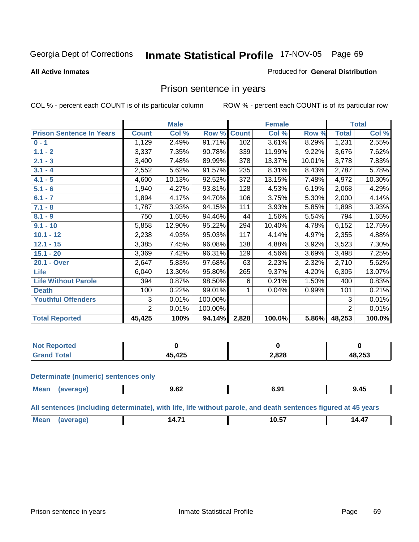#### **All Active Inmates**

#### Produced for **General Distribution**

# Prison sentence in years

COL % - percent each COUNT is of its particular column ROW % - percent each COUNT is of its particular row

|                                 |              | <b>Male</b> |         |                  | <b>Female</b> |        |                | <b>Total</b> |
|---------------------------------|--------------|-------------|---------|------------------|---------------|--------|----------------|--------------|
| <b>Prison Sentence In Years</b> | <b>Count</b> | Col %       | Row %   | <b>Count</b>     | Col %         | Row %  | <b>Total</b>   | Col %        |
| $0 - 1$                         | 1,129        | 2.49%       | 91.71%  | 102              | 3.61%         | 8.29%  | 1,231          | 2.55%        |
| $1.1 - 2$                       | 3,337        | 7.35%       | 90.78%  | 339              | 11.99%        | 9.22%  | 3,676          | 7.62%        |
| $2.1 - 3$                       | 3,400        | 7.48%       | 89.99%  | $\overline{378}$ | 13.37%        | 10.01% | 3,778          | 7.83%        |
| $3.1 - 4$                       | 2,552        | 5.62%       | 91.57%  | 235              | 8.31%         | 8.43%  | 2,787          | 5.78%        |
| $4.1 - 5$                       | 4,600        | 10.13%      | 92.52%  | 372              | 13.15%        | 7.48%  | 4,972          | 10.30%       |
| $5.1 - 6$                       | 1,940        | 4.27%       | 93.81%  | 128              | 4.53%         | 6.19%  | 2,068          | 4.29%        |
| $6.1 - 7$                       | 1,894        | 4.17%       | 94.70%  | 106              | 3.75%         | 5.30%  | 2,000          | 4.14%        |
| $7.1 - 8$                       | 1,787        | 3.93%       | 94.15%  | 111              | 3.93%         | 5.85%  | 1,898          | 3.93%        |
| $8.1 - 9$                       | 750          | 1.65%       | 94.46%  | 44               | 1.56%         | 5.54%  | 794            | 1.65%        |
| $9.1 - 10$                      | 5,858        | 12.90%      | 95.22%  | 294              | 10.40%        | 4.78%  | 6,152          | 12.75%       |
| $10.1 - 12$                     | 2,238        | 4.93%       | 95.03%  | 117              | 4.14%         | 4.97%  | 2,355          | 4.88%        |
| $12.1 - 15$                     | 3,385        | 7.45%       | 96.08%  | 138              | 4.88%         | 3.92%  | 3,523          | 7.30%        |
| $15.1 - 20$                     | 3,369        | 7.42%       | 96.31%  | 129              | 4.56%         | 3.69%  | 3,498          | 7.25%        |
| 20.1 - Over                     | 2,647        | 5.83%       | 97.68%  | 63               | 2.23%         | 2.32%  | 2,710          | 5.62%        |
| Life                            | 6,040        | 13.30%      | 95.80%  | 265              | 9.37%         | 4.20%  | 6,305          | 13.07%       |
| <b>Life Without Parole</b>      | 394          | 0.87%       | 98.50%  | 6                | 0.21%         | 1.50%  | 400            | 0.83%        |
| <b>Death</b>                    | 100          | 0.22%       | 99.01%  |                  | 0.04%         | 0.99%  | 101            | 0.21%        |
| <b>Youthful Offenders</b>       | 3            | 0.01%       | 100.00% |                  |               |        | 3              | 0.01%        |
|                                 | 2            | 0.01%       | 100.00% |                  |               |        | $\overline{2}$ | 0.01%        |
| <b>Total Reported</b>           | 45,425       | 100%        | 94.14%  | 2,828            | 100.0%        | 5.86%  | 48,253         | 100.0%       |

| <b>enorted</b> |            |       |        |
|----------------|------------|-------|--------|
|                | 12E<br>14J | 2,828 | 48,253 |

#### **Determinate (numeric) sentences only**

| l Mea | апе | $\sim$<br>J.VŁ<br>$ -$ | <u>v.j.</u> | 9.45 |
|-------|-----|------------------------|-------------|------|

#### **All sentences (including determinate), with life, life without parole, and death sentences figured at 45 years**

| <b>IM</b><br>- 4<br>10.J<br><b>TII</b><br>. |  |  |  | $\sim$ $\sim$ | $\sim$ $-$ |  |
|---------------------------------------------|--|--|--|---------------|------------|--|
|---------------------------------------------|--|--|--|---------------|------------|--|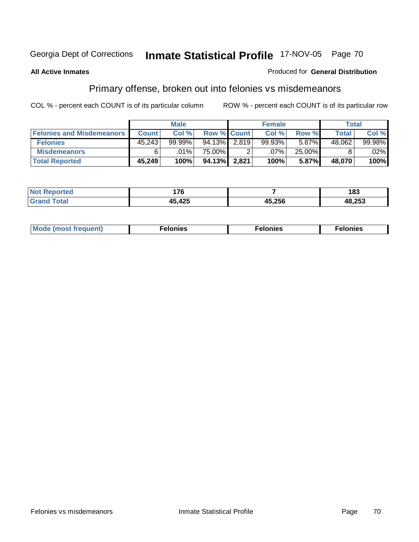# **All Active Inmates**

#### Produced for **General Distribution**

# Primary offense, broken out into felonies vs misdemeanors

|                                  |        | <b>Male</b> |                    |       | <b>Female</b> |        | Total  |        |
|----------------------------------|--------|-------------|--------------------|-------|---------------|--------|--------|--------|
| <b>Felonies and Misdemeanors</b> | Count  | Col %       | <b>Row % Count</b> |       | Col %         | Row %  | Total  | Col %  |
| <b>Felonies</b>                  | 45,243 | $99.99\%$   | 94.13%             | 2.819 | 99.93%        | 5.87%  | 48,062 | 99.98% |
| <b>Misdemeanors</b>              | 6      | $.01\%$     | 75.00% <b>I</b>    |       | .07%          | 25.00% |        | .02%   |
| <b>Total Reported</b>            | 45,249 | 100%        | 94.13%             | 2.821 | 100%          | 5.87%  | 48.070 | 100%   |

| <b>Not</b><br>eported   | 176<br>. |        | 183    |
|-------------------------|----------|--------|--------|
| <b>c</b> otal<br>' Gran | 15 195   | 45,256 | 48,253 |

| Mode (most frequent) | าทเคร | lonies | elonies |
|----------------------|-------|--------|---------|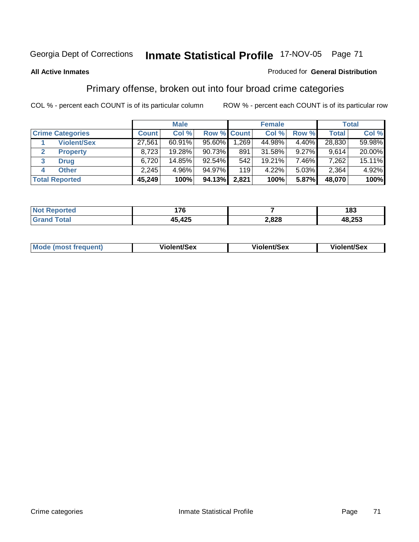### **All Active Inmates**

### Produced for **General Distribution**

## Primary offense, broken out into four broad crime categories

|                         |                    |              | <b>Male</b> |             |       | <b>Female</b> |          |        | <b>Total</b> |
|-------------------------|--------------------|--------------|-------------|-------------|-------|---------------|----------|--------|--------------|
| <b>Crime Categories</b> |                    | <b>Count</b> | Col %       | Row % Count |       | Col %         | Row %    | Total  | Col %        |
|                         | <b>Violent/Sex</b> | 27,561       | $60.91\%$   | $95.60\%$   | .269  | 44.98%        | $4.40\%$ | 28,830 | 59.98%       |
|                         | <b>Property</b>    | 8,723        | 19.28%      | $90.73\%$   | 891   | $31.58\%$     | 9.27%    | 9.614  | 20.00%       |
| 3<br><b>Drug</b>        |                    | 6,720        | 14.85%      | $92.54\%$   | 542   | 19.21%        | 7.46%    | 7,262  | 15.11%       |
| <b>Other</b><br>4       |                    | 2,245        | 4.96%       | 94.97%      | 119   | 4.22%         | 5.03%    | 2,364  | 4.92%        |
| <b>Total Reported</b>   |                    | 45,249       | 100%        | 94.13%      | 2,821 | 100%          | 5.87%    | 48,070 | 100%         |

| <b>rted</b><br>m. | 176             |       | 183    |
|-------------------|-----------------|-------|--------|
|                   | オクド<br>1F<br>TV | 2,828 | 48,253 |

|  | Mode (most frequent) | <b>Violent/Sex</b> | <b>Violent/Sex</b> | <b>Violent/Sex</b> |
|--|----------------------|--------------------|--------------------|--------------------|
|--|----------------------|--------------------|--------------------|--------------------|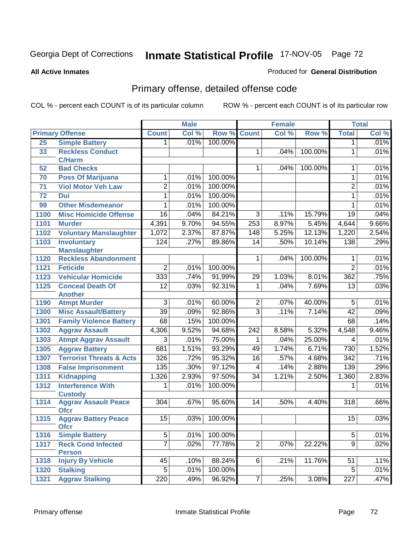#### **All Active Inmates**

### Produced for **General Distribution**

# Primary offense, detailed offense code

|      |                                            |                  | <b>Male</b> |         |                    | <b>Female</b> |         |                  | <b>Total</b> |
|------|--------------------------------------------|------------------|-------------|---------|--------------------|---------------|---------|------------------|--------------|
|      | <b>Primary Offense</b>                     | <b>Count</b>     | Col %       |         | <b>Row % Count</b> | Col %         | Row %   | <b>Total</b>     | Col %        |
| 25   | <b>Simple Battery</b>                      | 1.               | .01%        | 100.00% |                    |               |         | $\mathbf 1$      | .01%         |
| 33   | <b>Reckless Conduct</b>                    |                  |             |         | 1                  | .04%          | 100.00% | $\mathbf 1$      | .01%         |
|      | <b>C/Harm</b>                              |                  |             |         |                    |               |         |                  |              |
| 52   | <b>Bad Checks</b>                          |                  |             |         | 1                  | .04%          | 100.00% | 1                | .01%         |
| 70   | <b>Poss Of Marijuana</b>                   | 1                | .01%        | 100.00% |                    |               |         | 1                | .01%         |
| 71   | <b>Viol Motor Veh Law</b>                  | $\overline{2}$   | .01%        | 100.00% |                    |               |         | $\overline{2}$   | .01%         |
| 72   | Dui                                        | 1                | .01%        | 100.00% |                    |               |         | $\mathbf{1}$     | .01%         |
| 99   | <b>Other Misdemeanor</b>                   | 1                | .01%        | 100.00% |                    |               |         | 1                | .01%         |
| 1100 | <b>Misc Homicide Offense</b>               | $\overline{16}$  | .04%        | 84.21%  | $\overline{3}$     | .11%          | 15.79%  | $\overline{19}$  | .04%         |
| 1101 | <b>Murder</b>                              | 4,391            | 9.70%       | 94.55%  | 253                | 8.97%         | 5.45%   | 4,644            | 9.66%        |
| 1102 | <b>Voluntary Manslaughter</b>              | 1,072            | 2.37%       | 87.87%  | 148                | 5.25%         | 12.13%  | 1,220            | 2.54%        |
| 1103 | <b>Involuntary</b>                         | 124              | .27%        | 89.86%  | 14                 | .50%          | 10.14%  | 138              | .29%         |
|      | <b>Manslaughter</b>                        |                  |             |         |                    |               |         |                  |              |
| 1120 | <b>Reckless Abandonment</b>                |                  |             |         | $\mathbf 1$        | .04%          | 100.00% | 1                | .01%         |
| 1121 | <b>Feticide</b>                            | $\overline{2}$   | .01%        | 100.00% |                    |               |         | $\overline{2}$   | .01%         |
| 1123 | <b>Vehicular Homicide</b>                  | 333              | .74%        | 91.99%  | 29                 | 1.03%         | 8.01%   | 362              | .75%         |
| 1125 | <b>Conceal Death Of</b>                    | $\overline{12}$  | .03%        | 92.31%  | $\mathbf{1}$       | .04%          | 7.69%   | $\overline{13}$  | .03%         |
|      | <b>Another</b>                             |                  |             |         |                    |               |         |                  |              |
| 1190 | <b>Atmpt Murder</b>                        | $\overline{3}$   | .01%        | 60.00%  | $\overline{2}$     | .07%          | 40.00%  | $\overline{5}$   | .01%         |
| 1300 | <b>Misc Assault/Battery</b>                | $\overline{39}$  | .09%        | 92.86%  | $\overline{3}$     | .11%          | 7.14%   | 42               | .09%         |
| 1301 | <b>Family Violence Battery</b>             | 68               | .15%        | 100.00% |                    |               |         | $\overline{68}$  | .14%         |
| 1302 | <b>Aggrav Assault</b>                      | 4,306            | 9.52%       | 94.68%  | 242                | 8.58%         | 5.32%   | 4,548            | 9.46%        |
| 1303 | <b>Atmpt Aggrav Assault</b>                | $\overline{3}$   | .01%        | 75.00%  | $\mathbf{1}$       | .04%          | 25.00%  | 4                | .01%         |
| 1305 | <b>Aggrav Battery</b>                      | 681              | 1.51%       | 93.29%  | 49                 | 1.74%         | 6.71%   | 730              | 1.52%        |
| 1307 | <b>Terrorist Threats &amp; Acts</b>        | 326              | .72%        | 95.32%  | 16                 | .57%          | 4.68%   | $\overline{342}$ | .71%         |
| 1308 | <b>False Imprisonment</b>                  | 135              | .30%        | 97.12%  | 4                  | .14%          | 2.88%   | 139              | .29%         |
| 1311 | <b>Kidnapping</b>                          | 1,326            | 2.93%       | 97.50%  | $\overline{34}$    | 1.21%         | 2.50%   | 1,360            | 2.83%        |
| 1312 | <b>Interference With</b>                   | 1                | .01%        | 100.00% |                    |               |         | 1                | .01%         |
|      | <b>Custody</b>                             |                  |             |         |                    |               |         |                  |              |
| 1314 | <b>Aggrav Assault Peace</b><br><b>Ofcr</b> | $\overline{304}$ | .67%        | 95.60%  | 14                 | .50%          | 4.40%   | 318              | .66%         |
| 1315 | <b>Aggrav Battery Peace</b><br><b>Ofcr</b> | 15               | .03%        | 100.00% |                    |               |         | 15               | .03%         |
| 1316 | <b>Simple Battery</b>                      | $\overline{5}$   | .01%        | 100.00% |                    |               |         | $\overline{5}$   | .01%         |
| 1317 | <b>Reck Cond Infected</b>                  | $\overline{7}$   | .02%        | 77.78%  | $\overline{2}$     | .07%          | 22.22%  | $\overline{9}$   | .02%         |
|      | <b>Person</b>                              |                  |             |         |                    |               |         |                  |              |
| 1318 | <b>Injury By Vehicle</b>                   | 45               | .10%        | 88.24%  | 6                  | .21%          | 11.76%  | 51               | .11%         |
| 1320 | <b>Stalking</b>                            | 5                | .01%        | 100.00% |                    |               |         | 5                | .01%         |
| 1321 | <b>Aggrav Stalking</b>                     | 220              | .49%        | 96.92%  | $\overline{7}$     | .25%          | 3.08%   | 227              | .47%         |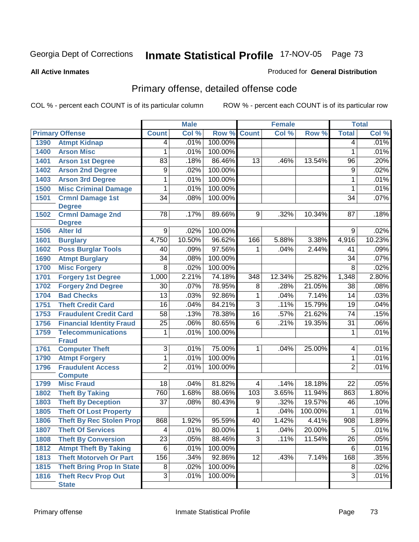#### **All Active Inmates**

### Produced for **General Distribution**

# Primary offense, detailed offense code

|      |                                          |                 | <b>Male</b> |         |                 | <b>Female</b>              |         |                         | <b>Total</b> |
|------|------------------------------------------|-----------------|-------------|---------|-----------------|----------------------------|---------|-------------------------|--------------|
|      | <b>Primary Offense</b>                   | <b>Count</b>    | Col %       | Row %   | <b>Count</b>    | $\overline{\text{Col }^9}$ | Row %   | <b>Total</b>            | Col %        |
| 1390 | <b>Atmpt Kidnap</b>                      | 4               | .01%        | 100.00% |                 |                            |         | 4                       | .01%         |
| 1400 | <b>Arson Misc</b>                        | 1               | .01%        | 100.00% |                 |                            |         | $\mathbf{1}$            | .01%         |
| 1401 | <b>Arson 1st Degree</b>                  | $\overline{83}$ | .18%        | 86.46%  | 13              | .46%                       | 13.54%  | 96                      | .20%         |
| 1402 | <b>Arson 2nd Degree</b>                  | 9               | .02%        | 100.00% |                 |                            |         | $\overline{9}$          | .02%         |
| 1403 | <b>Arson 3rd Degree</b>                  | 1               | .01%        | 100.00% |                 |                            |         | $\mathbf{1}$            | .01%         |
| 1500 | <b>Misc Criminal Damage</b>              | 1               | .01%        | 100.00% |                 |                            |         | $\mathbf{1}$            | .01%         |
| 1501 | <b>Crmnl Damage 1st</b>                  | $\overline{34}$ | .08%        | 100.00% |                 |                            |         | $\overline{34}$         | .07%         |
|      | <b>Degree</b>                            |                 |             |         |                 |                            |         |                         |              |
| 1502 | <b>Crmnl Damage 2nd</b><br><b>Degree</b> | $\overline{78}$ | .17%        | 89.66%  | 9               | .32%                       | 10.34%  | 87                      | .18%         |
| 1506 | <b>Alter Id</b>                          | 9               | .02%        | 100.00% |                 |                            |         | 9                       | .02%         |
| 1601 | <b>Burglary</b>                          | 4,750           | 10.50%      | 96.62%  | 166             | 5.88%                      | 3.38%   | 4,916                   | 10.23%       |
| 1602 | <b>Poss Burglar Tools</b>                | 40              | .09%        | 97.56%  | 1               | .04%                       | 2.44%   | 41                      | .09%         |
| 1690 | <b>Atmpt Burglary</b>                    | $\overline{34}$ | .08%        | 100.00% |                 |                            |         | $\overline{34}$         | .07%         |
| 1700 | <b>Misc Forgery</b>                      | 8               | .02%        | 100.00% |                 |                            |         | 8                       | .02%         |
| 1701 | <b>Forgery 1st Degree</b>                | 1,000           | 2.21%       | 74.18%  | 348             | 12.34%                     | 25.82%  | 1,348                   | 2.80%        |
| 1702 | <b>Forgery 2nd Degree</b>                | $\overline{30}$ | .07%        | 78.95%  | 8               | .28%                       | 21.05%  | $\overline{38}$         | .08%         |
| 1704 | <b>Bad Checks</b>                        | $\overline{13}$ | .03%        | 92.86%  | 1               | .04%                       | 7.14%   | $\overline{14}$         | .03%         |
| 1751 | <b>Theft Credit Card</b>                 | $\overline{16}$ | .04%        | 84.21%  | 3               | .11%                       | 15.79%  | $\overline{19}$         | .04%         |
| 1753 | <b>Fraudulent Credit Card</b>            | $\overline{58}$ | .13%        | 78.38%  | $\overline{16}$ | .57%                       | 21.62%  | $\overline{74}$         | .15%         |
| 1756 | <b>Financial Identity Fraud</b>          | $\overline{25}$ | .06%        | 80.65%  | 6               | .21%                       | 19.35%  | $\overline{31}$         | .06%         |
| 1759 | <b>Telecommunications</b>                | 1               | .01%        | 100.00% |                 |                            |         | 1                       | .01%         |
|      | <b>Fraud</b>                             |                 |             |         |                 |                            |         |                         |              |
| 1761 | <b>Computer Theft</b>                    | $\overline{3}$  | .01%        | 75.00%  | 1               | .04%                       | 25.00%  | $\overline{\mathbf{4}}$ | .01%         |
| 1790 | <b>Atmpt Forgery</b>                     | 1               | .01%        | 100.00% |                 |                            |         | 1                       | .01%         |
| 1796 | <b>Fraudulent Access</b>                 | $\overline{2}$  | .01%        | 100.00% |                 |                            |         | $\overline{2}$          | .01%         |
|      | <b>Compute</b>                           |                 |             |         |                 |                            |         |                         |              |
| 1799 | <b>Misc Fraud</b>                        | $\overline{18}$ | .04%        | 81.82%  | 4               | .14%                       | 18.18%  | $\overline{22}$         | .05%         |
| 1802 | <b>Theft By Taking</b>                   | 760             | 1.68%       | 88.06%  | 103             | 3.65%                      | 11.94%  | 863                     | 1.80%        |
| 1803 | <b>Theft By Deception</b>                | $\overline{37}$ | .08%        | 80.43%  | 9               | .32%                       | 19.57%  | 46                      | .10%         |
| 1805 | <b>Theft Of Lost Property</b>            |                 |             |         | 1               | .04%                       | 100.00% | 1                       | .01%         |
| 1806 | <b>Theft By Rec Stolen Prop</b>          | 868             | 1.92%       | 95.59%  | $\overline{40}$ | 1.42%                      | 4.41%   | $\overline{908}$        | 1.89%        |
| 1807 | <b>Theft Of Services</b>                 | 4               | .01%        | 80.00%  | 1               | .04%                       | 20.00%  | 5                       | .01%         |
| 1808 | <b>Theft By Conversion</b>               | $\overline{23}$ | .05%        | 88.46%  | $\overline{3}$  | .11%                       | 11.54%  | $\overline{26}$         | .05%         |
| 1812 | <b>Atmpt Theft By Taking</b>             | $\overline{6}$  | .01%        | 100.00% |                 |                            |         | 6                       | .01%         |
| 1813 | <b>Theft Motorveh Or Part</b>            | 156             | .34%        | 92.86%  | $\overline{12}$ | .43%                       | 7.14%   | 168                     | .35%         |
| 1815 | <b>Theft Bring Prop In State</b>         | $\overline{8}$  | .02%        | 100.00% |                 |                            |         | 8                       | .02%         |
| 1816 | <b>Theft Recv Prop Out</b>               | $\overline{3}$  | .01%        | 100.00% |                 |                            |         | $\overline{3}$          | .01%         |
|      | <b>State</b>                             |                 |             |         |                 |                            |         |                         |              |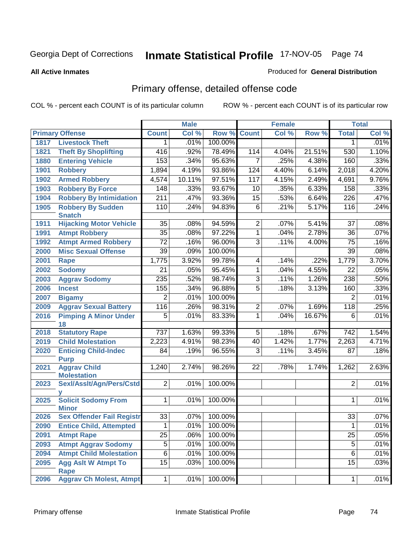#### **All Active Inmates**

### Produced for **General Distribution**

# Primary offense, detailed offense code

|      |                                            |                  | <b>Male</b> |         |                 | <b>Female</b> |         |                 | <b>Total</b> |
|------|--------------------------------------------|------------------|-------------|---------|-----------------|---------------|---------|-----------------|--------------|
|      | <b>Primary Offense</b>                     | <b>Count</b>     | Col %       | Row %   | <b>Count</b>    | Col %         | Row %   | <b>Total</b>    | Col %        |
| 1817 | <b>Livestock Theft</b>                     | 1.               | .01%        | 100.00% |                 |               |         | 1               | .01%         |
| 1821 | <b>Theft By Shoplifting</b>                | 416              | .92%        | 78.49%  | 114             | 4.04%         | 21.51%  | 530             | 1.10%        |
| 1880 | <b>Entering Vehicle</b>                    | 153              | .34%        | 95.63%  | $\overline{7}$  | .25%          | 4.38%   | 160             | .33%         |
| 1901 | <b>Robbery</b>                             | 1,894            | 4.19%       | 93.86%  | 124             | 4.40%         | 6.14%   | 2,018           | 4.20%        |
| 1902 | <b>Armed Robbery</b>                       | 4,574            | 10.11%      | 97.51%  | 117             | 4.15%         | 2.49%   | 4,691           | 9.76%        |
| 1903 | <b>Robbery By Force</b>                    | 148              | .33%        | 93.67%  | 10              | .35%          | 6.33%   | 158             | .33%         |
| 1904 | <b>Robbery By Intimidation</b>             | $\overline{211}$ | .47%        | 93.36%  | $\overline{15}$ | .53%          | 6.64%   | 226             | .47%         |
| 1905 | <b>Robbery By Sudden</b><br><b>Snatch</b>  | 110              | .24%        | 94.83%  | $\overline{6}$  | .21%          | 5.17%   | 116             | .24%         |
| 1911 | <b>Hijacking Motor Vehicle</b>             | $\overline{35}$  | .08%        | 94.59%  | $\overline{2}$  | .07%          | 5.41%   | $\overline{37}$ | .08%         |
| 1991 | <b>Atmpt Robbery</b>                       | $\overline{35}$  | .08%        | 97.22%  | $\overline{1}$  | .04%          | 2.78%   | $\overline{36}$ | .07%         |
| 1992 | <b>Atmpt Armed Robbery</b>                 | $\overline{72}$  | .16%        | 96.00%  | $\overline{3}$  | .11%          | 4.00%   | 75              | .16%         |
| 2000 | <b>Misc Sexual Offense</b>                 | $\overline{39}$  | .09%        | 100.00% |                 |               |         | $\overline{39}$ | .08%         |
| 2001 | Rape                                       | 1,775            | 3.92%       | 99.78%  | 4               | .14%          | $.22\%$ | 1,779           | 3.70%        |
| 2002 | <b>Sodomy</b>                              | $\overline{21}$  | .05%        | 95.45%  | $\mathbf 1$     | .04%          | 4.55%   | $\overline{22}$ | .05%         |
| 2003 | <b>Aggrav Sodomy</b>                       | 235              | .52%        | 98.74%  | $\overline{3}$  | .11%          | 1.26%   | 238             | .50%         |
| 2006 | <b>Incest</b>                              | 155              | .34%        | 96.88%  | $\overline{5}$  | .18%          | 3.13%   | 160             | .33%         |
| 2007 | <b>Bigamy</b>                              | 2                | .01%        | 100.00% |                 |               |         | 2               | $.01\%$      |
| 2009 | <b>Aggrav Sexual Battery</b>               | 116              | .26%        | 98.31%  | $\overline{2}$  | .07%          | 1.69%   | 118             | .25%         |
| 2016 | <b>Pimping A Minor Under</b>               | $\overline{5}$   | .01%        | 83.33%  | $\mathbf 1$     | .04%          | 16.67%  | 6               | .01%         |
|      | 18                                         |                  |             |         |                 |               |         |                 |              |
| 2018 | <b>Statutory Rape</b>                      | $\overline{737}$ | 1.63%       | 99.33%  | $\overline{5}$  | .18%          | .67%    | 742             | 1.54%        |
| 2019 | <b>Child Molestation</b>                   | 2,223            | 4.91%       | 98.23%  | 40              | 1.42%         | 1.77%   | 2,263           | 4.71%        |
| 2020 | <b>Enticing Child-Indec</b><br><b>Purp</b> | 84               | .19%        | 96.55%  | 3               | .11%          | 3.45%   | 87              | .18%         |
| 2021 | <b>Aggrav Child</b><br><b>Molestation</b>  | 1,240            | 2.74%       | 98.26%  | 22              | .78%          | 1.74%   | 1,262           | 2.63%        |
| 2023 | Sexl/AssIt/Agn/Pers/Cstd                   | $\overline{2}$   | .01%        | 100.00% |                 |               |         | $\overline{2}$  | .01%         |
| 2025 | <b>Solicit Sodomy From</b><br><b>Minor</b> | $\mathbf{1}$     | .01%        | 100.00% |                 |               |         | 1               | .01%         |
| 2026 | <b>Sex Offender Fail Registr</b>           | 33               | .07%        | 100.00% |                 |               |         | 33              | .07%         |
| 2090 | <b>Entice Child, Attempted</b>             | 1                | .01%        | 100.00% |                 |               |         | $\overline{1}$  | .01%         |
| 2091 | <b>Atmpt Rape</b>                          | 25               | .06%        | 100.00% |                 |               |         | $\overline{25}$ | .05%         |
| 2093 | <b>Atmpt Aggrav Sodomy</b>                 | $\overline{5}$   | .01%        | 100.00% |                 |               |         | 5               | .01%         |
| 2094 | <b>Atmpt Child Molestation</b>             | $\overline{6}$   | .01%        | 100.00% |                 |               |         | 6               | .01%         |
| 2095 | <b>Agg Aslt W Atmpt To</b><br><b>Rape</b>  | 15               | .03%        | 100.00% |                 |               |         | 15              | .03%         |
| 2096 | <b>Aggrav Ch Molest, Atmpt</b>             | $\overline{1}$   | .01%        | 100.00% |                 |               |         | $\mathbf 1$     | .01%         |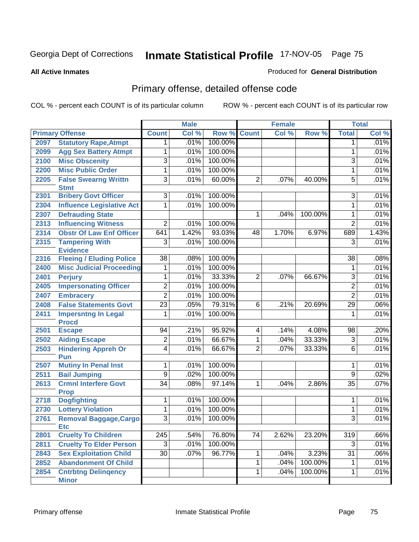#### **All Active Inmates**

## Produced for **General Distribution**

# Primary offense, detailed offense code

|      |                                            |                 | <b>Male</b> |         |                | <b>Female</b> |         |                     | <b>Total</b> |
|------|--------------------------------------------|-----------------|-------------|---------|----------------|---------------|---------|---------------------|--------------|
|      | <b>Primary Offense</b>                     | <b>Count</b>    | Col %       | Row %   | <b>Count</b>   | Col %         | Row %   | <b>Total</b>        | CoI%         |
| 2097 | <b>Statutory Rape, Atmpt</b>               | $\mathbf 1$     | .01%        | 100.00% |                |               |         | 1                   | .01%         |
| 2099 | <b>Agg Sex Battery Atmpt</b>               | 1               | .01%        | 100.00% |                |               |         | 1                   | .01%         |
| 2100 | <b>Misc Obscenity</b>                      | 3               | .01%        | 100.00% |                |               |         | 3                   | .01%         |
| 2200 | <b>Misc Public Order</b>                   | 1               | .01%        | 100.00% |                |               |         | 1                   | .01%         |
| 2205 | <b>False Swearng Writtn</b>                | 3               | .01%        | 60.00%  | $\overline{2}$ | .07%          | 40.00%  | $\overline{5}$      | .01%         |
|      | <b>Stmt</b>                                |                 |             |         |                |               |         |                     |              |
| 2301 | <b>Bribery Govt Officer</b>                | $\overline{3}$  | .01%        | 100.00% |                |               |         | $\overline{3}$      | .01%         |
| 2304 | <b>Influence Legislative Act</b>           | 1               | .01%        | 100.00% |                |               |         | $\mathbf{1}$        | .01%         |
| 2307 | <b>Defrauding State</b>                    |                 |             |         |                | .04%          | 100.00% | $\mathbf 1$         | .01%         |
| 2313 | <b>Influencing Witness</b>                 | $\overline{2}$  | .01%        | 100.00% |                |               |         | $\overline{2}$      | .01%         |
| 2314 | <b>Obstr Of Law Enf Officer</b>            | 641             | 1.42%       | 93.03%  | 48             | 1.70%         | 6.97%   | 689                 | 1.43%        |
| 2315 | <b>Tampering With</b>                      | $\overline{3}$  | .01%        | 100.00% |                |               |         | 3                   | .01%         |
|      | <b>Evidence</b>                            |                 |             |         |                |               |         |                     |              |
| 2316 | <b>Fleeing / Eluding Police</b>            | $\overline{38}$ | .08%        | 100.00% |                |               |         | 38                  | .08%         |
| 2400 | <b>Misc Judicial Proceeding</b>            | 1               | .01%        | 100.00% |                |               |         | $\mathbf 1$         | .01%         |
| 2401 | <b>Perjury</b>                             | 1               | .01%        | 33.33%  | 2              | .07%          | 66.67%  | 3                   | .01%         |
| 2405 | <b>Impersonating Officer</b>               | $\overline{2}$  | .01%        | 100.00% |                |               |         | $\overline{2}$      | .01%         |
| 2407 | <b>Embracery</b>                           | $\overline{2}$  | .01%        | 100.00% |                |               |         | $\overline{2}$      | .01%         |
| 2408 | <b>False Statements Govt</b>               | $\overline{23}$ | .05%        | 79.31%  | 6              | .21%          | 20.69%  | $\overline{29}$     | .06%         |
| 2411 | <b>Impersntng In Legal</b>                 | 1               | .01%        | 100.00% |                |               |         | $\mathbf 1$         | .01%         |
|      | <b>Procd</b>                               |                 |             |         |                |               |         |                     |              |
| 2501 | <b>Escape</b>                              | 94              | .21%        | 95.92%  | 4              | .14%          | 4.08%   | 98                  | .20%         |
| 2502 | <b>Aiding Escape</b>                       | $\overline{2}$  | .01%        | 66.67%  | 1              | .04%          | 33.33%  | $\overline{3}$      | .01%         |
| 2503 | <b>Hindering Appreh Or</b>                 | 4               | .01%        | 66.67%  | $\overline{2}$ | $.07\%$       | 33.33%  | 6                   | .01%         |
|      | Pun                                        |                 | .01%        | 100.00% |                |               |         |                     | .01%         |
| 2507 | <b>Mutiny In Penal Inst</b>                | 1               |             | 100.00% |                |               |         | 1<br>$\overline{9}$ |              |
| 2511 | <b>Bail Jumping</b>                        | $\overline{9}$  | .02%        |         |                |               |         |                     | .02%         |
| 2613 | <b>Crmnl Interfere Govt</b><br><b>Prop</b> | $\overline{34}$ | .08%        | 97.14%  | 1              | .04%          | 2.86%   | $\overline{35}$     | .07%         |
| 2718 | <b>Dogfighting</b>                         | 1               | .01%        | 100.00% |                |               |         | 1                   | .01%         |
| 2730 | <b>Lottery Violation</b>                   | 1               | .01%        | 100.00% |                |               |         | $\mathbf{1}$        | .01%         |
| 2761 | Removal Baggage, Cargo                     | 3               | .01%        | 100.00% |                |               |         | 3                   | .01%         |
|      | <b>Etc</b>                                 |                 |             |         |                |               |         |                     |              |
| 2801 | <b>Cruelty To Children</b>                 | 245             | .54%        | 76.80%  | 74             | 2.62%         | 23.20%  | 319                 | .66%         |
| 2811 | <b>Cruelty To Elder Person</b>             | $\overline{3}$  | .01%        | 100.00% |                |               |         | $\overline{3}$      | .01%         |
| 2843 | <b>Sex Exploitation Child</b>              | $\overline{30}$ | .07%        | 96.77%  | 1              | .04%          | 3.23%   | 31                  | .06%         |
| 2852 | <b>Abandonment Of Child</b>                |                 |             |         | 1              | .04%          | 100.00% | 1                   | .01%         |
| 2854 | <b>Cntrbtng Delingency</b>                 |                 |             |         | 1              | .04%          | 100.00% | 1                   | .01%         |
|      | <b>Minor</b>                               |                 |             |         |                |               |         |                     |              |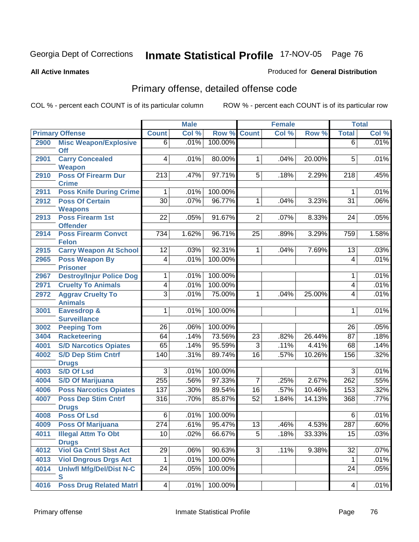Produced for **General Distribution**

### **All Active Inmates**

# Primary offense, detailed offense code

|      |                                             |                  | <b>Male</b> |         |                 | <b>Female</b> |           |                          | <b>Total</b> |
|------|---------------------------------------------|------------------|-------------|---------|-----------------|---------------|-----------|--------------------------|--------------|
|      | <b>Primary Offense</b>                      | <b>Count</b>     | Col %       | Row %   | <b>Count</b>    | Col %         | Row %     | <b>Total</b>             | Col %        |
| 2900 | <b>Misc Weapon/Explosive</b>                | $6 \mid$         | .01%        | 100.00% |                 |               |           | $\overline{6}$           | .01%         |
|      | <b>Off</b>                                  |                  |             |         |                 |               |           |                          |              |
| 2901 | <b>Carry Concealed</b>                      | $\overline{4}$   | .01%        | 80.00%  | $\mathbf{1}$    | .04%          | 20.00%    | $\overline{5}$           | .01%         |
| 2910 | <b>Weapon</b><br><b>Poss Of Firearm Dur</b> | $\overline{213}$ | .47%        | 97.71%  | $\overline{5}$  | .18%          | 2.29%     | $\overline{218}$         | .45%         |
|      | <b>Crime</b>                                |                  |             |         |                 |               |           |                          |              |
| 2911 | <b>Poss Knife During Crime</b>              | 1                | .01%        | 100.00% |                 |               |           | 1                        | .01%         |
| 2912 | <b>Poss Of Certain</b>                      | $\overline{30}$  | .07%        | 96.77%  | $\overline{1}$  | .04%          | 3.23%     | $\overline{31}$          | .06%         |
|      | <b>Weapons</b>                              |                  |             |         |                 |               |           |                          |              |
| 2913 | <b>Poss Firearm 1st</b>                     | $\overline{22}$  | .05%        | 91.67%  | $\overline{2}$  | .07%          | 8.33%     | 24                       | .05%         |
|      | <b>Offender</b>                             |                  |             |         |                 |               |           |                          |              |
| 2914 | <b>Poss Firearm Convct</b>                  | 734              | 1.62%       | 96.71%  | $\overline{25}$ | .89%          | 3.29%     | 759                      | 1.58%        |
|      | <b>Felon</b>                                |                  |             |         |                 |               |           |                          |              |
| 2915 | <b>Carry Weapon At School</b>               | 12               | .03%        | 92.31%  | $\mathbf{1}$    | .04%          | 7.69%     | 13                       | .03%         |
| 2965 | <b>Poss Weapon By</b><br><b>Prisoner</b>    | $\overline{4}$   | .01%        | 100.00% |                 |               |           | 4                        | .01%         |
| 2967 | <b>Destroy/Injur Police Dog</b>             | 1                | .01%        | 100.00% |                 |               |           | 1                        | .01%         |
| 2971 | <b>Cruelty To Animals</b>                   | 4                | .01%        | 100.00% |                 |               |           | $\overline{\mathcal{A}}$ | .01%         |
| 2972 | <b>Aggrav Cruelty To</b>                    | $\overline{3}$   | .01%        | 75.00%  | $\mathbf{1}$    | .04%          | 25.00%    | 4                        | .01%         |
|      | <b>Animals</b>                              |                  |             |         |                 |               |           |                          |              |
| 3001 | <b>Eavesdrop &amp;</b>                      | $\overline{1}$   | .01%        | 100.00% |                 |               |           | $\mathbf{1}$             | .01%         |
|      | <b>Surveillance</b>                         |                  |             |         |                 |               |           |                          |              |
| 3002 | <b>Peeping Tom</b>                          | 26               | .06%        | 100.00% |                 |               |           | 26                       | .05%         |
| 3404 | <b>Racketeering</b>                         | 64               | .14%        | 73.56%  | 23              | .82%          | 26.44%    | 87                       | .18%         |
| 4001 | <b>S/D Narcotics Opiates</b>                | 65               | .14%        | 95.59%  | $\overline{3}$  | .11%          | 4.41%     | 68                       | .14%         |
| 4002 | <b>S/D Dep Stim Cntrf</b>                   | 140              | .31%        | 89.74%  | 16              | .57%          | $10.26\%$ | 156                      | .32%         |
|      | <b>Drugs</b>                                |                  |             |         |                 |               |           |                          |              |
| 4003 | <b>S/D Of Lsd</b>                           | 3                | .01%        | 100.00% |                 |               |           | 3                        | .01%         |
| 4004 | <b>S/D Of Marijuana</b>                     | 255              | .56%        | 97.33%  | 7               | .25%          | 2.67%     | 262                      | .55%         |
| 4006 | <b>Poss Narcotics Opiates</b>               | 137              | .30%        | 89.54%  | 16              | .57%          | 10.46%    | 153                      | .32%         |
| 4007 | <b>Poss Dep Stim Cntrf</b>                  | 316              | .70%        | 85.87%  | 52              | 1.84%         | 14.13%    | 368                      | .77%         |
| 4008 | <b>Drugs</b><br><b>Poss Of Lsd</b>          | 6                | .01%        | 100.00% |                 |               |           | 6                        | .01%         |
| 4009 | Poss Of Marijuana                           | 274              | .61%        | 95.47%  | 13              | .46%          | 4.53%     | 287                      | .60%         |
| 4011 | <b>Illegal Attm To Obt</b>                  | 10               | .02%        | 66.67%  | 5               | .18%          | 33.33%    | 15                       | .03%         |
|      | <b>Drugs</b>                                |                  |             |         |                 |               |           |                          |              |
| 4012 | <b>Viol Ga Cntrl Sbst Act</b>               | 29               | .06%        | 90.63%  | 3               | .11%          | 9.38%     | 32                       | .07%         |
| 4013 | <b>Viol Dngrous Drgs Act</b>                | 1                | .01%        | 100.00% |                 |               |           | $\mathbf 1$              | .01%         |
| 4014 | <b>Uniwfl Mfg/Del/Dist N-C</b>              | $\overline{2}4$  | .05%        | 100.00% |                 |               |           | 24                       | .05%         |
|      | $\mathbf{s}$                                |                  |             |         |                 |               |           |                          |              |
| 4016 | <b>Poss Drug Related Matri</b>              | 4                | .01%        | 100.00% |                 |               |           | 4                        | .01%         |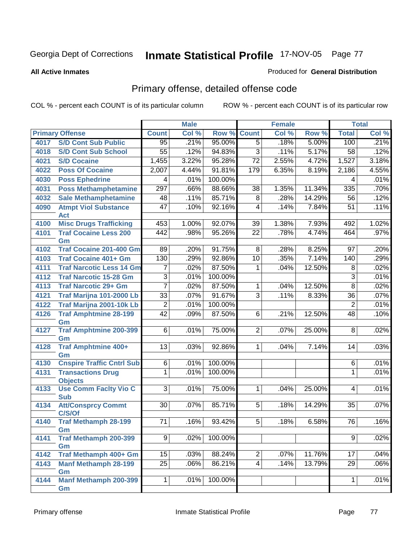#### **All Active Inmates**

#### Produced for **General Distribution**

# Primary offense, detailed offense code

|      |                                            |                 | <b>Male</b> |         |                 | <b>Female</b> |                     |                 | <b>Total</b> |
|------|--------------------------------------------|-----------------|-------------|---------|-----------------|---------------|---------------------|-----------------|--------------|
|      | <b>Primary Offense</b>                     | <b>Count</b>    | Col %       | Row %   | <b>Count</b>    | Col %         | Row %               | <b>Total</b>    | Col %        |
| 4017 | <b>S/D Cont Sub Public</b>                 | $\overline{95}$ | .21%        | 95.00%  | $\overline{5}$  | .18%          | 5.00%               | 100             | .21%         |
| 4018 | <b>S/D Cont Sub School</b>                 | $\overline{55}$ | .12%        | 94.83%  | $\overline{3}$  | .11%          | $\overline{5.17\%}$ | 58              | .12%         |
| 4021 | <b>S/D Cocaine</b>                         | 1,455           | 3.22%       | 95.28%  | $\overline{72}$ | 2.55%         | 4.72%               | 1,527           | 3.18%        |
| 4022 | <b>Poss Of Cocaine</b>                     | 2,007           | 4.44%       | 91.81%  | 179             | 6.35%         | 8.19%               | 2,186           | 4.55%        |
| 4030 | <b>Poss Ephedrine</b>                      | 4               | .01%        | 100.00% |                 |               |                     | 4               | .01%         |
| 4031 | <b>Poss Methamphetamine</b>                | 297             | .66%        | 88.66%  | $\overline{38}$ | 1.35%         | 11.34%              | 335             | .70%         |
| 4032 | <b>Sale Methamphetamine</b>                | 48              | .11%        | 85.71%  | $\overline{8}$  | .28%          | 14.29%              | $\overline{56}$ | .12%         |
| 4090 | <b>Atmpt Viol Substance</b><br><b>Act</b>  | $\overline{47}$ | .10%        | 92.16%  | 4               | .14%          | 7.84%               | $\overline{51}$ | .11%         |
| 4100 | <b>Misc Drugs Trafficking</b>              | 453             | 1.00%       | 92.07%  | $\overline{39}$ | 1.38%         | 7.93%               | 492             | 1.02%        |
| 4101 | <b>Traf Cocaine Less 200</b><br>Gm         | 442             | .98%        | 95.26%  | $\overline{22}$ | .78%          | 4.74%               | 464             | .97%         |
| 4102 | <b>Traf Cocaine 201-400 Gm</b>             | $\overline{89}$ | .20%        | 91.75%  | 8               | .28%          | 8.25%               | 97              | .20%         |
| 4103 | <b>Traf Cocaine 401+ Gm</b>                | 130             | .29%        | 92.86%  | 10              | .35%          | 7.14%               | 140             | .29%         |
| 4111 | <b>Traf Narcotic Less 14 Gm</b>            | 7               | .02%        | 87.50%  | 1               | .04%          | 12.50%              | 8               | .02%         |
| 4112 | <b>Traf Narcotic 15-28 Gm</b>              | 3               | .01%        | 100.00% |                 |               |                     | $\overline{3}$  | .01%         |
| 4113 | <b>Traf Narcotic 29+ Gm</b>                | $\overline{7}$  | .02%        | 87.50%  | 1               | .04%          | 12.50%              | $\overline{8}$  | .02%         |
| 4121 | Traf Marijna 101-2000 Lb                   | $\overline{33}$ | .07%        | 91.67%  | $\overline{3}$  | .11%          | 8.33%               | $\overline{36}$ | .07%         |
| 4122 | Traf Marijna 2001-10k Lb                   | $\mathbf 2$     | .01%        | 100.00% |                 |               |                     | $\overline{2}$  | .01%         |
| 4126 | <b>Traf Amphtmine 28-199</b><br>Gm         | $\overline{42}$ | .09%        | 87.50%  | 6               | .21%          | 12.50%              | 48              | .10%         |
| 4127 | <b>Traf Amphtmine 200-399</b><br>Gm        | 6               | .01%        | 75.00%  | $\overline{2}$  | .07%          | 25.00%              | 8               | .02%         |
| 4128 | <b>Traf Amphtmine 400+</b><br>Gm           | 13              | .03%        | 92.86%  | 1               | .04%          | 7.14%               | 14              | .03%         |
| 4130 | <b>Cnspire Traffic Cntrl Sub</b>           | 6               | .01%        | 100.00% |                 |               |                     | 6               | .01%         |
| 4131 | <b>Transactions Drug</b><br><b>Objects</b> | $\mathbf{1}$    | .01%        | 100.00% |                 |               |                     | 1               | .01%         |
| 4133 | <b>Use Comm Facity Vio C</b><br><b>Sub</b> | $\overline{3}$  | .01%        | 75.00%  | 1               | .04%          | 25.00%              | 4               | .01%         |
| 4134 | <b>Att/Consprcy Commt</b><br>C/S/Of        | 30              | .07%        | 85.71%  | 5               | .18%          | 14.29%              | 35              | .07%         |
| 4140 | <b>Traf Methamph 28-199</b><br>Gm          | 71              | .16%        | 93.42%  | 5               | .18%          | 6.58%               | 76              | .16%         |
| 4141 | <b>Traf Methamph 200-399</b><br>Gm         | $\overline{9}$  | .02%        | 100.00% |                 |               |                     | 9               | .02%         |
| 4142 | Traf Methamph 400+ Gm                      | $\overline{15}$ | .03%        | 88.24%  | $\overline{2}$  | .07%          | 11.76%              | 17              | .04%         |
| 4143 | <b>Manf Methamph 28-199</b><br>Gm          | $\overline{25}$ | .06%        | 86.21%  | $\overline{4}$  | .14%          | 13.79%              | 29              | .06%         |
| 4144 | <b>Manf Methamph 200-399</b><br>Gm         | $\mathbf 1$     | .01%        | 100.00% |                 |               |                     | 1               | .01%         |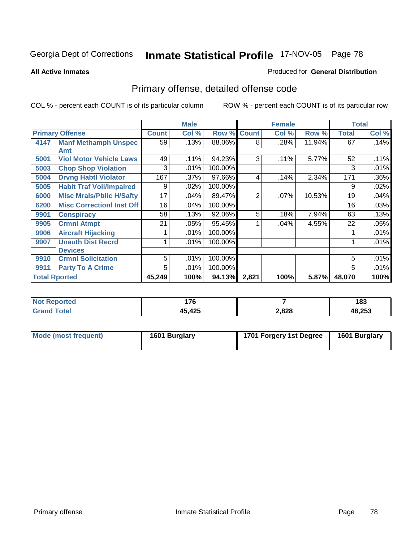**All Active Inmates**

## Produced for **General Distribution**

# Primary offense, detailed offense code

|                      |                                  |                 | <b>Male</b> |         |              | <b>Female</b> |        |        | <b>Total</b> |
|----------------------|----------------------------------|-----------------|-------------|---------|--------------|---------------|--------|--------|--------------|
|                      | <b>Primary Offense</b>           | <b>Count</b>    | Col %       | Row %   | <b>Count</b> | Col %         | Row %  | Total  | Col %        |
| 4147                 | <b>Manf Methamph Unspec</b>      | $\overline{59}$ | .13%        | 88.06%  | 8            | .28%          | 11.94% | 67     | .14%         |
|                      | Amt                              |                 |             |         |              |               |        |        |              |
| 5001                 | <b>Viol Motor Vehicle Laws</b>   | 49              | .11%        | 94.23%  | 3            | $.11\%$       | 5.77%  | 52     | .11%         |
| 5003                 | <b>Chop Shop Violation</b>       | 3               | .01%        | 100.00% |              |               |        | 3      | .01%         |
| 5004                 | <b>Drvng Habtl Violator</b>      | 167             | .37%        | 97.66%  | 4            | .14%          | 2.34%  | 171    | .36%         |
| 5005                 | <b>Habit Traf Voil/Impaired</b>  | 9               | .02%        | 100.00% |              |               |        | 9      | .02%         |
| 6000                 | <b>Misc Mrals/Pblic H/Safty</b>  | 17              | .04%        | 89.47%  | 2            | .07%          | 10.53% | 19     | .04%         |
| 6200                 | <b>Misc Correctionl Inst Off</b> | 16              | .04%        | 100.00% |              |               |        | 16     | .03%         |
| 9901                 | <b>Conspiracy</b>                | 58              | .13%        | 92.06%  | 5            | .18%          | 7.94%  | 63     | .13%         |
| 9905                 | <b>Crmnl Atmpt</b>               | 21              | .05%        | 95.45%  |              | .04%          | 4.55%  | 22     | .05%         |
| 9906                 | <b>Aircraft Hijacking</b>        |                 | .01%        | 100.00% |              |               |        |        | .01%         |
| 9907                 | <b>Unauth Dist Recrd</b>         |                 | $.01\%$     | 100.00% |              |               |        |        | .01%         |
|                      | <b>Devices</b>                   |                 |             |         |              |               |        |        |              |
| 9910                 | <b>Crmnl Solicitation</b>        | 5               | .01%        | 100.00% |              |               |        | 5      | .01%         |
| 9911                 | <b>Party To A Crime</b>          | 5               | .01%        | 100.00% |              |               |        | 5      | .01%         |
| <b>Total Rported</b> |                                  | 45,249          | 100%        | 94.13%  | 2,821        | 100%          | 5.87%  | 48,070 | 100%         |

| 'ted<br>Nt | 176<br>. <i>.</i> v |       | 183    |
|------------|---------------------|-------|--------|
|            | 45,425              | 2,828 | 48,253 |

| Mode (most frequent) | 1601 Burglary | 1701 Forgery 1st Degree | 1601 Burglary |
|----------------------|---------------|-------------------------|---------------|
|                      |               |                         |               |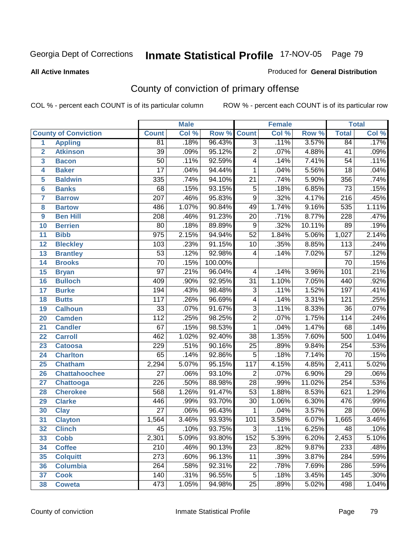### **All Active Inmates**

#### Produced for **General Distribution**

# County of conviction of primary offense

|                 |                             |                  | <b>Male</b> |         |                  | <b>Female</b> |        |                  | <b>Total</b> |
|-----------------|-----------------------------|------------------|-------------|---------|------------------|---------------|--------|------------------|--------------|
|                 | <b>County of Conviction</b> | <b>Count</b>     | Col %       | Row %   | <b>Count</b>     | Col %         | Row %  | <b>Total</b>     | Col %        |
| 1               | <b>Appling</b>              | 81               | .18%        | 96.43%  | $\overline{3}$   | .11%          | 3.57%  | 84               | .17%         |
| $\overline{2}$  | <b>Atkinson</b>             | $\overline{39}$  | .09%        | 95.12%  | $\overline{2}$   | .07%          | 4.88%  | 41               | .09%         |
| 3               | <b>Bacon</b>                | $\overline{50}$  | .11%        | 92.59%  | 4                | .14%          | 7.41%  | $\overline{54}$  | .11%         |
| 4               | <b>Baker</b>                | $\overline{17}$  | .04%        | 94.44%  | 1                | .04%          | 5.56%  | $\overline{18}$  | .04%         |
| 5               | <b>Baldwin</b>              | 335              | .74%        | 94.10%  | $\overline{21}$  | .74%          | 5.90%  | 356              | .74%         |
| 6               | <b>Banks</b>                | 68               | .15%        | 93.15%  | $\overline{5}$   | .18%          | 6.85%  | $\overline{73}$  | .15%         |
| 7               | <b>Barrow</b>               | $\overline{207}$ | .46%        | 95.83%  | $\overline{9}$   | .32%          | 4.17%  | $\overline{216}$ | .45%         |
| 8               | <b>Bartow</b>               | 486              | 1.07%       | 90.84%  | 49               | 1.74%         | 9.16%  | $\overline{535}$ | 1.11%        |
| 9               | <b>Ben Hill</b>             | 208              | .46%        | 91.23%  | $\overline{20}$  | .71%          | 8.77%  | 228              | .47%         |
| 10              | <b>Berrien</b>              | 80               | .18%        | 89.89%  | 9                | .32%          | 10.11% | 89               | .19%         |
| 11              | <b>Bibb</b>                 | $\overline{975}$ | 2.15%       | 94.94%  | $\overline{52}$  | 1.84%         | 5.06%  | 1,027            | 2.14%        |
| 12              | <b>Bleckley</b>             | 103              | .23%        | 91.15%  | 10               | .35%          | 8.85%  | 113              | .24%         |
| $\overline{13}$ | <b>Brantley</b>             | $\overline{53}$  | .12%        | 92.98%  | $\overline{4}$   | .14%          | 7.02%  | $\overline{57}$  | .12%         |
| 14              | <b>Brooks</b>               | $\overline{70}$  | .15%        | 100.00% |                  |               |        | 70               | .15%         |
| 15              | <b>Bryan</b>                | $\overline{97}$  | .21%        | 96.04%  | 4                | .14%          | 3.96%  | 101              | .21%         |
| 16              | <b>Bulloch</b>              | 409              | .90%        | 92.95%  | $\overline{31}$  | 1.10%         | 7.05%  | 440              | .92%         |
| 17              | <b>Burke</b>                | 194              | .43%        | 98.48%  | $\overline{3}$   | .11%          | 1.52%  | 197              | .41%         |
| 18              | <b>Butts</b>                | $\overline{117}$ | .26%        | 96.69%  | 4                | .14%          | 3.31%  | 121              | .25%         |
| 19              | <b>Calhoun</b>              | $\overline{33}$  | .07%        | 91.67%  | $\overline{3}$   | .11%          | 8.33%  | $\overline{36}$  | .07%         |
| 20              | <b>Camden</b>               | $\overline{112}$ | .25%        | 98.25%  | $\overline{2}$   | .07%          | 1.75%  | 114              | .24%         |
| 21              | <b>Candler</b>              | $\overline{67}$  | .15%        | 98.53%  | $\mathbf{1}$     | .04%          | 1.47%  | 68               | .14%         |
| 22              | <b>Carroll</b>              | 462              | 1.02%       | 92.40%  | $\overline{38}$  | 1.35%         | 7.60%  | 500              | 1.04%        |
| 23              | <b>Catoosa</b>              | 229              | .51%        | 90.16%  | $\overline{25}$  | .89%          | 9.84%  | 254              | .53%         |
| 24              | <b>Charlton</b>             | 65               | .14%        | 92.86%  | $\overline{5}$   | .18%          | 7.14%  | 70               | .15%         |
| 25              | <b>Chatham</b>              | 2,294            | 5.07%       | 95.15%  | $\overline{117}$ | 4.15%         | 4.85%  | 2,411            | 5.02%        |
| 26              | <b>Chattahoochee</b>        | $\overline{27}$  | .06%        | 93.10%  | $\overline{2}$   | .07%          | 6.90%  | 29               | .06%         |
| 27              | Chattooga                   | $\overline{226}$ | .50%        | 88.98%  | $\overline{28}$  | .99%          | 11.02% | 254              | .53%         |
| 28              | <b>Cherokee</b>             | $\overline{568}$ | 1.26%       | 91.47%  | $\overline{53}$  | 1.88%         | 8.53%  | 621              | 1.29%        |
| 29              | <b>Clarke</b>               | 446              | .99%        | 93.70%  | $\overline{30}$  | 1.06%         | 6.30%  | 476              | .99%         |
| 30              | <b>Clay</b>                 | $\overline{27}$  | .06%        | 96.43%  | 1                | .04%          | 3.57%  | $\overline{28}$  | .06%         |
| $\overline{31}$ | <b>Clayton</b>              | 1,564            | 3.46%       | 93.93%  | 101              | 3.58%         | 6.07%  | 1,665            | 3.46%        |
| 32              | <b>Clinch</b>               | 45               | .10%        | 93.75%  | 3                | .11%          | 6.25%  | 48               | .10%         |
| 33              | <b>Cobb</b>                 | 2,301            | 5.09%       | 93.80%  | 152              | 5.39%         | 6.20%  | 2,453            | 5.10%        |
| 34              | <b>Coffee</b>               | 210              | .46%        | 90.13%  | 23               | .82%          | 9.87%  | 233              | .48%         |
| 35              | <b>Colquitt</b>             | $\overline{273}$ | .60%        | 96.13%  | 11               | .39%          | 3.87%  | 284              | .59%         |
| 36              | <b>Columbia</b>             | 264              | .58%        | 92.31%  | 22               | .78%          | 7.69%  | 286              | .59%         |
| 37              | <b>Cook</b>                 | 140              | .31%        | 96.55%  | $\overline{5}$   | .18%          | 3.45%  | 145              | .30%         |
| 38              | <b>Coweta</b>               | 473              | 1.05%       | 94.98%  | 25               | .89%          | 5.02%  | 498              | 1.04%        |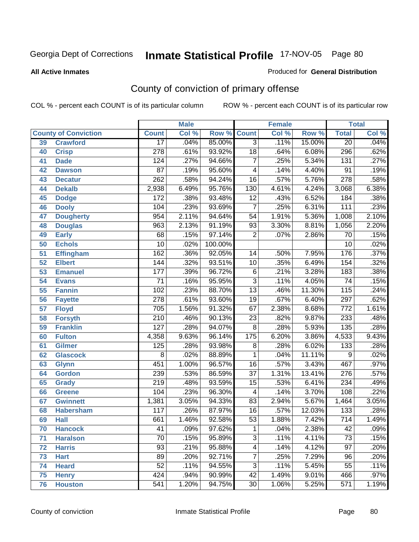#### **All Active Inmates**

#### Produced for **General Distribution**

# County of conviction of primary offense

|                 |                             |                  | <b>Male</b> |         |                          | <b>Female</b> |        |                  | <b>Total</b> |
|-----------------|-----------------------------|------------------|-------------|---------|--------------------------|---------------|--------|------------------|--------------|
|                 | <b>County of Conviction</b> | <b>Count</b>     | Col %       | Row %   | <b>Count</b>             | Col %         | Row %  | <b>Total</b>     | Col %        |
| 39              | <b>Crawford</b>             | $\overline{17}$  | .04%        | 85.00%  | $\overline{3}$           | .11%          | 15.00% | $\overline{20}$  | .04%         |
| 40              | <b>Crisp</b>                | $\overline{278}$ | .61%        | 93.92%  | $\overline{18}$          | .64%          | 6.08%  | 296              | .62%         |
| 41              | <b>Dade</b>                 | 124              | .27%        | 94.66%  | $\overline{7}$           | .25%          | 5.34%  | $\overline{131}$ | .27%         |
| 42              | <b>Dawson</b>               | $\overline{87}$  | .19%        | 95.60%  | $\overline{\mathcal{A}}$ | .14%          | 4.40%  | $\overline{91}$  | .19%         |
| 43              | <b>Decatur</b>              | $\overline{262}$ | .58%        | 94.24%  | $\overline{16}$          | .57%          | 5.76%  | $\overline{278}$ | .58%         |
| 44              | <b>Dekalb</b>               | 2,938            | 6.49%       | 95.76%  | 130                      | 4.61%         | 4.24%  | 3,068            | 6.38%        |
| 45              | <b>Dodge</b>                | $\overline{172}$ | .38%        | 93.48%  | $\overline{12}$          | .43%          | 6.52%  | 184              | .38%         |
| 46              | <b>Dooly</b>                | 104              | .23%        | 93.69%  | $\overline{7}$           | .25%          | 6.31%  | $\overline{111}$ | .23%         |
| 47              | <b>Dougherty</b>            | 954              | 2.11%       | 94.64%  | $\overline{54}$          | 1.91%         | 5.36%  | 1,008            | 2.10%        |
| 48              | <b>Douglas</b>              | 963              | 2.13%       | 91.19%  | 93                       | 3.30%         | 8.81%  | 1,056            | 2.20%        |
| 49              | <b>Early</b>                | 68               | .15%        | 97.14%  | $\overline{2}$           | .07%          | 2.86%  | 70               | .15%         |
| 50              | <b>Echols</b>               | 10               | .02%        | 100.00% |                          |               |        | $\overline{10}$  | .02%         |
| 51              | <b>Effingham</b>            | 162              | .36%        | 92.05%  | 14                       | .50%          | 7.95%  | 176              | .37%         |
| $\overline{52}$ | <b>Elbert</b>               | 144              | .32%        | 93.51%  | $\overline{10}$          | .35%          | 6.49%  | 154              | .32%         |
| 53              | <b>Emanuel</b>              | 177              | .39%        | 96.72%  | $\overline{6}$           | .21%          | 3.28%  | 183              | .38%         |
| 54              | <b>Evans</b>                | $\overline{71}$  | .16%        | 95.95%  | $\overline{3}$           | .11%          | 4.05%  | $\overline{74}$  | .15%         |
| 55              | <b>Fannin</b>               | 102              | .23%        | 88.70%  | $\overline{13}$          | .46%          | 11.30% | 115              | .24%         |
| 56              | <b>Fayette</b>              | $\overline{278}$ | .61%        | 93.60%  | $\overline{19}$          | .67%          | 6.40%  | 297              | .62%         |
| 57              | <b>Floyd</b>                | 705              | 1.56%       | 91.32%  | 67                       | 2.38%         | 8.68%  | $\overline{772}$ | 1.61%        |
| 58              | <b>Forsyth</b>              | $\overline{210}$ | .46%        | 90.13%  | $\overline{23}$          | .82%          | 9.87%  | 233              | .48%         |
| 59              | <b>Franklin</b>             | $\overline{127}$ | .28%        | 94.07%  | $\overline{8}$           | .28%          | 5.93%  | 135              | .28%         |
| 60              | <b>Fulton</b>               | 4,358            | 9.63%       | 96.14%  | 175                      | 6.20%         | 3.86%  | 4,533            | 9.43%        |
| 61              | Gilmer                      | $\overline{125}$ | .28%        | 93.98%  | 8                        | .28%          | 6.02%  | 133              | .28%         |
| 62              | <b>Glascock</b>             | $\overline{8}$   | .02%        | 88.89%  | $\mathbf 1$              | .04%          | 11.11% | $\overline{9}$   | .02%         |
| 63              | <b>Glynn</b>                | 451              | 1.00%       | 96.57%  | 16                       | .57%          | 3.43%  | 467              | .97%         |
| 64              | <b>Gordon</b>               | 239              | .53%        | 86.59%  | $\overline{37}$          | 1.31%         | 13.41% | $\overline{276}$ | .57%         |
| 65              | <b>Grady</b>                | $\overline{219}$ | .48%        | 93.59%  | $\overline{15}$          | .53%          | 6.41%  | 234              | .49%         |
| 66              | <b>Greene</b>               | 104              | .23%        | 96.30%  | 4                        | .14%          | 3.70%  | 108              | .22%         |
| 67              | <b>Gwinnett</b>             | 1,381            | 3.05%       | 94.33%  | 83                       | 2.94%         | 5.67%  | 1,464            | 3.05%        |
| 68              | <b>Habersham</b>            | 117              | .26%        | 87.97%  | 16                       | .57%          | 12.03% | $\overline{133}$ | .28%         |
| 69              | <b>Hall</b>                 | 661              | 1.46%       | 92.58%  | $\overline{53}$          | 1.88%         | 7.42%  | $\overline{714}$ | 1.49%        |
| 70              | <b>Hancock</b>              | 41               | .09%        | 97.62%  | 1                        | .04%          | 2.38%  | 42               | .09%         |
| 71              | <b>Haralson</b>             | $\overline{70}$  | .15%        | 95.89%  | $\overline{3}$           | .11%          | 4.11%  | $\overline{73}$  | .15%         |
| 72              | <b>Harris</b>               | $\overline{93}$  | .21%        | 95.88%  | $\overline{4}$           | .14%          | 4.12%  | $\overline{97}$  | .20%         |
| 73              | <b>Hart</b>                 | $\overline{89}$  | .20%        | 92.71%  | $\overline{7}$           | .25%          | 7.29%  | 96               | .20%         |
| 74              | <b>Heard</b>                | $\overline{52}$  | .11%        | 94.55%  | $\overline{3}$           | .11%          | 5.45%  | $\overline{55}$  | .11%         |
| 75              | <b>Henry</b>                | 424              | .94%        | 90.99%  | $\overline{42}$          | 1.49%         | 9.01%  | 466              | .97%         |
| 76              | <b>Houston</b>              | $\overline{541}$ | 1.20%       | 94.75%  | $\overline{30}$          | 1.06%         | 5.25%  | $\overline{571}$ | 1.19%        |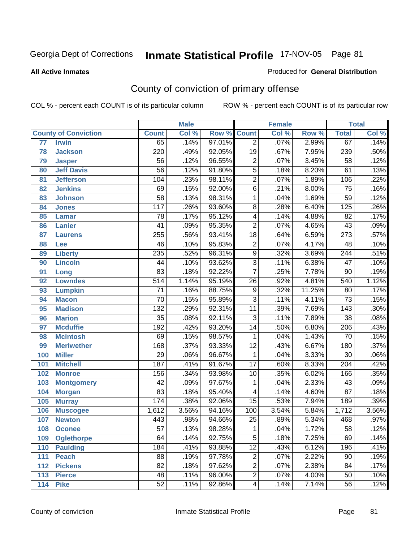**All Active Inmates**

#### Produced for **General Distribution**

# County of conviction of primary offense

|                                 |                   |                  | <b>Male</b> |        |                         | <b>Female</b> |        |                  | <b>Total</b>               |
|---------------------------------|-------------------|------------------|-------------|--------|-------------------------|---------------|--------|------------------|----------------------------|
| <b>County of Conviction</b>     |                   | <b>Count</b>     | Col %       | Row %  | <b>Count</b>            | Col %         | Row %  | <b>Total</b>     | $\overline{\text{Col }^9}$ |
| $\overline{77}$<br><b>Irwin</b> |                   | 65               | .14%        | 97.01% | $\overline{2}$          | .07%          | 2.99%  | 67               | .14%                       |
| 78<br><b>Jackson</b>            |                   | 220              | .49%        | 92.05% | $\overline{19}$         | .67%          | 7.95%  | 239              | .50%                       |
| 79<br><b>Jasper</b>             |                   | $\overline{56}$  | .12%        | 96.55% | $\overline{2}$          | .07%          | 3.45%  | $\overline{58}$  | .12%                       |
| 80                              | <b>Jeff Davis</b> | $\overline{56}$  | .12%        | 91.80% | $\overline{5}$          | .18%          | 8.20%  | 61               | .13%                       |
| 81                              | <b>Jefferson</b>  | 104              | .23%        | 98.11% | $\overline{2}$          | .07%          | 1.89%  | 106              | .22%                       |
| <b>Jenkins</b><br>82            |                   | 69               | .15%        | 92.00% | $\overline{6}$          | .21%          | 8.00%  | $\overline{75}$  | .16%                       |
| 83<br><b>Johnson</b>            |                   | $\overline{58}$  | .13%        | 98.31% | 1                       | .04%          | 1.69%  | $\overline{59}$  | .12%                       |
| 84<br><b>Jones</b>              |                   | 117              | .26%        | 93.60% | $\overline{8}$          | .28%          | 6.40%  | $\overline{125}$ | .26%                       |
| 85<br><b>Lamar</b>              |                   | 78               | .17%        | 95.12% | 4                       | .14%          | 4.88%  | $\overline{82}$  | .17%                       |
| <b>Lanier</b><br>86             |                   | $\overline{41}$  | .09%        | 95.35% | $\overline{2}$          | .07%          | 4.65%  | 43               | .09%                       |
| 87<br><b>Laurens</b>            |                   | 255              | .56%        | 93.41% | $\overline{18}$         | .64%          | 6.59%  | $\overline{273}$ | .57%                       |
| 88<br>Lee                       |                   | 46               | .10%        | 95.83% | $\overline{2}$          | .07%          | 4.17%  | 48               | .10%                       |
| 89<br><b>Liberty</b>            |                   | 235              | .52%        | 96.31% | $\overline{9}$          | .32%          | 3.69%  | $\overline{244}$ | .51%                       |
| <b>Lincoln</b><br>90            |                   | 44               | .10%        | 93.62% | $\overline{3}$          | .11%          | 6.38%  | $\overline{47}$  | .10%                       |
| 91<br>Long                      |                   | 83               | .18%        | 92.22% | $\overline{7}$          | .25%          | 7.78%  | $\overline{90}$  | .19%                       |
| <b>Lowndes</b><br>92            |                   | 514              | 1.14%       | 95.19% | 26                      | .92%          | 4.81%  | 540              | 1.12%                      |
| 93<br><b>Lumpkin</b>            |                   | $\overline{71}$  | .16%        | 88.75% | $\overline{9}$          | .32%          | 11.25% | $\overline{80}$  | .17%                       |
| 94<br><b>Macon</b>              |                   | 70               | .15%        | 95.89% | $\overline{3}$          | .11%          | 4.11%  | $\overline{73}$  | .15%                       |
| <b>Madison</b><br>95            |                   | $\overline{132}$ | .29%        | 92.31% | 11                      | .39%          | 7.69%  | 143              | .30%                       |
| <b>Marion</b><br>96             |                   | $\overline{35}$  | .08%        | 92.11% | $\overline{3}$          | .11%          | 7.89%  | $\overline{38}$  | .08%                       |
| 97<br><b>Mcduffie</b>           |                   | 192              | .42%        | 93.20% | $\overline{14}$         | .50%          | 6.80%  | $\overline{206}$ | .43%                       |
| <b>Mcintosh</b><br>98           |                   | 69               | .15%        | 98.57% | 1                       | .04%          | 1.43%  | 70               | .15%                       |
| 99                              | <b>Meriwether</b> | 168              | .37%        | 93.33% | $\overline{12}$         | .43%          | 6.67%  | 180              | .37%                       |
| 100<br><b>Miller</b>            |                   | 29               | .06%        | 96.67% | $\mathbf{1}$            | .04%          | 3.33%  | $\overline{30}$  | .06%                       |
| 101<br><b>Mitchell</b>          |                   | 187              | .41%        | 91.67% | $\overline{17}$         | .60%          | 8.33%  | $\overline{204}$ | .42%                       |
| 102<br><b>Monroe</b>            |                   | 156              | .34%        | 93.98% | 10                      | .35%          | 6.02%  | 166              | .35%                       |
| 103                             | <b>Montgomery</b> | 42               | .09%        | 97.67% | 1                       | .04%          | 2.33%  | 43               | .09%                       |
| 104<br><b>Morgan</b>            |                   | $\overline{83}$  | .18%        | 95.40% | 4                       | .14%          | 4.60%  | $\overline{87}$  | .18%                       |
| 105<br><b>Murray</b>            |                   | 174              | .38%        | 92.06% | $\overline{15}$         | .53%          | 7.94%  | 189              | .39%                       |
| 106                             | <b>Muscogee</b>   | 1,612            | 3.56%       | 94.16% | 100                     | 3.54%         | 5.84%  | 1,712            | 3.56%                      |
| 107<br><b>Newton</b>            |                   | 443              | .98%        | 94.66% | $\overline{25}$         | .89%          | 5.34%  | 468              | .97%                       |
| 108<br><b>Oconee</b>            |                   | 57               | .13%        | 98.28% | 1                       | .04%          | 1.72%  | 58               | .12%                       |
| 109                             | <b>Oglethorpe</b> | 64               | .14%        | 92.75% | $\overline{5}$          | .18%          | 7.25%  | 69               | .14%                       |
| 110<br><b>Paulding</b>          |                   | 184              | .41%        | 93.88% | $\overline{12}$         | .43%          | 6.12%  | 196              | .41%                       |
| <b>Peach</b><br>111             |                   | 88               | .19%        | 97.78% | $\overline{2}$          | .07%          | 2.22%  | 90               | .19%                       |
| <b>Pickens</b><br>112           |                   | $\overline{82}$  | .18%        | 97.62% | $\overline{2}$          | .07%          | 2.38%  | 84               | .17%                       |
| 113<br><b>Pierce</b>            |                   | $\overline{48}$  | .11%        | 96.00% | $\overline{2}$          | .07%          | 4.00%  | $\overline{50}$  | .10%                       |
| <b>Pike</b><br>114              |                   | 52               | .11%        | 92.86% | $\overline{\mathbf{4}}$ | .14%          | 7.14%  | 56               | .12%                       |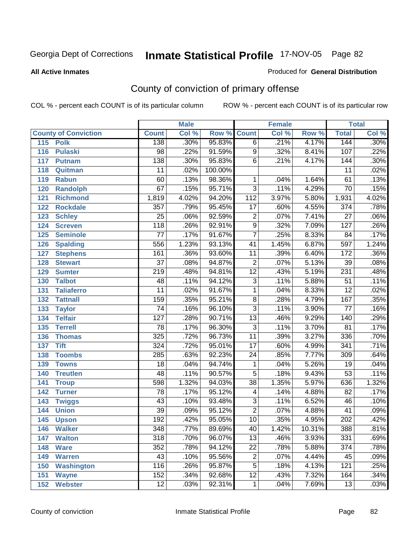### **All Active Inmates**

#### Produced for **General Distribution**

# County of conviction of primary offense

|                             |                  | <b>Male</b> |         |                         | <b>Female</b> |        |                  | <b>Total</b> |
|-----------------------------|------------------|-------------|---------|-------------------------|---------------|--------|------------------|--------------|
| <b>County of Conviction</b> | <b>Count</b>     | Col %       | Row %   | <b>Count</b>            | Col %         | Row %  | <b>Total</b>     | Col %        |
| 115<br><b>Polk</b>          | 138              | .30%        | 95.83%  | $\overline{6}$          | .21%          | 4.17%  | 144              | $.30\%$      |
| 116<br><b>Pulaski</b>       | $\overline{98}$  | .22%        | 91.59%  | 9                       | .32%          | 8.41%  | 107              | .22%         |
| 117<br><b>Putnam</b>        | $\overline{138}$ | .30%        | 95.83%  | 6                       | .21%          | 4.17%  | 144              | .30%         |
| Quitman<br>118              | 11               | .02%        | 100.00% |                         |               |        | 11               | .02%         |
| 119<br><b>Rabun</b>         | 60               | .13%        | 98.36%  | 1                       | .04%          | 1.64%  | 61               | .13%         |
| 120<br><b>Randolph</b>      | $\overline{67}$  | .15%        | 95.71%  | $\overline{3}$          | .11%          | 4.29%  | 70               | .15%         |
| <b>Richmond</b><br>121      | 1,819            | 4.02%       | 94.20%  | 112                     | 3.97%         | 5.80%  | 1,931            | 4.02%        |
| 122<br><b>Rockdale</b>      | 357              | .79%        | 95.45%  | $\overline{17}$         | .60%          | 4.55%  | $\overline{374}$ | .78%         |
| 123<br><b>Schley</b>        | $\overline{25}$  | .06%        | 92.59%  | $\overline{2}$          | .07%          | 7.41%  | $\overline{27}$  | .06%         |
| 124<br><b>Screven</b>       | $\overline{118}$ | .26%        | 92.91%  | $\overline{9}$          | .32%          | 7.09%  | 127              | .26%         |
| <b>Seminole</b><br>125      | $\overline{77}$  | .17%        | 91.67%  | $\overline{7}$          | .25%          | 8.33%  | $\overline{84}$  | .17%         |
| 126<br><b>Spalding</b>      | 556              | 1.23%       | 93.13%  | 41                      | 1.45%         | 6.87%  | 597              | 1.24%        |
| 127<br><b>Stephens</b>      | 161              | .36%        | 93.60%  | 11                      | .39%          | 6.40%  | 172              | .36%         |
| 128<br><b>Stewart</b>       | $\overline{37}$  | .08%        | 94.87%  | $\overline{2}$          | .07%          | 5.13%  | $\overline{39}$  | .08%         |
| 129<br><b>Sumter</b>        | $\overline{219}$ | .48%        | 94.81%  | $\overline{12}$         | .43%          | 5.19%  | 231              | .48%         |
| <b>Talbot</b><br>130        | 48               | .11%        | 94.12%  | $\overline{3}$          | .11%          | 5.88%  | 51               | .11%         |
| 131<br><b>Taliaferro</b>    | $\overline{11}$  | .02%        | 91.67%  | $\mathbf{1}$            | .04%          | 8.33%  | $\overline{12}$  | .02%         |
| <b>Tattnall</b><br>132      | 159              | .35%        | 95.21%  | $\overline{8}$          | .28%          | 4.79%  | 167              | .35%         |
| 133<br><b>Taylor</b>        | $\overline{74}$  | .16%        | 96.10%  | $\overline{3}$          | .11%          | 3.90%  | $\overline{77}$  | .16%         |
| <b>Telfair</b><br>134       | $\overline{127}$ | .28%        | 90.71%  | $\overline{13}$         | .46%          | 9.29%  | 140              | .29%         |
| 135<br><b>Terrell</b>       | $\overline{78}$  | .17%        | 96.30%  | $\overline{3}$          | .11%          | 3.70%  | $\overline{81}$  | .17%         |
| 136<br><b>Thomas</b>        | 325              | .72%        | 96.73%  | $\overline{11}$         | .39%          | 3.27%  | 336              | .70%         |
| <b>Tift</b><br>137          | 324              | .72%        | 95.01%  | $\overline{17}$         | .60%          | 4.99%  | 341              | .71%         |
| <b>Toombs</b><br>138        | 285              | .63%        | 92.23%  | 24                      | .85%          | 7.77%  | 309              | .64%         |
| 139<br><b>Towns</b>         | $\overline{18}$  | .04%        | 94.74%  | 1                       | .04%          | 5.26%  | $\overline{19}$  | .04%         |
| <b>Treutlen</b><br>140      | 48               | .11%        | 90.57%  | $\overline{5}$          | .18%          | 9.43%  | $\overline{53}$  | .11%         |
| 141<br><b>Troup</b>         | 598              | 1.32%       | 94.03%  | $\overline{38}$         | 1.35%         | 5.97%  | 636              | 1.32%        |
| 142<br><b>Turner</b>        | 78               | .17%        | 95.12%  | $\overline{\mathbf{4}}$ | .14%          | 4.88%  | $\overline{82}$  | .17%         |
| 143<br><b>Twiggs</b>        | 43               | .10%        | 93.48%  | $\overline{3}$          | .11%          | 6.52%  | 46               | .10%         |
| 144<br><b>Union</b>         | $\overline{39}$  | .09%        | 95.12%  | $\overline{2}$          | .07%          | 4.88%  | $\overline{41}$  | .09%         |
| 145<br><b>Upson</b>         | 192              | .42%        | 95.05%  | 10                      | .35%          | 4.95%  | $\overline{202}$ | .42%         |
| 146<br><b>Walker</b>        | 348              | .77%        | 89.69%  | 40                      | 1.42%         | 10.31% | 388              | .81%         |
| 147<br><b>Walton</b>        | $\overline{318}$ | .70%        | 96.07%  | $\overline{13}$         | .46%          | 3.93%  | 331              | .69%         |
| 148<br><b>Ware</b>          | 352              | .78%        | 94.12%  | $\overline{22}$         | .78%          | 5.88%  | $\overline{374}$ | .78%         |
| <b>Warren</b><br>149        | 43               | .10%        | 95.56%  | $\boldsymbol{2}$        | .07%          | 4.44%  | 45               | .09%         |
| <b>Washington</b><br>150    | 116              | .26%        | 95.87%  | $\overline{5}$          | .18%          | 4.13%  | 121              | .25%         |
| 151<br><b>Wayne</b>         | 152              | .34%        | 92.68%  | $\overline{12}$         | .43%          | 7.32%  | 164              | .34%         |
| <b>Webster</b><br>152       | $\overline{12}$  | .03%        | 92.31%  | $\mathbf{1}$            | .04%          | 7.69%  | $\overline{13}$  | .03%         |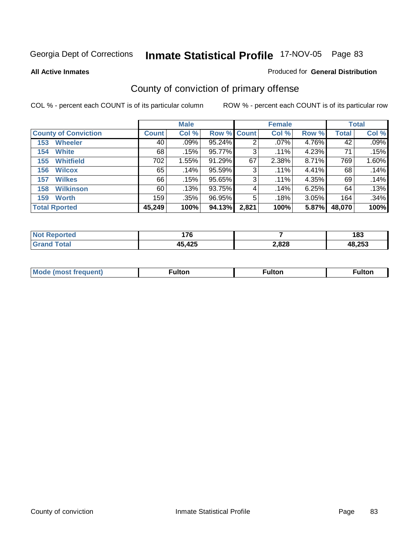**All Active Inmates**

### Produced for **General Distribution**

# County of conviction of primary offense

|                             |              | <b>Male</b> |                    |       | <b>Female</b> |       |        | <b>Total</b> |
|-----------------------------|--------------|-------------|--------------------|-------|---------------|-------|--------|--------------|
| <b>County of Conviction</b> | <b>Count</b> | Col %       | <b>Row % Count</b> |       | Col %         | Row % | Total  | Col %        |
| <b>Wheeler</b><br>153       | 40           | $.09\%$     | 95.24%             | 2     | .07%          | 4.76% | 42     | .09%         |
| <b>White</b><br>154         | 68           | .15%        | 95.77%             | 3     | $.11\%$       | 4.23% | 71     | .15%         |
| <b>Whitfield</b><br>155     | 702          | 1.55%       | 91.29%             | 67    | 2.38%         | 8.71% | 769    | 1.60%        |
| <b>Wilcox</b><br>156        | 65           | $.14\%$     | 95.59%             | 3     | $.11\%$       | 4.41% | 68     | .14%         |
| <b>Wilkes</b><br>157        | 66           | .15%        | 95.65%             | 3     | .11%          | 4.35% | 69     | .14%         |
| <b>Wilkinson</b><br>158     | 60           | .13%        | 93.75%             | 4     | .14%          | 6.25% | 64     | .13%         |
| <b>Worth</b><br>159         | 159          | .35%        | 96.95%             | 5     | .18%          | 3.05% | 164    | .34%         |
| <b>Total Rported</b>        | 45,249       | 100%        | 94.13%             | 2,821 | 100%          | 5.87% | 48,070 | 100%         |

| <b>Not Reported</b> | 1 7 C<br><i>.</i> |       | 183    |
|---------------------|-------------------|-------|--------|
|                     | 45,425            | 2,828 | 48,253 |

| Mode<br>eauent)<br>nost | ∙ulton | ⊺ulton | <b>ulton</b> |
|-------------------------|--------|--------|--------------|
|                         |        |        |              |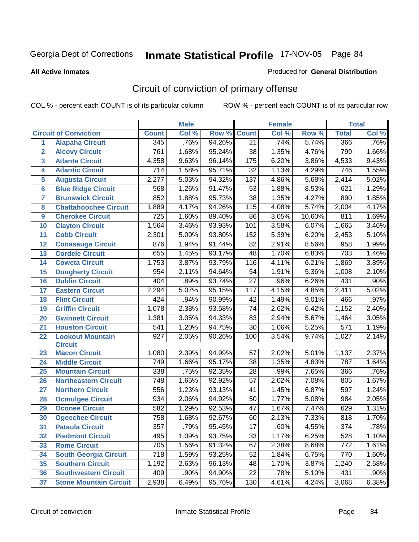#### **All Active Inmates**

#### Produced for **General Distribution**

# Circuit of conviction of primary offense

|                         |                               |                  | <b>Male</b> |        |                 | <b>Female</b> |        |                  | <b>Total</b> |
|-------------------------|-------------------------------|------------------|-------------|--------|-----------------|---------------|--------|------------------|--------------|
|                         | <b>Circuit of Conviction</b>  | <b>Count</b>     | Col %       | Row %  | <b>Count</b>    | Col %         | Row %  | <b>Total</b>     | Col %        |
| 1                       | <b>Alapaha Circuit</b>        | 345              | .76%        | 94.26% | $\overline{21}$ | .74%          | 5.74%  | 366              | .76%         |
| $\overline{2}$          | <b>Alcovy Circuit</b>         | 761              | 1.68%       | 95.24% | $\overline{38}$ | 1.35%         | 4.76%  | 799              | 1.66%        |
| $\overline{\mathbf{3}}$ | <b>Atlanta Circuit</b>        | 4,358            | 9.63%       | 96.14% | 175             | 6.20%         | 3.86%  | 4,533            | 9.43%        |
| 4                       | <b>Atlantic Circuit</b>       | $\overline{714}$ | 1.58%       | 95.71% | $\overline{32}$ | 1.13%         | 4.29%  | 746              | 1.55%        |
| 5                       | <b>Augusta Circuit</b>        | 2,277            | 5.03%       | 94.32% | 137             | 4.86%         | 5.68%  | 2,414            | 5.02%        |
| $6\phantom{a}$          | <b>Blue Ridge Circuit</b>     | 568              | 1.26%       | 91.47% | $\overline{53}$ | 1.88%         | 8.53%  | 621              | 1.29%        |
| $\overline{7}$          | <b>Brunswick Circuit</b>      | 852              | 1.88%       | 95.73% | 38              | 1.35%         | 4.27%  | 890              | 1.85%        |
| 8                       | <b>Chattahoochee Circuit</b>  | 1,889            | 4.17%       | 94.26% | 115             | 4.08%         | 5.74%  | 2,004            | 4.17%        |
| 9                       | <b>Cherokee Circuit</b>       | 725              | 1.60%       | 89.40% | 86              | 3.05%         | 10.60% | 811              | 1.69%        |
| 10                      | <b>Clayton Circuit</b>        | 1,564            | 3.46%       | 93.93% | 101             | 3.58%         | 6.07%  | 1,665            | 3.46%        |
| 11                      | <b>Cobb Circuit</b>           | 2,301            | 5.09%       | 93.80% | 152             | 5.39%         | 6.20%  | 2,453            | 5.10%        |
| 12                      | <b>Conasauga Circuit</b>      | 876              | 1.94%       | 91.44% | 82              | 2.91%         | 8.56%  | $\overline{958}$ | 1.99%        |
| 13                      | <b>Cordele Circuit</b>        | 655              | 1.45%       | 93.17% | 48              | 1.70%         | 6.83%  | $\overline{703}$ | 1.46%        |
| 14                      | <b>Coweta Circuit</b>         | 1,753            | 3.87%       | 93.79% | 116             | 4.11%         | 6.21%  | 1,869            | 3.89%        |
| 15                      | <b>Dougherty Circuit</b>      | 954              | 2.11%       | 94.64% | 54              | 1.91%         | 5.36%  | 1,008            | 2.10%        |
| 16                      | <b>Dublin Circuit</b>         | 404              | .89%        | 93.74% | $\overline{27}$ | .96%          | 6.26%  | 431              | .90%         |
| 17                      | <b>Eastern Circuit</b>        | 2,294            | 5.07%       | 95.15% | 117             | 4.15%         | 4.85%  | 2,411            | 5.02%        |
| 18                      | <b>Flint Circuit</b>          | 424              | .94%        | 90.99% | 42              | 1.49%         | 9.01%  | 466              | .97%         |
| 19                      | <b>Griffin Circuit</b>        | 1,078            | 2.38%       | 93.58% | 74              | 2.62%         | 6.42%  | 1,152            | 2.40%        |
| 20                      | <b>Gwinnett Circuit</b>       | 1,381            | 3.05%       | 94.33% | 83              | 2.94%         | 5.67%  | 1,464            | 3.05%        |
| 21                      | <b>Houston Circuit</b>        | 541              | 1.20%       | 94.75% | $\overline{30}$ | 1.06%         | 5.25%  | $\overline{571}$ | 1.19%        |
| 22                      | <b>Lookout Mountain</b>       | $\overline{927}$ | 2.05%       | 90.26% | 100             | 3.54%         | 9.74%  | 1,027            | 2.14%        |
|                         | <b>Circuit</b>                |                  |             |        |                 |               |        |                  |              |
| 23                      | <b>Macon Circuit</b>          | 1,080            | 2.39%       | 94.99% | 57              | 2.02%         | 5.01%  | 1,137            | 2.37%        |
| 24                      | <b>Middle Circuit</b>         | 749              | 1.66%       | 95.17% | 38              | 1.35%         | 4.83%  | 787              | 1.64%        |
| 25                      | <b>Mountain Circuit</b>       | 338              | .75%        | 92.35% | 28              | .99%          | 7.65%  | 366              | .76%         |
| 26                      | <b>Northeastern Circuit</b>   | 748              | 1.65%       | 92.92% | 57              | 2.02%         | 7.08%  | 805              | 1.67%        |
| 27                      | <b>Northern Circuit</b>       | 556              | 1.23%       | 93.13% | $\overline{41}$ | 1.45%         | 6.87%  | 597              | 1.24%        |
| 28                      | <b>Ocmulgee Circuit</b>       | 934              | 2.06%       | 94.92% | 50              | $1.77\%$      | 5.08%  | 984              | 2.05%        |
| 29                      | <b>Oconee Circuit</b>         | 582              | 1.29%       | 92.53% | $\overline{47}$ | 1.67%         | 7.47%  | 629              | 1.31%        |
| 30                      | <b>Ogeechee Circuit</b>       | $\overline{758}$ | 1.68%       | 92.67% | 60              | 2.13%         | 7.33%  | 818              | 1.70%        |
| $\overline{31}$         | <b>Pataula Circuit</b>        | $\overline{357}$ | .79%        | 95.45% | $\overline{17}$ | .60%          | 4.55%  | $\overline{374}$ | .78%         |
| 32                      | <b>Piedmont Circuit</b>       | 495              | 1.09%       | 93.75% | 33              | 1.17%         | 6.25%  | 528              | 1.10%        |
| 33                      | <b>Rome Circuit</b>           | 705              | 1.56%       | 91.32% | 67              | 2.38%         | 8.68%  | 772              | 1.61%        |
| 34                      | <b>South Georgia Circuit</b>  | $\overline{718}$ | 1.59%       | 93.25% | 52              | 1.84%         | 6.75%  | 770              | 1.60%        |
| 35                      | <b>Southern Circuit</b>       | 1,192            | 2.63%       | 96.13% | 48              | 1.70%         | 3.87%  | 1,240            | 2.58%        |
| 36                      | <b>Southwestern Circuit</b>   | 409              | .90%        | 94.90% | $\overline{22}$ | .78%          | 5.10%  | 431              | $.90\%$      |
| 37                      | <b>Stone Mountain Circuit</b> | 2,938            | 6.49%       | 95.76% | 130             | 4.61%         | 4.24%  | 3,068            | 6.38%        |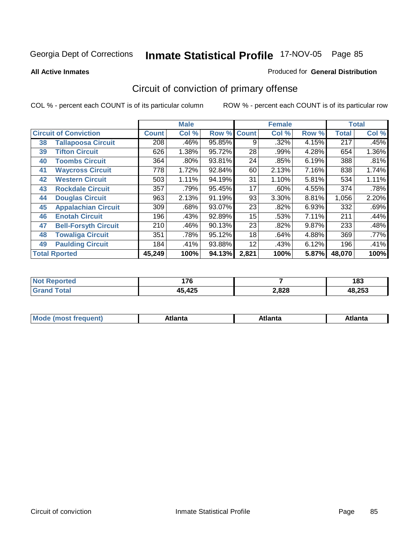**All Active Inmates**

### Produced for **General Distribution**

# Circuit of conviction of primary offense

|                      |                              |              | <b>Male</b> |        |              | <b>Female</b> |       |              | <b>Total</b> |
|----------------------|------------------------------|--------------|-------------|--------|--------------|---------------|-------|--------------|--------------|
|                      | <b>Circuit of Conviction</b> | <b>Count</b> | Col %       | Row %  | <b>Count</b> | Col %         | Row % | <b>Total</b> | Col %        |
| 38                   | <b>Tallapoosa Circuit</b>    | 208          | .46%        | 95.85% | 9            | .32%          | 4.15% | 217          | .45%         |
| 39                   | <b>Tifton Circuit</b>        | 626          | 1.38%       | 95.72% | 28           | .99%          | 4.28% | 654          | 1.36%        |
| 40                   | <b>Toombs Circuit</b>        | 364          | .80%        | 93.81% | 24           | .85%          | 6.19% | 388          | .81%         |
| 41                   | <b>Waycross Circuit</b>      | 778          | 1.72%       | 92.84% | 60           | 2.13%         | 7.16% | 838          | 1.74%        |
| 42                   | <b>Western Circuit</b>       | 503          | 1.11%       | 94.19% | 31           | 1.10%         | 5.81% | 534          | 1.11%        |
| 43                   | <b>Rockdale Circuit</b>      | 357          | .79%        | 95.45% | 17           | $.60\%$       | 4.55% | 374          | .78%         |
| 44                   | <b>Douglas Circuit</b>       | 963          | 2.13%       | 91.19% | 93           | 3.30%         | 8.81% | 1,056        | 2.20%        |
| 45                   | <b>Appalachian Circuit</b>   | 309          | .68%        | 93.07% | 23           | .82%          | 6.93% | 332          | .69%         |
| 46                   | <b>Enotah Circuit</b>        | 196          | .43%        | 92.89% | 15           | .53%          | 7.11% | 211          | .44%         |
| 47                   | <b>Bell-Forsyth Circuit</b>  | 210          | .46%        | 90.13% | 23           | .82%          | 9.87% | 233          | .48%         |
| 48                   | <b>Towaliga Circuit</b>      | 351          | .78%        | 95.12% | 18           | .64%          | 4.88% | 369          | $.77\%$      |
| 49                   | <b>Paulding Circuit</b>      | 184          | .41%        | 93.88% | 12           | .43%          | 6.12% | 196          | .41%         |
| <b>Total Rported</b> |                              | 45,249       | 100%        | 94.13% | 2,821        | 100%          | 5.87% | 48,070       | 100%         |

| rtea<br><b>NOT</b><br> | ィラへ<br>. I V |       | 102<br>נס ו |
|------------------------|--------------|-------|-------------|
|                        | 45,425       | 2,828 | 48.253      |

| M | ---<br><b><i><u>Property and the second second</u></i></b> | ˈanta | ---<br>Alidiild |
|---|------------------------------------------------------------|-------|-----------------|
|   |                                                            |       |                 |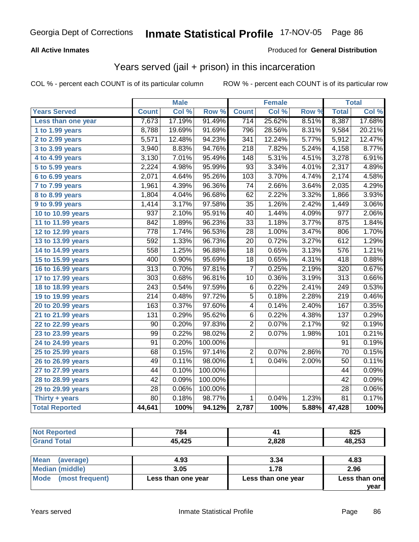## **All Active Inmates**

### Produced for **General Distribution**

## Years served (jail + prison) in this incarceration

|                              |                  | <b>Male</b> |         |                  | <b>Female</b> |       |                  | <b>Total</b> |
|------------------------------|------------------|-------------|---------|------------------|---------------|-------|------------------|--------------|
| <b>Years Served</b>          | <b>Count</b>     | Col %       | Row %   | <b>Count</b>     | Col %         | Row % | <b>Total</b>     | Col %        |
| Less than one year           | 7,673            | 17.19%      | 91.49%  | 714              | 25.62%        | 8.51% | 8,387            | 17.68%       |
| 1 to 1.99 years              | 8,788            | 19.69%      | 91.69%  | 796              | 28.56%        | 8.31% | 9,584            | 20.21%       |
| 2 to 2.99 years              | 5,571            | 12.48%      | 94.23%  | 341              | 12.24%        | 5.77% | 5,912            | 12.47%       |
| $3$ to 3.99 years            | 3,940            | 8.83%       | 94.76%  | $\overline{218}$ | 7.82%         | 5.24% | 4,158            | 8.77%        |
| $\overline{4}$ to 4.99 years | 3,130            | 7.01%       | 95.49%  | 148              | 5.31%         | 4.51% | 3,278            | 6.91%        |
| $\overline{5}$ to 5.99 years | 2,224            | 4.98%       | 95.99%  | $\overline{93}$  | 3.34%         | 4.01% | 2,317            | 4.89%        |
| 6 to 6.99 years              | 2,071            | 4.64%       | 95.26%  | 103              | 3.70%         | 4.74% | 2,174            | 4.58%        |
| 7 to 7.99 years              | 1,961            | 4.39%       | 96.36%  | $\overline{74}$  | 2.66%         | 3.64% | 2,035            | 4.29%        |
| 8 to 8.99 years              | 1,804            | 4.04%       | 96.68%  | 62               | 2.22%         | 3.32% | 1,866            | 3.93%        |
| 9 to 9.99 years              | 1,414            | 3.17%       | 97.58%  | $\overline{35}$  | 1.26%         | 2.42% | 1,449            | 3.06%        |
| 10 to 10.99 years            | 937              | 2.10%       | 95.91%  | 40               | 1.44%         | 4.09% | $\overline{977}$ | 2.06%        |
| 11 to 11.99 years            | 842              | 1.89%       | 96.23%  | $\overline{33}$  | 1.18%         | 3.77% | 875              | 1.84%        |
| 12 to 12.99 years            | 778              | 1.74%       | 96.53%  | $\overline{28}$  | 1.00%         | 3.47% | 806              | 1.70%        |
| 13 to 13.99 years            | 592              | 1.33%       | 96.73%  | 20               | 0.72%         | 3.27% | 612              | 1.29%        |
| 14 to 14.99 years            | 558              | 1.25%       | 96.88%  | $\overline{18}$  | 0.65%         | 3.13% | 576              | 1.21%        |
| 15 to 15.99 years            | 400              | 0.90%       | 95.69%  | $\overline{18}$  | 0.65%         | 4.31% | $\overline{418}$ | 0.88%        |
| 16 to 16.99 years            | $\overline{313}$ | 0.70%       | 97.81%  | $\overline{7}$   | 0.25%         | 2.19% | 320              | 0.67%        |
| 17 to 17.99 years            | $\overline{303}$ | 0.68%       | 96.81%  | $\overline{10}$  | 0.36%         | 3.19% | $\overline{313}$ | 0.66%        |
| 18 to 18.99 years            | $\sqrt{243}$     | 0.54%       | 97.59%  | $\overline{6}$   | 0.22%         | 2.41% | $\overline{249}$ | 0.53%        |
| 19 to 19.99 years            | $\overline{214}$ | 0.48%       | 97.72%  | $\overline{5}$   | 0.18%         | 2.28% | $\overline{219}$ | 0.46%        |
| 20 to 20.99 years            | 163              | 0.37%       | 97.60%  | $\overline{4}$   | 0.14%         | 2.40% | 167              | 0.35%        |
| 21 to 21.99 years            | 131              | 0.29%       | 95.62%  | 6                | 0.22%         | 4.38% | 137              | 0.29%        |
| 22 to 22.99 years            | 90               | 0.20%       | 97.83%  | $\overline{2}$   | 0.07%         | 2.17% | 92               | 0.19%        |
| 23 to 23.99 years            | $\overline{99}$  | 0.22%       | 98.02%  | $\overline{2}$   | 0.07%         | 1.98% | 101              | 0.21%        |
| 24 to 24.99 years            | 91               | 0.20%       | 100.00% |                  |               |       | 91               | 0.19%        |
| 25 to 25.99 years            | 68               | 0.15%       | 97.14%  | $\overline{2}$   | 0.07%         | 2.86% | $\overline{70}$  | 0.15%        |
| 26 to 26.99 years            | 49               | 0.11%       | 98.00%  | $\mathbf{1}$     | 0.04%         | 2.00% | 50               | 0.11%        |
| 27 to 27.99 years            | 44               | 0.10%       | 100.00% |                  |               |       | 44               | 0.09%        |
| 28 to 28.99 years            | $\overline{42}$  | 0.09%       | 100.00% |                  |               |       | $\overline{42}$  | 0.09%        |
| 29 to 29.99 years            | $\overline{28}$  | 0.06%       | 100.00% |                  |               |       | 28               | 0.06%        |
| Thirty + years               | $\overline{80}$  | 0.18%       | 98.77%  | $\mathbf{1}$     | 0.04%         | 1.23% | $\overline{81}$  | 0.17%        |
| <b>Total Reported</b>        | 44,641           | 100%        | 94.12%  | 2,787            | 100%          | 5.88% | 47,428           | 100%         |

| <b>Not Reported</b>      | 784    |                 | 825  |  |  |  |  |
|--------------------------|--------|-----------------|------|--|--|--|--|
| <b>Grand Total</b>       | 45,425 | 48,253<br>2,828 |      |  |  |  |  |
|                          |        |                 |      |  |  |  |  |
| <b>Mean</b><br>(average) | 4.93   | 3.34            | 4.83 |  |  |  |  |

|                             |                    |                    | vear          |
|-----------------------------|--------------------|--------------------|---------------|
| Mode (most frequent)        | Less than one year | Less than one year | Less than one |
| Median (middle)             | 3.05               | 1.78               | 2.96          |
| <b>INICAIL</b><br>(average) | 4.93               | ა.ა4               | 4.03          |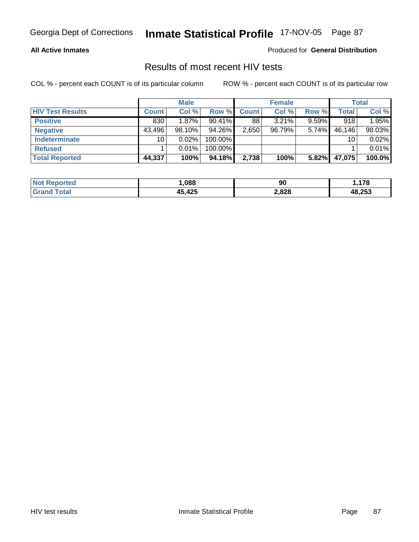### **All Active Inmates**

Produced for **General Distribution**

## Results of most recent HIV tests

|                         |              | <b>Male</b> |            |                    | <b>Female</b> |          |        | <b>Total</b> |
|-------------------------|--------------|-------------|------------|--------------------|---------------|----------|--------|--------------|
| <b>HIV Test Results</b> | <b>Count</b> | Col %       | Row %      | Count              | Col %         | Row %    | Total  | Col %        |
| <b>Positive</b>         | 830          | 1.87%       | $90.41\%$  | 88                 | 3.21%         | $9.59\%$ | 918    | 1.95%        |
| <b>Negative</b>         | 43,496       | $98.10\%$   | 94.26%     | 2,650 <sub>1</sub> | 96.79%        | 5.74%    | 46,146 | 98.03%       |
| <b>Indeterminate</b>    | 10           | $0.02\%$    | 100.00%    |                    |               |          | 10     | 0.02%        |
| <b>Refused</b>          |              | 0.01%       | $100.00\%$ |                    |               |          |        | 0.01%        |
| <b>Total Reported</b>   | 44,337       | 100%        | 94.18%     | 2,738              | 100%          | 5.82%    | 47,075 | 100.0%       |

| <b>Not Reported</b>     | .088   | 90    | 178    |
|-------------------------|--------|-------|--------|
| <b>Total</b><br>l Grand | 45,425 | 2,828 | 48,253 |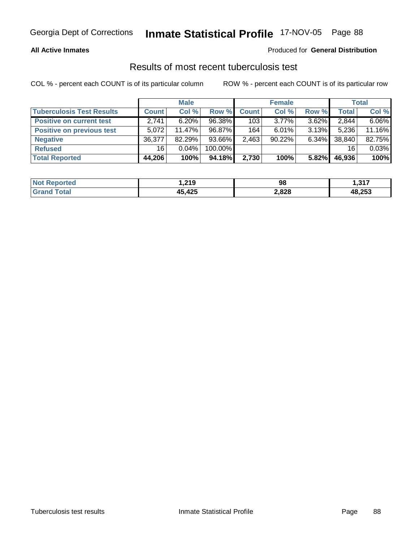### **All Active Inmates**

### Produced for **General Distribution**

## Results of most recent tuberculosis test

|                                  |              | <b>Male</b> |         |              | <b>Female</b> |          |              | <b>Total</b> |
|----------------------------------|--------------|-------------|---------|--------------|---------------|----------|--------------|--------------|
| <b>Tuberculosis Test Results</b> | <b>Count</b> | Col %       | Row %   | <b>Count</b> | Col %         | Row %    | <b>Total</b> | Col %        |
| <b>Positive on current test</b>  | 2,741        | $6.20\%$    | 96.38%  | 103          | $3.77\%$      | $3.62\%$ | 2,844        | $6.06\%$     |
| <b>Positive on previous test</b> | 5.072        | $11.47\%$   | 96.87%  | 164          | $6.01\%$      | $3.13\%$ | 5,236        | 11.16%       |
| <b>Negative</b>                  | 36.377       | 82.29%      | 93.66%  | 2,463        | 90.22%        | $6.34\%$ | 38,840       | 82.75%       |
| <b>Refused</b>                   | 16           | $0.04\%$    | 100.00% |              |               |          | 16           | 0.03%        |
| <b>Total Reported</b>            | 44,206       | 100%        | 94.18%  | 2,730        | 100%          | 5.82%    | 46,936       | 100%         |

| <b>Not Reported</b>     | 219. ا | 98    | 1,317  |
|-------------------------|--------|-------|--------|
| <b>Total</b><br>l Grand | 45,425 | 2,828 | 48,253 |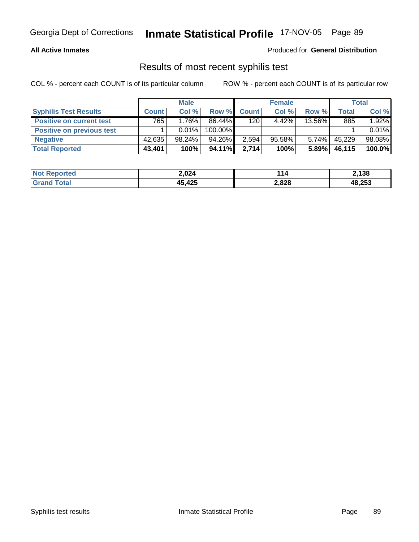### **All Active Inmates**

### Produced for **General Distribution**

## Results of most recent syphilis test

|                                  |              | <b>Male</b> |         |              | <b>Female</b> |          |        | <b>Total</b> |
|----------------------------------|--------------|-------------|---------|--------------|---------------|----------|--------|--------------|
| <b>Syphilis Test Results</b>     | <b>Count</b> | Col %       | Row %   | <b>Count</b> | Col %         | Row %    | Total  | Col %        |
| <b>Positive on current test</b>  | 765          | 1.76%       | 86.44%  | 120          | $4.42\%$      | 13.56%   | 885    | 1.92%        |
| <b>Positive on previous test</b> |              | $0.01\%$    | 100.00% |              |               |          |        | 0.01%        |
| <b>Negative</b>                  | 42,635       | 98.24%      | 94.26%  | 2,594        | $95.58\%$     | $5.74\%$ | 45.229 | 98.08%       |
| <b>Total Reported</b>            | 43,401       | 100%        | 94.11%  | 2,714        | 100%          | 5.89%    | 46,115 | 100.0%       |

| <b>Not Reported</b> | 2,024  | 114   | 2,138  |
|---------------------|--------|-------|--------|
| <b>c</b> otal       | 45,425 | 2,828 | 48,253 |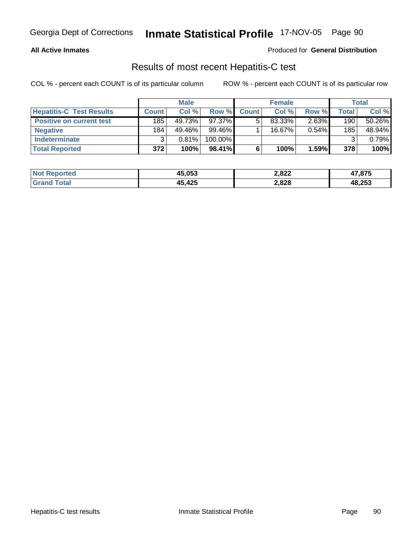### **All Active Inmates**

### Produced for **General Distribution**

## Results of most recent Hepatitis-C test

|                                 |              | <b>Male</b> |            |              | <b>Female</b> |          |         | <b>Total</b> |
|---------------------------------|--------------|-------------|------------|--------------|---------------|----------|---------|--------------|
| <b>Hepatitis-C Test Results</b> | <b>Count</b> | Col %       | Row %      | <b>Count</b> | Col %         | Row %    | Total i | Col %        |
| <b>Positive on current test</b> | 185          | 49.73%      | 97.37%     |              | 83.33%        | 2.63%    | 190     | 50.26%       |
| <b>Negative</b>                 | 184          | 49.46%      | 99.46%     |              | $16.67\%$     | $0.54\%$ | 185     | 48.94%       |
| <b>Indeterminate</b>            | 2            | 0.81%       | $100.00\%$ |              |               |          |         | 0.79%        |
| <b>Total Reported</b>           | 372          | 100%        | $98.41\%$  |              | 100%          | 1.59%    | 378     | 100%         |

| <b>Not</b><br>. Reported | 45,053 | 2,822 | 47,875 |
|--------------------------|--------|-------|--------|
| 'otal                    | 45,425 | 2,828 | 48,253 |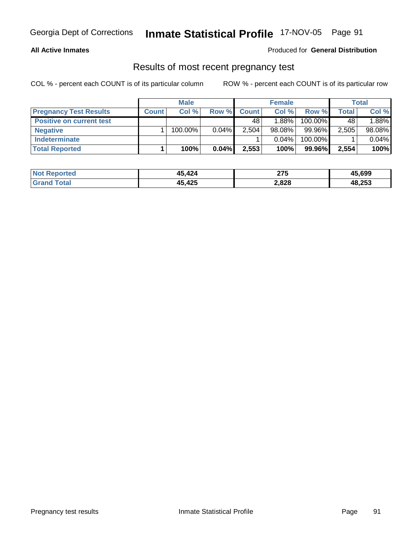## **All Active Inmates**

### Produced for **General Distribution**

## Results of most recent pregnancy test

|                                 |              | <b>Male</b> |          |              | <b>Female</b> |         |              | <b>Total</b> |
|---------------------------------|--------------|-------------|----------|--------------|---------------|---------|--------------|--------------|
| <b>Pregnancy Test Results</b>   | <b>Count</b> | Col %       | Row %    | <b>Count</b> | Col %         | Row %   | <b>Total</b> | Col %        |
| <b>Positive on current test</b> |              |             |          | 48           | 1.88%l        | 100.00% | 48           | 1.88%        |
| <b>Negative</b>                 |              | 100.00%     | $0.04\%$ | 2,504        | $98.08\%$     | 99.96%  | 2,505        | 98.08%       |
| <b>Indeterminate</b>            |              |             |          |              | $0.04\%$      | 100.00% |              | 0.04%        |
| <b>Total Reported</b>           |              | 100%        | 0.04%    | 2,553        | 100%          | 99.96%  | 2,554        | 100%         |

| <b>Not</b><br><b>Reported</b> | 15,424 | クフト<br><u>_</u> | 45,699 |
|-------------------------------|--------|-----------------|--------|
| <b>Fotal</b>                  | 45,425 | 2,828           | 48,253 |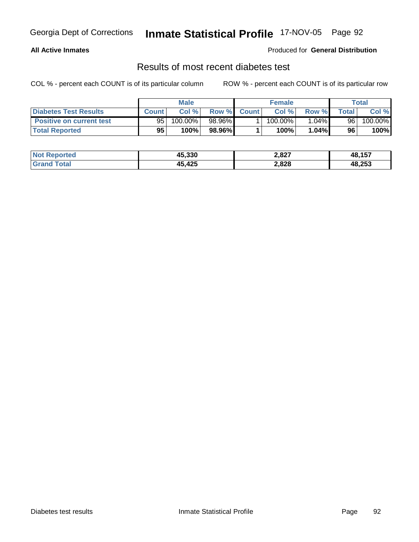## **All Active Inmates**

### Produced for **General Distribution**

## Results of most recent diabetes test

|                                 | <b>Male</b>  |                       |             | <b>Female</b> |            |          | Total            |         |
|---------------------------------|--------------|-----------------------|-------------|---------------|------------|----------|------------------|---------|
| <b>Diabetes Test Results</b>    | <b>Count</b> | Col %                 | Row % Count |               | Col %      | Row %    | $\mathsf{Total}$ | Col %   |
| <b>Positive on current test</b> | 95           | $100.\overline{00\%}$ | 98.96%I     |               | $100.00\%$ | $1.04\%$ | 96               | 100.00% |
| <b>Total Reported</b>           | 95           | 100%                  | 98.96%      |               | 100%       | 1.04%    | 96               | 100%    |

| Not I<br>Reported | 45.330 | 2,827 | 48,157 |
|-------------------|--------|-------|--------|
| `otal<br>Grati    | ,425   | 2,828 | 48,253 |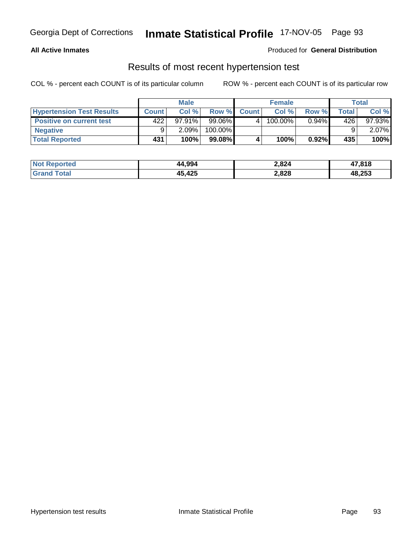### **All Active Inmates**

### Produced for **General Distribution**

## Results of most recent hypertension test

|                                  | <b>Male</b>  |           |           | <b>Female</b>      |         |          | Total  |           |
|----------------------------------|--------------|-----------|-----------|--------------------|---------|----------|--------|-----------|
| <b>Hypertension Test Results</b> | <b>Count</b> | Col%      |           | Row % Count        | Col%    | Row %    | Total, | Col %     |
| <b>Positive on current test</b>  | 422          | $97.91\%$ | 99.06%    | $\mathbf{\Lambda}$ | 100.00% | $0.94\%$ | 426    | $97.93\%$ |
| <b>Negative</b>                  | 9            | 2.09%     | 100.00%   |                    |         |          |        | $2.07\%$  |
| <b>Total Reported</b>            | 431          | 100%      | $99.08\%$ |                    | 100%    | $0.92\%$ | 435    | 100%      |

| <b>Not Reported</b> | 44,994 | 2,824 | 47,818 |
|---------------------|--------|-------|--------|
| <b>Grand Total</b>  | 45,425 | 2,828 | 48,253 |